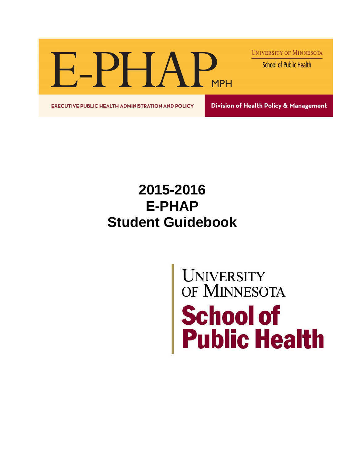E-PHAP.

**UNIVERSITY OF MINNESOTA** 

**School of Public Health** 

**EXECUTIVE PUBLIC HEALTH ADMINISTRATION AND POLICY** 

Division of Health Policy & Management

## **2015-2016 E-PHAP Student Guidebook**

# **UNIVERSITY** OF MINNESOTA **School of<br>Public Health**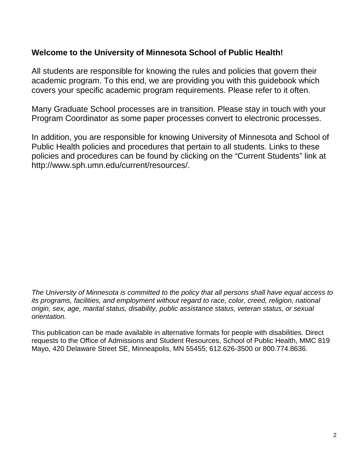### **Welcome to the University of Minnesota School of Public Health!**

All students are responsible for knowing the rules and policies that govern their academic program. To this end, we are providing you with this guidebook which covers your specific academic program requirements. Please refer to it often.

Many Graduate School processes are in transition. Please stay in touch with your Program Coordinator as some paper processes convert to electronic processes.

In addition, you are responsible for knowing University of Minnesota and School of Public Health policies and procedures that pertain to all students. Links to these policies and procedures can be found by clicking on the "Current Students" link at [http://www.sph.umn.edu/current/resources/.](http://www.sph.umn.edu/current/resources/)

*The University of Minnesota is committed to the policy that all persons shall have equal access to its programs, facilities, and employment without regard to race, color, creed, religion, national origin, sex, age, marital status, disability, public assistance status, veteran status, or sexual orientation.*

This publication can be made available in alternative formats for people with disabilities. Direct requests to the Office of Admissions and Student Resources, School of Public Health, MMC 819 Mayo, 420 Delaware Street SE, Minneapolis, MN 55455; 612.626-3500 or 800.774.8636.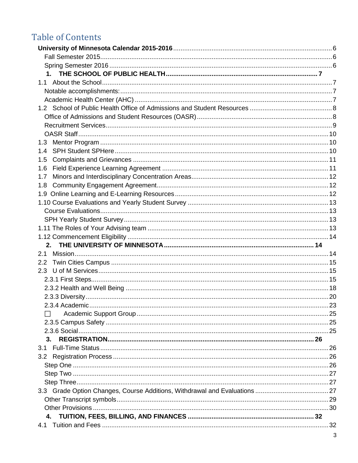### **Table of Contents**

|                  | $1_{-}$ |  |
|------------------|---------|--|
|                  |         |  |
|                  |         |  |
|                  |         |  |
|                  |         |  |
|                  |         |  |
|                  |         |  |
|                  |         |  |
| 1.3              |         |  |
| 1.4              |         |  |
| 1.5              |         |  |
| 1.6              |         |  |
| 1.7              |         |  |
| 1.8              |         |  |
|                  |         |  |
|                  |         |  |
|                  |         |  |
|                  |         |  |
|                  |         |  |
|                  |         |  |
|                  | $2-$    |  |
| 2.1              |         |  |
| $2.2\phantom{0}$ |         |  |
| 2.3              |         |  |
|                  |         |  |
|                  |         |  |
|                  |         |  |
|                  |         |  |
|                  |         |  |
|                  |         |  |
| 3.               |         |  |
|                  |         |  |
|                  |         |  |
|                  |         |  |
|                  |         |  |
|                  |         |  |
|                  |         |  |
|                  |         |  |
|                  |         |  |
| 4.               |         |  |
|                  |         |  |
|                  |         |  |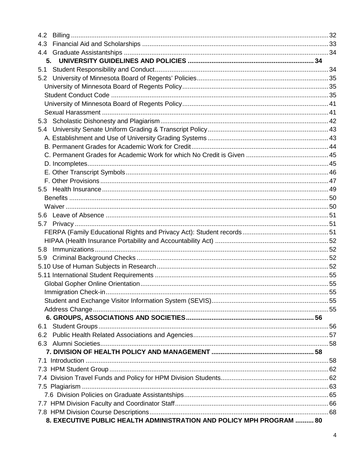| 4.2                                                                  |  |
|----------------------------------------------------------------------|--|
| 4.3                                                                  |  |
| 4.4                                                                  |  |
| 5.                                                                   |  |
| 5.1                                                                  |  |
| 5.2                                                                  |  |
|                                                                      |  |
|                                                                      |  |
|                                                                      |  |
|                                                                      |  |
|                                                                      |  |
| 5.4                                                                  |  |
|                                                                      |  |
|                                                                      |  |
|                                                                      |  |
|                                                                      |  |
|                                                                      |  |
|                                                                      |  |
|                                                                      |  |
|                                                                      |  |
|                                                                      |  |
|                                                                      |  |
|                                                                      |  |
|                                                                      |  |
|                                                                      |  |
| 5.8                                                                  |  |
| 5.9                                                                  |  |
|                                                                      |  |
|                                                                      |  |
|                                                                      |  |
|                                                                      |  |
|                                                                      |  |
|                                                                      |  |
|                                                                      |  |
| 6.1                                                                  |  |
| 6.2                                                                  |  |
|                                                                      |  |
|                                                                      |  |
|                                                                      |  |
|                                                                      |  |
|                                                                      |  |
|                                                                      |  |
|                                                                      |  |
|                                                                      |  |
|                                                                      |  |
| 8. EXECUTIVE PUBLIC HEALTH ADMINISTRATION AND POLICY MPH PROGRAM  80 |  |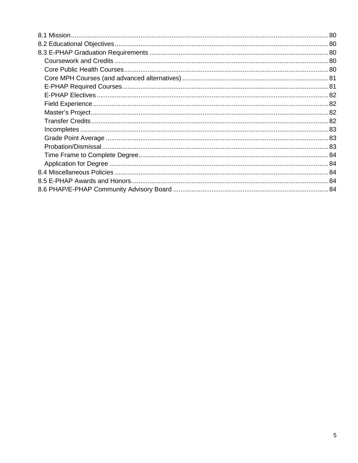| .80 |
|-----|
|     |
|     |
|     |
|     |
|     |
|     |
|     |
|     |
|     |
|     |
|     |
|     |
|     |
|     |
|     |
|     |
|     |
|     |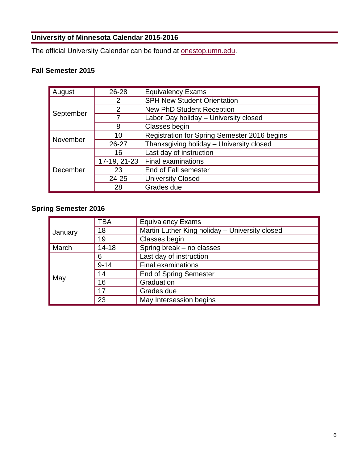### <span id="page-5-0"></span>**University of Minnesota Calendar 2015-2016**

The official University Calendar can be found at [onestop.umn.edu.](http://onestop.umn.edu/)

### <span id="page-5-1"></span>**Fall Semester 2015**

| August    | 26-28          | <b>Equivalency Exams</b>                     |  |
|-----------|----------------|----------------------------------------------|--|
|           | 2              | <b>SPH New Student Orientation</b>           |  |
| September | $\overline{2}$ | <b>New PhD Student Reception</b>             |  |
|           |                | Labor Day holiday - University closed        |  |
|           | 8              | Classes begin                                |  |
| November  | 10             | Registration for Spring Semester 2016 begins |  |
|           | $26 - 27$      | Thanksgiving holiday - University closed     |  |
|           | 16             | Last day of instruction                      |  |
|           | 17-19, 21-23   | <b>Final examinations</b>                    |  |
| December  | 23             | End of Fall semester                         |  |
|           | 24-25          | <b>University Closed</b>                     |  |
|           | 28             | Grades due                                   |  |

### <span id="page-5-2"></span>**Spring Semester 2016**

|                                                 | TBA      | <b>Equivalency Exams</b>                       |
|-------------------------------------------------|----------|------------------------------------------------|
| January                                         | 18       | Martin Luther King holiday - University closed |
|                                                 | 19       | Classes begin                                  |
| Spring break - no classes<br>March<br>$14 - 18$ |          |                                                |
|                                                 | 6        | Last day of instruction                        |
|                                                 | $9 - 14$ | <b>Final examinations</b>                      |
|                                                 | 14       | <b>End of Spring Semester</b>                  |
| May                                             | 16       | Graduation                                     |
|                                                 | 17       | Grades due                                     |
|                                                 | 23       | May Intersession begins                        |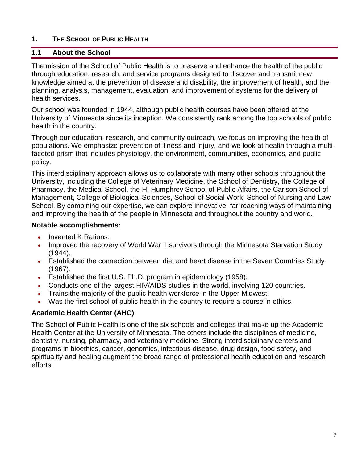#### <span id="page-6-0"></span>**1. THE SCHOOL OF PUBLIC HEALTH**

#### <span id="page-6-1"></span>**1.1 About the School**

The mission of the School of Public Health is to preserve and enhance the health of the public through education, research, and service programs designed to discover and transmit new knowledge aimed at the prevention of disease and disability, the improvement of health, and the planning, analysis, management, evaluation, and improvement of systems for the delivery of health services.

Our school was founded in 1944, although public health courses have been offered at the University of Minnesota since its inception. We consistently rank among the top schools of public health in the country.

Through our education, research, and community outreach, we focus on improving the health of populations. We emphasize prevention of illness and injury, and we look at health through a multifaceted prism that includes physiology, the environment, communities, economics, and public policy.

This interdisciplinary approach allows us to collaborate with many other schools throughout the University, including the College of Veterinary Medicine, the School of Dentistry, the College of Pharmacy, the Medical School, the H. Humphrey School of Public Affairs, the Carlson School of Management, College of Biological Sciences, School of Social Work, School of Nursing and Law School. By combining our expertise, we can explore innovative, far-reaching ways of maintaining and improving the health of the people in Minnesota and throughout the country and world.

#### <span id="page-6-2"></span>**Notable accomplishments:**

- Invented K Rations.
- Improved the recovery of World War II survivors through the Minnesota Starvation Study (1944).
- Established the connection between diet and heart disease in the Seven Countries Study (1967).
- Established the first U.S. Ph.D. program in epidemiology (1958).
- Conducts one of the largest HIV/AIDS studies in the world, involving 120 countries.
- Trains the majority of the public health workforce in the Upper Midwest.
- Was the first school of public health in the country to require a course in ethics.

#### <span id="page-6-3"></span>**Academic Health Center (AHC)**

The School of Public Health is one of the six schools and colleges that make up the Academic Health Center at the University of Minnesota. The others include the disciplines of medicine, dentistry, nursing, pharmacy, and veterinary medicine. Strong interdisciplinary centers and programs in bioethics, cancer, genomics, infectious disease, drug design, food safety, and spirituality and healing augment the broad range of professional health education and research efforts.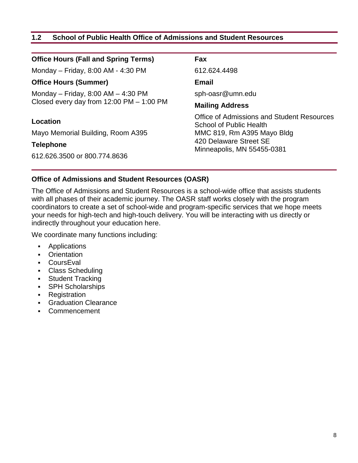#### <span id="page-7-0"></span>**1.2 School of Public Health Office of Admissions and Student Resources**

| <b>Office Hours (Fall and Spring Terms)</b> | <b>Fax</b>                                                            |  |  |
|---------------------------------------------|-----------------------------------------------------------------------|--|--|
| Monday - Friday, 8:00 AM - 4:30 PM          | 612.624.4498                                                          |  |  |
| <b>Office Hours (Summer)</b>                | <b>Email</b>                                                          |  |  |
| Monday – Friday, 8:00 AM – 4:30 PM          | sph-oasr@umn.edu                                                      |  |  |
| Closed every day from 12:00 PM - 1:00 PM    | <b>Mailing Address</b>                                                |  |  |
| Location                                    | Office of Admissions and Student Resources<br>School of Public Health |  |  |
| Mayo Memorial Building, Room A395           | MMC 819, Rm A395 Mayo Bldg                                            |  |  |
| <b>Telephone</b>                            | 420 Delaware Street SE<br>Minneapolis, MN 55455-0381                  |  |  |
| 612.626.3500 or 800.774.8636                |                                                                       |  |  |
|                                             |                                                                       |  |  |

#### <span id="page-7-1"></span>**Office of Admissions and Student Resources (OASR)**

The Office of Admissions and Student Resources is a school-wide office that assists students with all phases of their academic journey. The OASR staff works closely with the program coordinators to create a set of school-wide and program-specific services that we hope meets your needs for high-tech and high-touch delivery. You will be interacting with us directly or indirectly throughout your education here.

We coordinate many functions including:

- **Applications**
- **Crientation**
- CoursEval
- Class Scheduling
- **Student Tracking**
- SPH Scholarships
- **Registration**
- **Graduation Clearance**
- Commencement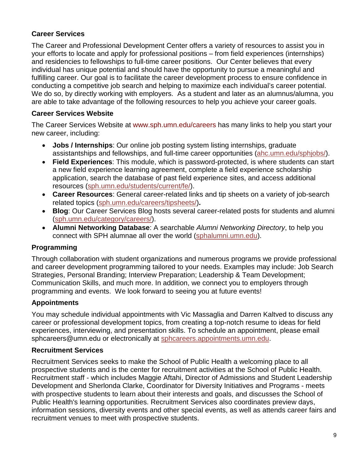#### **Career Services**

The Career and Professional Development Center offers a variety of resources to assist you in your efforts to locate and apply for professional positions – from field experiences (internships) and residencies to fellowships to full-time career positions. Our Center believes that every individual has unique potential and should have the opportunity to pursue a meaningful and fulfilling career. Our goal is to facilitate the career development process to ensure confidence in conducting a competitive job search and helping to maximize each individual's career potential. We do so, by directly working with employers. As a student and later as an alumnus/alumna, you are able to take advantage of the following resources to help you achieve your career goals.

#### **Career Services Website**

The Career Services Website at [www.sph.umn.edu/careers](http://www.sph.umn.edu/career/) has many links to help you start your new career, including:

- **Jobs / Internships**: Our online job posting system listing internships, graduate assistantships and fellowships, and full-time career opportunities [\(ahc.umn.edu/sphjobs/\)](http://www.ahc.umn.edu/sphjobs/).
- **Field Experiences**: This module, which is password-protected, is where students can start a new field experience learning agreement, complete a field experience scholarship application, search the database of past field experience sites, and access additional resources [\(sph.umn.edu/students/current/fe/\)](http://sph.umn.edu/students/current/fe/).
- **Career Resources**: General career-related links and tip sheets on a variety of job-search related topics [\(sph.umn.edu/careers/tipsheets/\)](http://www.sph.umn.edu/careers/tipsheets/)**.**
- **Blog**: Our Career Services Blog hosts several career-related posts for students and alumni [\(sph.umn.edu/category/careers/\)](http://sph.umn.edu/category/careers/).
- **Alumni Networking Database**: A searchable *Alumni Networking Directory*, to help you connect with SPH alumnae all over the world [\(sphalumni.umn.edu\)](http://sphalumni.umn.edu/).

#### **Programming**

Through collaboration with student organizations and numerous programs we provide professional and career development programming tailored to your needs. Examples may include: Job Search Strategies, Personal Branding; Interview Preparation; Leadership & Team Development; Communication Skills, and much more. In addition, we connect you to employers through programming and events. We look forward to seeing you at future events!

#### **Appointments**

You may schedule individual appointments with Vic Massaglia and Darren Kaltved to discuss any career or professional development topics, from creating a top-notch resume to ideas for field experiences, interviewing, and presentation skills. To schedule an appointment, please email sphcareers@umn.edu or electronically at sphcareers.appointments.umn.edu.

#### <span id="page-8-0"></span>**Recruitment Services**

Recruitment Services seeks to make the School of Public Health a welcoming place to all prospective students and is the center for recruitment activities at the School of Public Health. Recruitment staff - which includes Maggie Aftahi, Director of Admissions and Student Leadership Development and Sherlonda Clarke, Coordinator for Diversity Initiatives and Programs - meets with prospective students to learn about their interests and goals, and discusses the School of Public Health's learning opportunities. Recruitment Services also coordinates preview days, information sessions, diversity events and other special events, as well as attends career fairs and recruitment venues to meet with prospective students.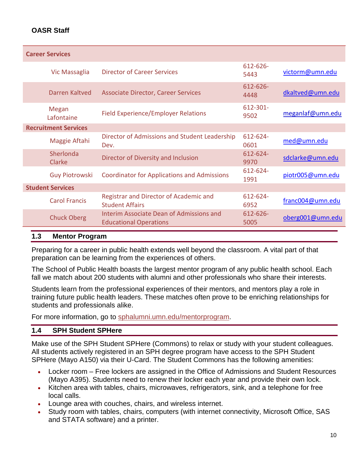### <span id="page-9-0"></span>**OASR Staff**

| <b>Career Services</b>      |                                                                                  |                  |                  |
|-----------------------------|----------------------------------------------------------------------------------|------------------|------------------|
| <b>Vic Massaglia</b>        | <b>Director of Career Services</b>                                               | 612-626-<br>5443 | victorm@umn.edu  |
| Darren Kaltved              | <b>Associate Director, Career Services</b>                                       | 612-626-<br>4448 | dkaltved@umn.edu |
| Megan<br>Lafontaine         | Field Experience/Employer Relations                                              | 612-301-<br>9502 | meganlaf@umn.edu |
| <b>Recruitment Services</b> |                                                                                  |                  |                  |
| Maggie Aftahi               | Director of Admissions and Student Leadership<br>Dev.                            | 612-624-<br>0601 | med@umn.edu      |
| Sherlonda<br>Clarke         | Director of Diversity and Inclusion                                              | 612-624-<br>9970 | sdclarke@umn.edu |
| <b>Guy Piotrowski</b>       | <b>Coordinator for Applications and Admissions</b>                               | 612-624-<br>1991 | piotr005@umn.edu |
| <b>Student Services</b>     |                                                                                  |                  |                  |
| <b>Carol Francis</b>        | Registrar and Director of Academic and<br><b>Student Affairs</b>                 | 612-624-<br>6952 | franc004@umn.edu |
| <b>Chuck Oberg</b>          | <b>Interim Associate Dean of Admissions and</b><br><b>Educational Operations</b> | 612-626-<br>5005 | oberg001@umn.edu |

#### <span id="page-9-1"></span>**1.3 Mentor Program**

Preparing for a career in public health extends well beyond the classroom. A vital part of that preparation can be learning from the experiences of others.

The School of Public Health boasts the largest mentor program of any public health school. Each fall we match about 200 students with alumni and other professionals who share their interests.

Students learn from the professional experiences of their mentors, and mentors play a role in training future public health leaders. These matches often prove to be enriching relationships for students and professionals alike.

For more information, go to [sphalumni.umn.edu/mentorprogram.](http://sphalumni.umn.edu/mentorprogram)

#### <span id="page-9-2"></span>**1.4 SPH Student SPHere**

Make use of the SPH Student SPHere (Commons) to relax or study with your student colleagues. All students actively registered in an SPH degree program have access to the SPH Student SPHere (Mayo A150) via their U-Card. The Student Commons has the following amenities:

- Locker room Free lockers are assigned in the Office of Admissions and Student Resources (Mayo A395). Students need to renew their locker each year and provide their own lock.
- Kitchen area with tables, chairs, microwaves, refrigerators, sink, and a telephone for free local calls.
- Lounge area with couches, chairs, and wireless internet.
- Study room with tables, chairs, computers (with internet connectivity, Microsoft Office, SAS and STATA software) and a printer.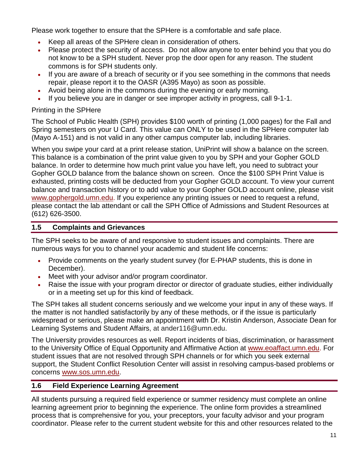Please work together to ensure that the SPHere is a comfortable and safe place.

- Keep all areas of the SPHere clean in consideration of others.
- Please protect the security of access. Do not allow anyone to enter behind you that you do not know to be a SPH student. Never prop the door open for any reason. The student commons is for SPH students only.
- If you are aware of a breach of security or if you see something in the commons that needs repair, please report it to the OASR (A395 Mayo) as soon as possible.
- Avoid being alone in the commons during the evening or early morning.
- If you believe you are in danger or see improper activity in progress, call 9-1-1.

#### Printing in the SPHere

The School of Public Health (SPH) provides \$100 worth of printing (1,000 pages) for the Fall and Spring semesters on your U Card. This value can ONLY to be used in the SPHere computer lab (Mayo A-151) and is not valid in any other campus computer lab, including libraries.

When you swipe your card at a print release station, UniPrint will show a balance on the screen. This balance is a combination of the print value given to you by SPH and your Gopher GOLD balance. In order to determine how much print value you have left, you need to subtract your Gopher GOLD balance from the balance shown on screen. Once the \$100 SPH Print Value is exhausted, printing costs will be deducted from your Gopher GOLD account. To view your current balance and transaction history or to add value to your Gopher GOLD account online, please visit [www.gophergold.umn.edu.](http://www.gophergold.umn.edu/) If you experience any printing issues or need to request a refund, please contact the lab attendant or call the SPH Office of Admissions and Student Resources at (612) 626-3500.

#### <span id="page-10-0"></span>**1.5 Complaints and Grievances**

The SPH seeks to be aware of and responsive to student issues and complaints. There are numerous ways for you to channel your academic and student life concerns:

- Provide comments on the yearly student survey (for E-PHAP students, this is done in December).
- Meet with your advisor and/or program coordinator.
- Raise the issue with your program director or director of graduate studies, either individually or in a meeting set up for this kind of feedback.

The SPH takes all student concerns seriously and we welcome your input in any of these ways. If the matter is not handled satisfactorily by any of these methods, or if the issue is particularly widespread or serious, please make an appointment with Dr. [Kristin](mailto:Kristin) Anderson, Associate Dean for Learning Systems and Student Affairs, at ander116@umn.edu.

The University provides resources as well. Report incidents of bias, discrimination, or harassment to the University Office of Equal Opportunity and Affirmative Action at [www.eoaffact.umn.edu.](http://www.eoaffact.umn.edu/) For student issues that are not resolved through SPH channels or for which you seek external support, the Student Conflict Resolution Center will assist in resolving campus-based problems or concerns [www.sos.umn.edu.](http://www.sos.umn.edu/)

### <span id="page-10-1"></span>**1.6 Field Experience Learning Agreement**

All students pursuing a required field experience or summer residency must complete an online learning agreement prior to beginning the experience. The online form provides a streamlined process that is comprehensive for you, your preceptors, your faculty advisor and your program coordinator. Please refer to the current student website for this and other resources related to the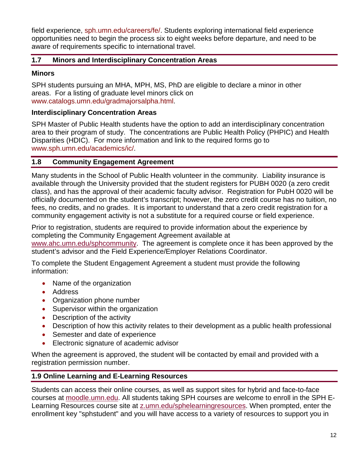field experience, [sph.umn.edu/careers/fe/.](http://www.sph.umn.edu/careers/fe/) Students exploring international field experience opportunities need to begin the process six to eight weeks before departure, and need to be aware of requirements specific to international travel.

#### <span id="page-11-0"></span>**1.7 Minors and Interdisciplinary Concentration Areas**

#### **Minors**

SPH students pursuing an MHA, MPH, MS, PhD are eligible to declare a minor in other areas. For a listing of graduate level minors click on [www.catalogs.umn.edu/gradmajorsalpha.html](http://www.catalogs.umn.edu/gradmajorsalpha.html).

#### **Interdisciplinary Concentration Areas**

SPH Master of Public Health students have the option to add an interdisciplinary concentration area to their program of study. The concentrations are Public Health Policy (PHPIC) and Health Disparities (HDIC). For more information and link to the required forms go to [www.sph.umn.edu/academics/ic/.](http://www.sph.umn.edu/academics/ic/)

#### <span id="page-11-1"></span>**1.8 Community Engagement Agreement**

Many students in the School of Public Health volunteer in the community. Liability insurance is available through the University provided that the student registers for PUBH 0020 (a zero credit class), and has the approval of their academic faculty advisor. Registration for PubH 0020 will be officially documented on the student's transcript; however, the zero credit course has no tuition, no fees, no credits, and no grades. It is important to understand that a zero credit registration for a community engagement activity is not a substitute for a required course or field experience.

Prior to registration, students are required to provide information about the experience by completing the Community Engagement Agreement available at

[www.ahc.umn.edu/sphcommunity.](http://www.ahc.umn.edu/sphcommunity) The agreement is complete once it has been approved by the student's advisor and the Field Experience/Employer Relations Coordinator.

To complete the Student Engagement Agreement a student must provide the following information:

- Name of the organization
- Address
- Organization phone number
- Supervisor within the organization
- Description of the activity
- Description of how this activity relates to their development as a public health professional
- Semester and date of experience
- Electronic signature of academic advisor

When the agreement is approved, the student will be contacted by email and provided with a registration permission number.

#### <span id="page-11-2"></span>**1.9 Online Learning and E-Learning Resources**

Students can access their online courses, as well as support sites for hybrid and face-to-face courses at [moodle.umn.edu.](http://moodle.umn.edu/) All students taking SPH courses are welcome to enroll in the SPH E-Learning Resources course site at [z.umn.edu/sphelearningresources.](http://z.umn.edu/sphelearningresources) When prompted, enter the enrollment key "sphstudent" and you will have access to a variety of resources to support you in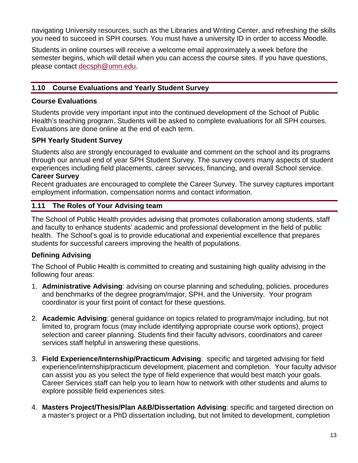navigating University resources, such as the Libraries and Writing Center, and refreshing the skills you need to succeed in SPH courses. You must have a university ID in order to access Moodle.

Students in online courses will receive a welcome email approximately a week before the semester begins, which will detail when you can access the course sites. If you have questions, please contact [decsph@umn.edu.](mailto:decsph@umn.edu)

#### <span id="page-12-0"></span>**1.10 Course Evaluations and Yearly Student Survey**

#### <span id="page-12-1"></span>**Course Evaluations**

Students provide very important input into the continued development of the School of Public Health's teaching program. Students will be asked to complete evaluations for all SPH courses. Evaluations are done online at the end of each term.

#### <span id="page-12-2"></span>**SPH Yearly Student Survey**

Students also are strongly encouraged to evaluate and comment on the school and its programs through our annual end of year SPH Student Survey. The survey covers many aspects of student experiences including field placements, career services, financing, and overall School service.

#### **Career Survey**

Recent graduates are encouraged to complete the Career Survey. The survey captures important employment information, compensation norms and contact information.

#### <span id="page-12-3"></span>**1.11 The Roles of Your Advising team**

The School of Public Health provides advising that promotes collaboration among students, staff and faculty to enhance students' academic and professional development in the field of public health. The School's goal is to provide educational and experiential excellence that prepares students for successful careers improving the health of populations.

#### **Defining Advising**

The School of Public Health is committed to creating and sustaining high quality advising in the following four areas:

- 1. **Administrative Advising**: advising on course planning and scheduling, policies, procedures and benchmarks of the degree program/major, SPH, and the University. Your program coordinator is your first point of contact for these questions.
- 2. **Academic Advising**: general guidance on topics related to program/major including, but not limited to, program focus (may include identifying appropriate course work options), project selection and career planning. Students find their faculty advisors, coordinators and career services staff helpful in answering these questions.
- 3. **Field Experience/Internship/Practicum Advising**: specific and targeted advising for field experience/internship/practicum development, placement and completion. Your faculty advisor can assist you as you select the type of field experience that would best match your goals. Career Services staff can help you to learn how to network with other students and alums to explore possible field experiences sites.
- 4. **Masters Project/Thesis/Plan A&B/Dissertation Advising**: specific and targeted direction on a master's project or a PhD dissertation including, but not limited to development, completion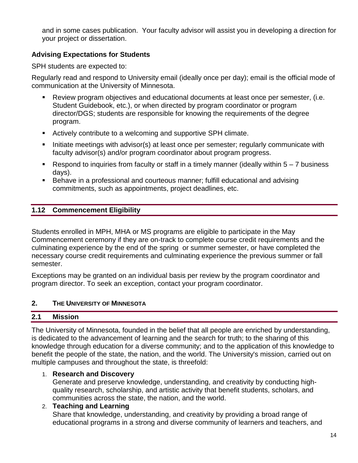and in some cases publication. Your faculty advisor will assist you in developing a direction for your project or dissertation.

#### **Advising Expectations for Students**

SPH students are expected to:

Regularly read and respond to University email (ideally once per day); email is the official mode of communication at the University of Minnesota.

- Review program objectives and educational documents at least once per semester, (i.e. Student Guidebook, etc.), or when directed by program coordinator or program director/DGS; students are responsible for knowing the requirements of the degree program.
- Actively contribute to a welcoming and supportive SPH climate.
- Initiate meetings with advisor(s) at least once per semester; regularly communicate with faculty advisor(s) and/or program coordinator about program progress.
- Respond to inquiries from faculty or staff in a timely manner (ideally within  $5 7$  business days).
- Behave in a professional and courteous manner; fulfill educational and advising commitments, such as appointments, project deadlines, etc.

#### <span id="page-13-0"></span>**1.12 Commencement Eligibility**

Students enrolled in MPH, MHA or MS programs are eligible to participate in the May Commencement ceremony if they are on-track to complete course credit requirements and the culminating experience by the end of the spring or summer semester, or have completed the necessary course credit requirements and culminating experience the previous summer or fall semester.

Exceptions may be granted on an individual basis per review by the program coordinator and program director. To seek an exception, contact your program coordinator.

#### <span id="page-13-1"></span>**2. THE UNIVERSITY OF MINNESOTA**

#### <span id="page-13-2"></span>**2.1 Mission**

The University of Minnesota, founded in the belief that all people are enriched by understanding, is dedicated to the advancement of learning and the search for truth; to the sharing of this knowledge through education for a diverse community; and to the application of this knowledge to benefit the people of the state, the nation, and the world. The University's mission, carried out on multiple campuses and throughout the state, is threefold:

#### 1. **Research and Discovery**

Generate and preserve knowledge, understanding, and creativity by conducting highquality research, scholarship, and artistic activity that benefit students, scholars, and communities across the state, the nation, and the world.

#### 2. **Teaching and Learning**

Share that knowledge, understanding, and creativity by providing a broad range of educational programs in a strong and diverse community of learners and teachers, and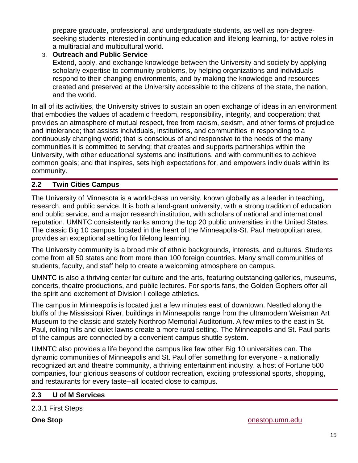prepare graduate, professional, and undergraduate students, as well as non-degreeseeking students interested in continuing education and lifelong learning, for active roles in a multiracial and multicultural world.

3. **Outreach and Public Service**

Extend, apply, and exchange knowledge between the University and society by applying scholarly expertise to community problems, by helping organizations and individuals respond to their changing environments, and by making the knowledge and resources created and preserved at the University accessible to the citizens of the state, the nation, and the world.

In all of its activities, the University strives to sustain an open exchange of ideas in an environment that embodies the values of academic freedom, responsibility, integrity, and cooperation; that provides an atmosphere of mutual respect, free from racism, sexism, and other forms of prejudice and intolerance; that assists individuals, institutions, and communities in responding to a continuously changing world; that is conscious of and responsive to the needs of the many communities it is committed to serving; that creates and supports partnerships within the University, with other educational systems and institutions, and with communities to achieve common goals; and that inspires, sets high expectations for, and empowers individuals within its community.

#### <span id="page-14-0"></span>**2.2 Twin Cities Campus**

The University of Minnesota is a world-class university, known globally as a leader in teaching, research, and public service. It is both a land-grant university, with a strong tradition of education and public service, and a major research institution, with scholars of national and international reputation. UMNTC consistently ranks among the top 20 public universities in the United States. The classic Big 10 campus, located in the heart of the Minneapolis-St. Paul metropolitan area, provides an exceptional setting for lifelong learning.

The University community is a broad mix of ethnic backgrounds, interests, and cultures. Students come from all 50 states and from more than 100 foreign countries. Many small communities of students, faculty, and staff help to create a welcoming atmosphere on campus.

UMNTC is also a thriving center for culture and the arts, featuring outstanding galleries, museums, concerts, theatre productions, and public lectures. For sports fans, the Golden Gophers offer all the spirit and excitement of Division I college athletics.

The campus in Minneapolis is located just a few minutes east of downtown. Nestled along the bluffs of the Mississippi River, buildings in Minneapolis range from the ultramodern Weisman Art Museum to the classic and stately Northrop Memorial Auditorium. A few miles to the east in St. Paul, rolling hills and quiet lawns create a more rural setting. The Minneapolis and St. Paul parts of the campus are connected by a convenient campus shuttle system.

UMNTC also provides a life beyond the campus like few other Big 10 universities can. The dynamic communities of Minneapolis and St. Paul offer something for everyone - a nationally recognized art and theatre community, a thriving entertainment industry, a host of Fortune 500 companies, four glorious seasons of outdoor recreation, exciting professional sports, shopping, and restaurants for every taste--all located close to campus.

#### <span id="page-14-1"></span>**2.3 U of M Services**

<span id="page-14-2"></span>2.3.1 First Steps

**One Stop One Stop [onestop.umn.edu](http://onestop.umn.edu/)**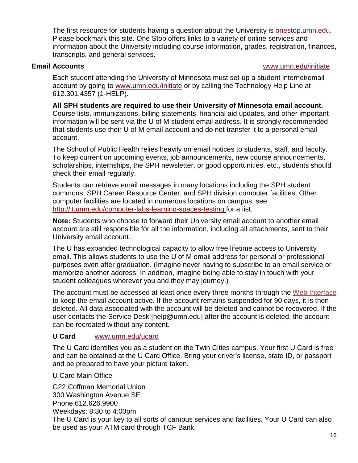The first resource for students having a question about the University is [onestop.umn.edu.](http://onestop.umn.edu/) Please bookmark this site. One Stop offers links to a variety of online services and information about the University including course information, grades, registration, finances, transcripts, and general services.

#### **Email Accounts** [www.umn.edu/initiate](http://www.umn.edu/initiate)

Each student attending the University of Minnesota must set-up a student internet/email account by going to [www.umn.edu/initiate](http://www.umn.edu/initiate) or by calling the Technology Help Line at 612.301.4357 (1-HELP).

**All SPH students are required to use their University of Minnesota email account.**  Course lists, immunizations, billing statements, financial aid updates, and other important information will be sent via the U of M student email address. It is strongly recommended that students use their U of M email account and do not transfer it to a personal email account.

The School of Public Health relies heavily on email notices to students, staff, and faculty. To keep current on upcoming events, job announcements, new course announcements, scholarships, internships, the SPH newsletter, or good opportunities, etc., students should check their email regularly.

Students can retrieve email messages in many locations including the SPH student commons, SPH Career Resource Center, and SPH division computer facilities. Other computer facilities are located in numerous locations on campus; see <http://it.umn.edu/computer-labs-learning-spaces-testing> for a list.

**Note:** Students who choose to forward their University email account to another email account are still responsible for all the information, including all attachments, sent to their University email account.

The U has expanded technological capacity to allow free lifetime access to University email. This allows students to use the U of M email address for personal or professional purposes even after graduation. (Imagine never having to subscribe to an email service or memorize another address! In addition, imagine being able to stay in touch with your student colleagues wherever you and they may journey.)

The account must be accessed at least once every three months through the [Web Interface](http://gmail.umn.edu/) to keep the email account active. If the account remains suspended for 90 days, it is then deleted. All data associated with the account will be deleted and cannot be recovered. If the user contacts the Service Desk [help@umn.edu] after the account is deleted, the account can be recreated without any content.

#### **U Card** [www.umn.edu/ucard](http://www.umn.edu/ucard/)

The U Card identifies you as a student on the Twin Cities campus. Your first U Card is free and can be obtained at the [U Card Office.](http://www1.umn.edu/ucard/umtc/tcget.html) Bring your driver's license, state ID, or passport and be prepared to have your picture taken.

#### U Card Main Office

G22 Coffman Memorial Union 300 Washington Avenue SE Phone 612.626.9900 Weekdays: 8:30 to 4:00pm The U Card is your key to all sorts of [campus services and facilities.](http://www1.umn.edu/ucard/umtc/tcuse.html) Your U Card can also be used as your [ATM card](http://www1.umn.edu/ucard/umtc/tcchecking.html) through TCF Bank.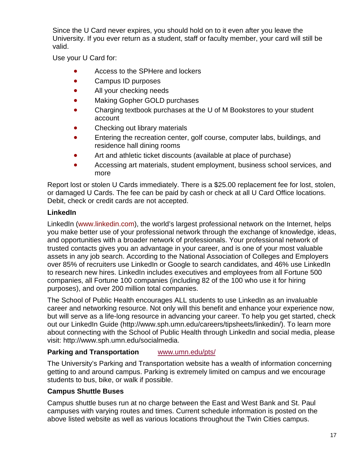Since the U Card never expires, you should hold on to it even after you leave the University. If you ever return as a student, staff or faculty member, your card will still be valid.

Use your U Card for:

- Access to the SPHere and lockers
- Campus ID purposes
- All your [checking](http://www1.umn.edu/ucard/umtc/tcchecking.html) needs
- Making [Gopher GOLD](http://www1.umn.edu/ucard/umtc/tcg4g.html) purchases
- Charging textbook purchases at the U of M Bookstores to your student account
- Checking out [library](http://www.lib.umn.edu/) materials
- Entering the [recreation center,](http://www.recsports.umn.edu/) golf course, [computer labs,](http://www.umn.edu/adcs/info/publabs.html) buildings, and [residence hall dining rooms](http://www1.umn.edu/dining/reshall/)
- Art and [athletic ticket](http://www.gophersports.com/) discounts (available at place of purchase)
- Accessing art materials, student employment, business school services, and more

Report lost or stolen U Cards immediately. There is a \$25.00 [replacement](http://www1.umn.edu/ucard/umtc/tcreplace.html) fee for lost, stolen, or damaged U Cards. The fee can be paid by cash or check at all U Card Office locations. Debit, check or credit cards are not accepted.

#### **LinkedIn**

LinkedIn [\(www.linkedin.com\)](http://www.linkedin.com/), the world's largest professional network on the Internet, helps you make better use of your professional network through the exchange of knowledge, ideas, and opportunities with a broader network of professionals. Your professional network of trusted contacts gives you an advantage in your career, and is one of your most valuable assets in any job search. According to the National Association of Colleges and Employers over 85% of recruiters use LinkedIn or Google to search candidates, and 46% use LinkedIn to research new hires. LinkedIn includes executives and employees from all Fortune 500 companies, all Fortune 100 companies (including 82 of the 100 who use it for hiring purposes), and over 200 million total companies.

The School of Public Health encourages ALL students to use LinkedIn as an invaluable career and networking resource. Not only will this benefit and enhance your experience now, but will serve as a life-long resource in advancing your career. To help you get started, check out our LinkedIn Guide [\(http://www.sph.umn.edu/careers/tipsheets/linkedin/\)](http://www.sph.umn.edu/careers/tipsheets/linkedin/). To learn more about connecting with the School of Public Health through LinkedIn and social media, please visit: [http://www.sph.umn.edu/socialmedia.](http://www.sph.umn.edu/socialmedia)

#### **Parking and Transportation** [www.umn.edu/pts/](http://www1.umn.edu/pts/)

The University's Parking and Transportation website has a wealth of information concerning getting to and around campus. Parking is extremely limited on campus and we encourage students to bus, bike, or walk if possible.

#### **Campus Shuttle Buses**

Campus shuttle buses run at no charge between the East and West Bank and St. Paul campuses with varying routes and times. Current schedule information is posted on the above listed website as well as various locations throughout the Twin Cities campus.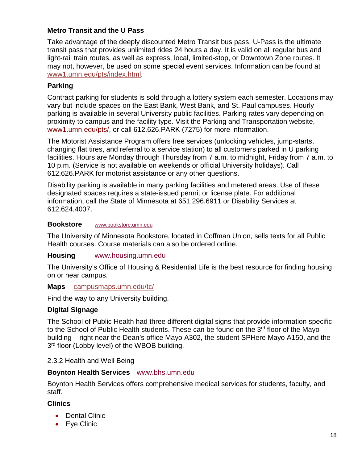#### **Metro Transit and the U Pass**

Take advantage of the deeply discounted Metro Transit bus pass. U-Pass is the ultimate transit pass that provides unlimited rides 24 hours a day. It is valid on all regular bus and light-rail train routes, as well as express, local, limited-stop, or Downtown Zone routes. It may not, however, be used on some special event services. Information can be found at www1.umn.edu/pts/index.html.

#### **Parking**

Contract parking for students is sold through a lottery system each semester. Locations may vary but include spaces on the East Bank, West Bank, and St. Paul campuses. Hourly parking is available in several University public facilities. Parking rates vary depending on proximity to campus and the facility type. Visit the Parking and Transportation website, [www1.umn.edu/pts/,](http://www1.umn.edu/pts/) or call 612.626.PARK (7275) for more information.

The Motorist Assistance Program offers free services (unlocking vehicles, jump-starts, changing flat tires, and referral to a service station) to all customers parked in U parking facilities. Hours are Monday through Thursday from 7 a.m. to midnight, Friday from 7 a.m. to 10 p.m. (Service is not available on weekends or official University holidays). Call 612.626.PARK for motorist assistance or any other questions.

Disability parking is available in many parking facilities and metered areas. Use of these designated spaces requires a state-issued permit or license plate. For additional information, call the State of Minnesota at 651.296.6911 or Disability Services at 612.624.4037.

#### **Bookstore** [www.bookstore.umn.edu](http://www.bookstore.umn.edu/)

The University of Minnesota Bookstore, located in Coffman Union, sells texts for all Public Health courses. Course materials can also be ordered online.

#### **Housing** [www.housing.umn.edu](http://www.housing.umn.edu/)

The University's Office of Housing & Residential Life is the best resource for finding housing on or near campus.

#### **Maps** [campusmaps.umn.edu/tc/](http://campusmaps.umn.edu/tc/)

Find the way to any University building.

#### **Digital Signage**

The School of Public Health had three different digital signs that provide information specific to the School of Public Health students. These can be found on the 3<sup>rd</sup> floor of the Mayo building – right near the Dean's office Mayo A302, the student SPHere Mayo A150, and the 3<sup>rd</sup> floor (Lobby level) of the WBOB building.

<span id="page-17-0"></span>2.3.2 Health and Well Being

#### **Boynton Health Services** [www.bhs.umn.edu](http://www.bhs.umn.edu/)

Boynton Health Services offers comprehensive medical services for students, faculty, and staff.

#### **Clinics**

- [Dental Clinic](http://www.bhs.umn.edu/services/dentalclinic.htm)
- [Eye Clinic](http://www.bhs.umn.edu/services/eyeclinic.htm)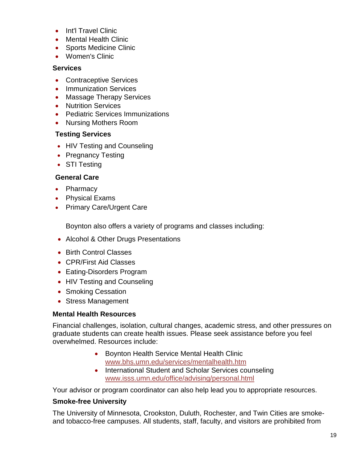- [Int'l Travel Clinic](http://www.bhs.umn.edu/services/internationalclinic.htm)
- [Mental Health Clinic](http://www.bhs.umn.edu/services/mentalhealth.htm)
- [Sports Medicine Clinic](http://www.bhs.umn.edu/services/sportsmed.htm)
- [Women's Clinic](http://www.bhs.umn.edu/services/womensclinic.htm)

#### **Services**

- [Contraceptive Services](http://www.bhs.umn.edu/services/contraceptive.htm)
- [Immunization Services](http://www.bhs.umn.edu/services/immunizationservices.htm)
- [Massage Therapy Services](http://www.bhs.umn.edu/services/massage.htm)
- [Nutrition Services](http://www.bhs.umn.edu/services/nutrition.htm)
- [Pediatric Services](http://www.bhs.umn.edu/services/pediatric.htm) Immunizations
- [Nursing Mothers Room](http://www.bhs.umn.edu/services/specialist.htm)

#### **Testing Services**

- [HIV Testing and Counseling](http://www.bhs.umn.edu/services/hiv.htm)
- [Pregnancy Testing](http://www.bhs.umn.edu/services/pregnancy.htm)
- [STI Testing](http://www.bhs.umn.edu/services/sti.htm)

#### **General Care**

- [Pharmacy](http://www.bhs.umn.edu/services/pharmacy.htm)
- [Physical Exams](http://www.bhs.umn.edu/services/physicalexams.htm)
- [Primary Care/](http://www.bhs.umn.edu/services/primarycare.htm)Urgent Care

Boynton also offers a variety of programs and classes including:

- [Alcohol & Other Drugs Presentations](http://www.bhs.umn.edu/alcohol/index.htm)
- [Birth Control Classes](http://www.bhs.umn.edu/programs/birthcontrol.htm)
- [CPR/First Aid Classes](http://www.bhs.umn.edu/cpr/index.htm)
- [Eating-Disorders Program](http://www.bhs.umn.edu/programs/eatingdisorder.htm)
- [HIV Testing and Counseling](http://www.bhs.umn.edu/programs/hiv.htm)
- [Smoking Cessation](http://www.bhs.umn.edu/programs/nosmoking.htm)
- [Stress Management](http://www.bhs.umn.edu/comfortzone/index.htm)

#### **Mental Health Resources**

Financial challenges, isolation, cultural changes, academic stress, and other pressures on graduate students can create health issues. Please seek assistance before you feel overwhelmed. Resources include:

- Boynton Health Service Mental Health Clinic [www.bhs.umn.edu/services/mentalhealth.htm](http://www.bhs.umn.edu/services/mentalhealth.htm)
- International Student and Scholar Services counseling [www.isss.umn.edu/office/advising/personal.html](http://www.isss.umn.edu/office/advising/personal.html)

Your advisor or program coordinator can also help lead you to appropriate resources.

#### **Smoke-free University**

The University of Minnesota, Crookston, Duluth, Rochester, and Twin Cities are smokeand tobacco-free campuses. All students, staff, faculty, and visitors are prohibited from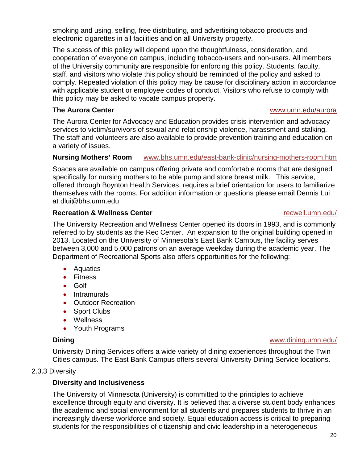smoking and using, selling, free distributing, and advertising tobacco products and electronic cigarettes in all facilities and on all University property.

The success of this policy will depend upon the thoughtfulness, consideration, and cooperation of everyone on campus, including tobacco-users and non-users. All members of the University community are responsible for enforcing this policy. Students, faculty, staff, and visitors who violate this policy should be reminded of the policy and asked to comply. Repeated violation of this policy may be cause for disciplinary action in accordance with applicable student or employee codes of conduct. Visitors who refuse to comply with this policy may be asked to vacate campus property.

#### **The Aurora Center** [www.umn.edu/aurora](http://www.umn.edu/aurora)

The Aurora Center for Advocacy and Education provides [crisis intervention and advocacy](http://www1.umn.edu/sexviol/services.htm)  [services](http://www1.umn.edu/sexviol/services.htm) to victim/survivors of sexual and relationship violence, harassment and stalking. The staff and [volunteers](http://www1.umn.edu/sexviol/volunteer.htm) are also available to provide [prevention training and education](http://www1.umn.edu/sexviol/prevention.htm) on a variety of issues.

### **Nursing Mothers' Room** [www.bhs.umn.edu/east-bank-clinic/nursing-mothers-room.htm](http://www.bhs.umn.edu/east-bank-clinic/nursing-mothers-room.htm)

Spaces are available on campus offering private and comfortable rooms that are designed specifically for nursing mothers to be able pump and store breast milk. This service, offered through Boynton Health Services, requires a brief orientation for users to familiarize themselves with the rooms. For addition information or questions please email Dennis Lui at [dlui@bhs.umn.edu](mailto:dlui@bhs.umn.edu)

#### **Recreation & Wellness Center recording the state of the contract of the contract of the [recwell.umn.edu/](http://recwell.umn.edu/)**

#### The University Recreation and Wellness Center opened its doors in 1993, and is commonly referred to by students as the Rec Center. An expansion to the original building opened in 2013. Located on the University of Minnesota's East Bank Campus, the facility serves between 3,000 and 5,000 patrons on an average weekday during the academic year. The Department of Recreational Sports also offers opportunities for the following:

- Aquatics
- Fitness
- Golf
- Intramurals
- Outdoor Recreation
- Sport Clubs
- Wellness
- Youth Programs

#### **Dining** [www.dining.umn.edu/](http://www.dining.umn.edu/)

University Dining Services offers a wide variety of dining experiences throughout the Twin Cities campus. The East Bank Campus offers several University Dining Service locations.

### <span id="page-19-0"></span>2.3.3 Diversity

### **Diversity and Inclusiveness**

The University of Minnesota (University) is committed to the principles to achieve excellence through equity and diversity. It is believed that a diverse student body enhances the academic and social environment for all students and prepares students to thrive in an increasingly diverse workforce and society. Equal education access is critical to preparing students for the responsibilities of citizenship and civic leadership in a heterogeneous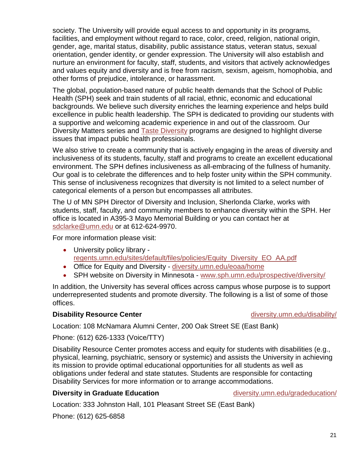society. The University will provide equal access to and opportunity in its programs, facilities, and employment without regard to race, color, creed, religion, national origin, gender, age, marital status, disability, public assistance status, veteran status, sexual orientation, gender identity, or gender expression. The University will also establish and nurture an environment for faculty, staff, students, and visitors that actively acknowledges and values equity and diversity and is free from racism, sexism, ageism, homophobia, and other forms of prejudice, intolerance, or harassment.

The global, population-based nature of public health demands that the School of Public Health (SPH) seek and train students of all racial, ethnic, economic and educational backgrounds. We believe such diversity enriches the learning experience and helps build excellence in public health leadership. The SPH is dedicated to providing our students with a supportive and welcoming academic experience in and out of the classroom. Our Diversity Matters series and [Taste Diversity](https://www.youtube.com/watch?v=x7GQaTFRJec&feature=youtu.be) programs are designed to highlight diverse issues that impact public health professionals.

We also strive to create a community that is actively engaging in the areas of diversity and inclusiveness of its students, faculty, staff and programs to create an excellent educational environment. The SPH defines inclusiveness as all-embracing of the fullness of humanity. Our goal is to celebrate the differences and to help foster unity within the SPH community. This sense of inclusiveness recognizes that diversity is not limited to a select number of categorical elements of a person but encompasses all attributes.

The U of MN SPH Director of Diversity and Inclusion, Sherlonda Clarke, works with students, staff, faculty, and community members to enhance diversity within the SPH. Her office is located in A395-3 Mayo Memorial Building or you can contact her at sdclarke@umn.edu or at 612-624-9970.

For more information please visit:

- University policy library [regents.umn.edu/sites/default/files/policies/Equity\\_Diversity\\_EO\\_AA.pdf](http://regents.umn.edu/sites/default/files/policies/Equity_Diversity_EO_AA.pdf)
- Office for Equity and Diversity [diversity.umn.edu/eoaa/home](https://diversity.umn.edu/eoaa/home)
- SPH website on Diversity in Minnesota [www.sph.umn.edu/prospective/diversity/](http://www.sph.umn.edu/prospective/diversity/)

In addition, the University has several offices across campus whose purpose is to support underrepresented students and promote diversity. The following is a list of some of those offices.

#### **Disability Resource Center** [diversity.umn.edu/disability/](https://diversity.umn.edu/disability/)

Location: 108 McNamara Alumni Center, 200 Oak Street SE (East Bank)

Phone: (612) 626-1333 (Voice/TTY)

Disability Resource Center promotes access and equity for students with disabilities (e.g., physical, learning, psychiatric, sensory or systemic) and assists the University in achieving its mission to provide optimal educational opportunities for all students as well as obligations under federal and state statutes. Students are responsible for contacting Disability Services for more information or to arrange accommodations.

#### **Diversity in Graduate Education** [diversity.umn.edu/gradeducation/](https://diversity.umn.edu/gradeducation/)

Location: 333 Johnston Hall, 101 Pleasant Street SE (East Bank)

Phone: (612) 625-6858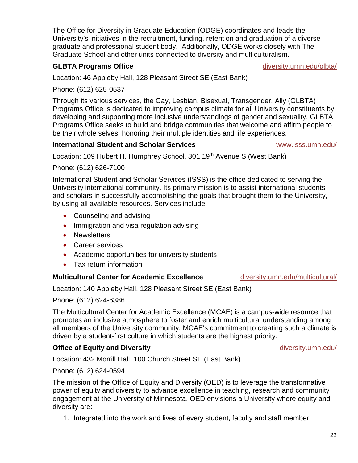The Office for Diversity in Graduate Education (ODGE) coordinates and leads the University's initiatives in the recruitment, funding, retention and graduation of a diverse graduate and professional student body. Additionally, ODGE works closely with The Graduate School and other units connected to diversity and multiculturalism.

### **GLBTA Programs Office [diversity.umn.edu/glbta/](https://diversity.umn.edu/glbta/)**

Location: 46 Appleby Hall, 128 Pleasant Street SE (East Bank)

Phone: (612) 625-0537

Through its various services, the Gay, Lesbian, Bisexual, Transgender, Ally (GLBTA) Programs Office is dedicated to improving campus climate for all University constituents by developing and supporting more inclusive understandings of gender and sexuality. GLBTA Programs Office seeks to build and bridge communities that welcome and affirm people to be their whole selves, honoring their multiple identities and life experiences.

#### **International Student and Scholar Services** With the With With With With With the With the Unitedutedu/

Location: 109 Hubert H. Humphrey School, 301 19<sup>th</sup> Avenue S (West Bank)

Phone: (612) 626-7100

International Student and Scholar Services (ISSS) is the office dedicated to serving the University international community. Its primary mission is to assist international students and scholars in successfully accomplishing the goals that brought them to the University, by using all available resources. Services include:

- Counseling and advising
- Immigration and visa regulation advising
- Newsletters
- Career services
- Academic opportunities for university students
- Tax return information

#### **Multicultural Center for Academic Excellence** [diversity.umn.edu/multicultural/](https://diversity.umn.edu/multicultural/)

Location: 140 Appleby Hall, 128 Pleasant Street SE (East Bank)

Phone: (612) 624-6386

The Multicultural Center for Academic Excellence (MCAE) is a campus-wide resource that promotes an inclusive atmosphere to foster and enrich multicultural understanding among all members of the University community. MCAE's commitment to creating such a climate is driven by a student-first culture in which students are the highest priority.

### **Office of Equity and Diversity** [diversity.umn.edu/](https://diversity.umn.edu/)

Location: 432 Morrill Hall, 100 Church Street SE (East Bank)

Phone: (612) 624-0594

The mission of the Office of Equity and Diversity (OED) is to leverage the transformative power of equity and diversity to advance excellence in teaching, research and community engagement at the University of Minnesota. OED envisions a University where equity and diversity are:

1. Integrated into the work and lives of every student, faculty and staff member.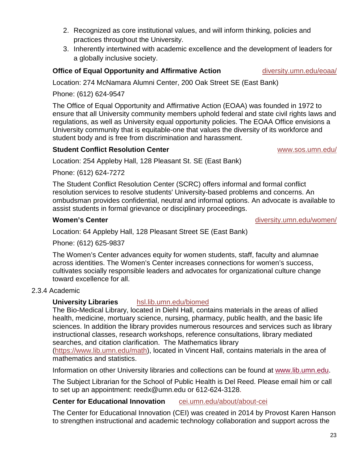- 2. Recognized as core institutional values, and will inform thinking, policies and practices throughout the University.
- 3. Inherently intertwined with academic excellence and the development of leaders for a globally inclusive society.

#### **Office of Equal Opportunity and Affirmative Action** *diversity.umn.edu/eoaa/*

Location: 274 McNamara Alumni Center, 200 Oak Street SE (East Bank)

Phone: (612) 624-9547

The Office of Equal Opportunity and Affirmative Action (EOAA) was founded in 1972 to ensure that all University community members uphold federal and state civil rights laws and regulations, as well as University equal opportunity policies. The EOAA Office envisions a University community that is equitable-one that values the diversity of its workforce and student body and is free from discrimination and harassment.

#### **Student Conflict Resolution Center <b>Student Conflict Resolution Center www.sos.umn.edu/**

Location: 254 Appleby Hall, 128 Pleasant St. SE (East Bank)

Phone: (612) 624-7272

The Student Conflict Resolution Center (SCRC) offers informal and formal conflict resolution services to resolve students' University-based problems and concerns. An ombudsman provides confidential, neutral and informal options. An advocate is available to assist students in formal grievance or disciplinary proceedings.

**Women's Center** diversity.umn.edu/women/

Location: 64 Appleby Hall, 128 Pleasant Street SE (East Bank)

Phone: (612) 625-9837

The Women's Center advances equity for women students, staff, faculty and alumnae across identities. The Women's Center increases connections for women's success, cultivates socially responsible leaders and advocates for organizational culture change toward excellence for all.

#### <span id="page-22-0"></span>2.3.4 Academic

#### **University Libraries** [hsl.lib.umn.edu/biomed](http://hsl.lib.umn.edu/biomed)

The Bio-Medical Library, located in Diehl Hall, contains materials in the areas of allied health, medicine, mortuary science, nursing, pharmacy, public health, and the basic life sciences. In addition the library provides numerous resources and services such as library instructional classes, research workshops, reference consultations, library mediated searches, and citation clarification. The Mathematics library [\(https://www.lib.umn.edu/math\)](https://www.lib.umn.edu/math), located in Vincent Hall, contains materials in the area of mathematics and statistics.

Information on other University libraries and collections can be found at [www.lib.umn.edu.](http://www.lib.umn.edu/)

The Subject Librarian for the School of Public Health is Del Reed. Please email him or call to set up an appointment: [reedx@umn.edu](mailto:reedx@umn.edu) or 612-624-3128.

#### **Center for Educational Innovation** [cei.umn.edu/about/about-cei](http://cei.umn.edu/about/about-cei)

The Center for Educational Innovation (CEI) was created in 2014 by Provost Karen Hanson to strengthen instructional and academic technology collaboration and support across the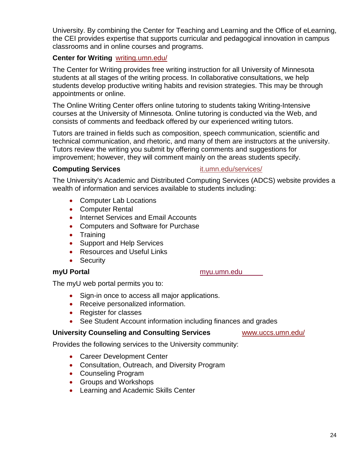University. By combining the Center for Teaching and Learning and the Office of eLearning, the CEI provides expertise that supports curricular and pedagogical innovation in campus classrooms and in online courses and programs.

#### **Center for Writing** [writing.umn.edu/](http://writing.umn.edu/)

The Center for Writing provides free writing instruction for all University of Minnesota students at all stages of the writing process. In [collaborative consultations,](http://writing.umn.edu/sws/appointments.htm) we help students develop productive writing habits and revision strategies. This may be through appointments or online.

The Online Writing Center offers online tutoring to students taking Writing-Intensive courses at the University of Minnesota. Online tutoring is conducted via the Web, and consists of comments and feedback offered by our experienced writing tutors.

Tutors are trained in fields such as composition, speech communication, scientific and technical communication, and rhetoric, and many of them are instructors at the university. Tutors review the writing you submit by offering comments and suggestions for improvement; however, they will comment mainly on the areas students specify.

#### **Computing Services [it.umn.edu/services/](http://it.umn.edu/services/)**

The University's Academic and Distributed Computing Services (ADCS) website provides a wealth of information and services available to students including:

- Computer Lab Locations
- Computer Rental
- Internet Services and Email Accounts
- Computers and Software for Purchase
- Training
- Support and Help Services
- Resources and Useful Links
- Security

The myU web portal permits you to:

- Sign-in once to access all major applications.
- Receive personalized information.
- Register for classes
- See Student Account information including finances and grades

#### **University Counseling and Consulting Services** [www.uccs.umn.edu/](http://www.uccs.umn.edu/)

Provides the following services to the University community:

- Career Development Center
- Consultation, Outreach, and Diversity Program
- Counseling Program
- Groups and Workshops
- Learning and Academic Skills Center

#### **myU Portal** [myu.umn.edu](https://www.myu.umn.edu/metadot/index.pl)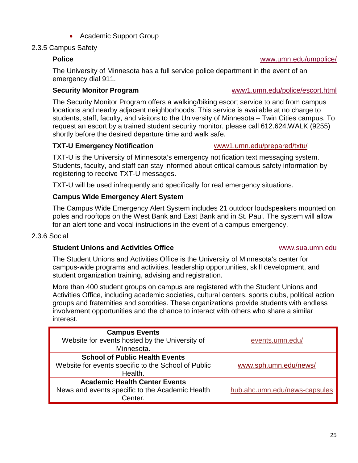• Academic Support Group

#### <span id="page-24-1"></span><span id="page-24-0"></span>2.3.5 Campus Safety

The University of Minnesota has a full service police department in the event of an emergency dial 911.

#### **Security Monitor Program Example 2018** [www1.umn.edu/police/escort.html](http://www.security.umn.edu/)

The Security Monitor Program offers a walking/biking escort service to and from campus locations and nearby adjacent neighborhoods. This service is available at no charge to students, staff, faculty, and visitors to the University of Minnesota – Twin Cities campus. To request an escort by a trained student security monitor, please call 612.624.WALK (9255) shortly before the desired departure time and walk safe.

#### **TXT-U Emergency Notification** [www1.umn.edu/prepared/txtu/](http://www1.umn.edu/prepared/txtu/)

TXT-U is the University of Minnesota's emergency notification text messaging system. Students, faculty, and staff can stay informed about critical campus safety information by registering to receive TXT-U messages.

TXT-U will be used infrequently and specifically for real emergency situations.

#### **Campus Wide Emergency Alert System**

The Campus Wide Emergency Alert System includes 21 outdoor loudspeakers mounted on poles and rooftops on the West Bank and East Bank and in St. Paul. The system will allow for an alert tone and vocal instructions in the event of a campus emergency.

#### <span id="page-24-2"></span>2.3.6 Social

#### **Student Unions and Activities Office** Manual Communication of the WWW.sua.umn.edu

The Student Unions and Activities Office is the University of Minnesota's center for campus-wide programs and activities, leadership opportunities, skill development, and student organization training, advising and registration.

More than 400 student groups on campus are registered with the Student Unions and Activities Office, including academic societies, cultural centers, sports clubs, political action groups and fraternities and sororities. These organizations provide students with endless involvement opportunities and the chance to interact with others who share a similar interest.

| <b>Campus Events</b><br>Website for events hosted by the University of<br>Minnesota.                    | events.umn.edu/               |
|---------------------------------------------------------------------------------------------------------|-------------------------------|
| <b>School of Public Health Events</b><br>Website for events specific to the School of Public<br>Health. | www.sph.umn.edu/news/         |
| <b>Academic Health Center Events</b><br>News and events specific to the Academic Health<br>Center.      | hub.ahc.umn.edu/news-capsules |

#### **Police** [www.umn.edu/umpolice/](http://www.umn.edu/umpolice/)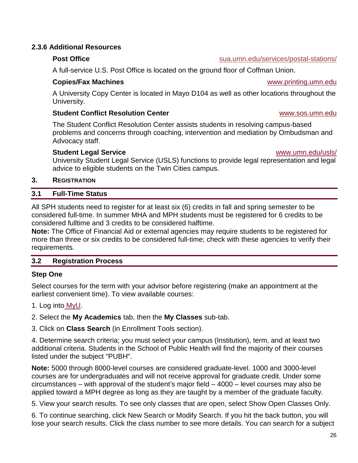#### **2.3.6 Additional Resources**

A full-service U.S. Post Office is located on the ground floor of Coffman Union.

#### **Copies/Fax Machines** [www.printing.umn.edu](http://www.printing.umn.edu/)

A University Copy Center is located in Mayo D104 as well as other locations throughout the University.

#### **Student Conflict Resolution Center** [www.sos.umn.edu](http://www.sos.umn.edu/)

The Student Conflict Resolution Center assists students in resolving campus-based problems and concerns through coaching, intervention and mediation by Ombudsman and Advocacy staff.

#### **Student Legal Service** [www.umn.edu/usls/](http://www.umn.edu/usls/)

University Student Legal Service (USLS) functions to provide legal representation and legal advice to eligible students on the Twin Cities campus.

#### <span id="page-25-0"></span>**3. REGISTRATION**

#### <span id="page-25-1"></span>**3.1 Full-Time Status**

All SPH students need to register for at least six (6) credits in fall and spring semester to be considered full-time. In summer MHA and MPH students must be registered for 6 credits to be considered fulltime and 3 credits to be considered halftime.

**Note:** The Office of Financial Aid or external agencies may require students to be registered for more than three or six credits to be considered full-time; check with these agencies to verify their requirements.

#### <span id="page-25-2"></span>**3.2 Registration Process**

#### <span id="page-25-3"></span>**Step One**

Select courses for the term with your advisor before registering (make an appointment at the earliest convenient time). To view available courses:

1. Log into [MyU.](http://myu.umn.edu/)

2. Select the **My Academics** tab, then the **My Classes** sub-tab.

3. Click on **Class Search** (in Enrollment Tools section).

4. Determine search criteria; you must select your campus (Institution), term, and at least two additional criteria. Students in the School of Public Health will find the majority of their courses listed under the subject "PUBH".

**Note:** 5000 through 8000-level courses are considered graduate-level. 1000 and 3000-level courses are for undergraduates and will not receive approval for graduate credit. Under some circumstances – with approval of the student's major field – 4000 – level courses may also be applied toward a MPH degree as long as they are taught by a member of the graduate faculty.

5. View your search results. To see only classes that are open, select Show Open Classes Only.

6. To continue searching, click New Search or Modify Search. If you hit the back button, you will lose your search results. Click the class number to see more details. You can search for a subject

#### **Post Office sua.umn.edu/services/postal-stations/**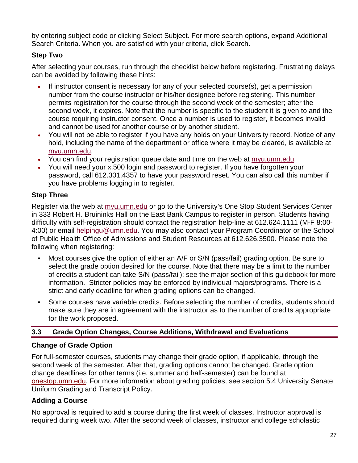by entering subject code or clicking Select Subject. For more search options, expand Additional Search Criteria. When you are satisfied with your criteria, click Search.

### <span id="page-26-0"></span>**Step Two**

After selecting your courses, run through the checklist below before registering. Frustrating delays can be avoided by following these hints:

- If instructor consent is necessary for any of your selected course(s), get a permission number from the course instructor or his/her designee before registering. This number permits registration for the course through the second week of the semester; after the second week, it expires. Note that the number is specific to the student it is given to and the course requiring instructor consent. Once a number is used to register, it becomes invalid and cannot be used for another course or by another student.
- You will not be able to register if you have any holds on your University record. Notice of any hold, including the name of the department or office where it may be cleared, is available at [myu.umn.edu.](http://myu.umn.edu/)
- You can find your registration queue date and time on the web at [myu.umn.edu.](http://myu.umn.edu/)
- You will need your x.500 login and password to register. If you have forgotten your password, call 612.301.4357 to have your password reset. You can also call this number if you have problems logging in to register.

#### <span id="page-26-1"></span>**Step Three**

Register via the web at [myu.umn.edu](http://myu.umn.edu/) or go to the University's One Stop Student Services Center in 333 Robert H. Bruininks Hall on the East Bank Campus to register in person. Students having difficulty with self-registration should contact the registration help-line at 612.624.1111 (M-F 8:00- 4:00) or email [helpingu@umn.edu.](mailto:helpingu@umn.edu) You may also contact your Program Coordinator or the School of Public Health Office of Admissions and Student Resources at 612.626.3500. Please note the following when registering:

- Most courses give the option of either an A/F or S/N (pass/fail) grading option. Be sure to select the grade option desired for the course. Note that there may be a limit to the number of credits a student can take S/N (pass/fail); see the major section of this guidebook for more information. Stricter policies may be enforced by individual majors/programs. There is a strict and early deadline for when grading options can be changed.
- Some courses have variable credits. Before selecting the number of credits, students should make sure they are in agreement with the instructor as to the number of credits appropriate for the work proposed.

#### <span id="page-26-2"></span>**3.3 Grade Option Changes, Course Additions, Withdrawal and Evaluations**

#### **Change of Grade Option**

For full-semester courses, students may change their grade option, if applicable, through the second week of the semester. After that, grading options cannot be changed. Grade option change deadlines for other terms (i.e. summer and half-semester) can be found at [onestop.umn.edu.](http://onestop.umn.edu/) For more information about grading policies, see section 5.4 University Senate Uniform Grading and Transcript Policy.

#### **Adding a Course**

No approval is required to add a course during the first week of classes. Instructor approval is required during week two. After the second week of classes, instructor and college scholastic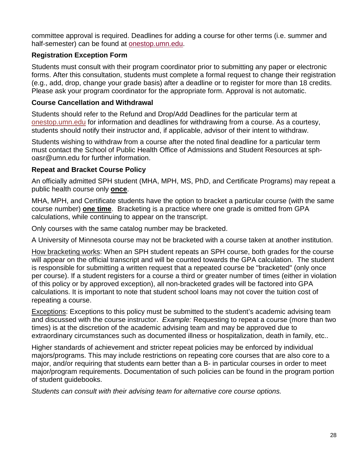committee approval is required. Deadlines for adding a course for other terms (i.e. summer and half-semester) can be found at [onestop.umn.edu.](http://onestop.umn.edu/)

#### **Registration Exception Form**

Students must consult with their program coordinator prior to submitting any paper or electronic forms. After this consultation, students must complete a formal request to change their registration (e.g., add, drop, change your grade basis) after a deadline or to register for more than 18 credits. Please ask your program coordinator for the appropriate form. Approval is not automatic.

#### **Course Cancellation and Withdrawal**

Students should refer to the Refund and Drop/Add Deadlines for the particular term at [onestop.umn.edu](http://onestop.umn.edu/) for information and deadlines for withdrawing from a course. As a courtesy, students should notify their instructor and, if applicable, advisor of their intent to withdraw.

Students wishing to withdraw from a course after the noted final deadline for a particular term must contact the School of Public Health Office of Admissions and Student Resources at [sph](mailto:sph-oasr@umn.edu)[oasr@umn.edu](mailto:sph-oasr@umn.edu) for further information.

#### **Repeat and Bracket Course Policy**

An officially admitted SPH student (MHA, MPH, MS, PhD, and Certificate Programs) may repeat a public health course only **once**.

MHA, MPH, and Certificate students have the option to bracket a particular course (with the same course number) **one time**. Bracketing is a practice where one grade is omitted from GPA calculations, while continuing to appear on the transcript.

Only courses with the same catalog number may be bracketed.

A University of Minnesota course may not be bracketed with a course taken at another institution.

How bracketing works: When an SPH student repeats an SPH course, both grades for the course will appear on the official transcript and will be counted towards the GPA calculation. The student is responsible for submitting a written request that a repeated course be "bracketed" (only once per course). If a student registers for a course a third or greater number of times (either in violation of this policy or by approved exception), all non-bracketed grades will be factored into GPA calculations. It is important to note that student school loans may not cover the tuition cost of repeating a course.

Exceptions: Exceptions to this policy must be submitted to the student's academic advising team and discussed with the course instructor. *Example:* Requesting to repeat a course (more than two times) is at the discretion of the academic advising team and may be approved due to extraordinary circumstances such as documented illness or hospitalization, death in family, etc..

Higher standards of achievement and stricter repeat policies may be enforced by individual majors/programs. This may include restrictions on repeating core courses that are also core to a major, and/or requiring that students earn better than a B- in particular courses in order to meet major/program requirements. Documentation of such policies can be found in the program portion of student guidebooks.

*Students can consult with their advising team for alternative core course options.*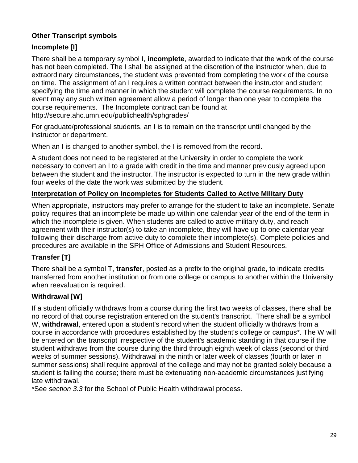### <span id="page-28-0"></span>**Other Transcript symbols**

### **Incomplete [I]**

There shall be a temporary symbol I, **incomplete**, awarded to indicate that the work of the course has not been completed. The I shall be assigned at the discretion of the instructor when, due to extraordinary circumstances, the student was prevented from completing the work of the course on time. The assignment of an I requires a written contract between the instructor and student specifying the time and manner in which the student will complete the course requirements. In no event may any such written agreement allow a period of longer than one year to complete the course requirements. The Incomplete contract can be found at http://secure.ahc.umn.edu/publichealth/sphgrades/

For graduate/professional students, an I is to remain on the transcript until changed by the instructor or department.

When an I is changed to another symbol, the I is removed from the record.

A student does not need to be registered at the University in order to complete the work necessary to convert an I to a grade with credit in the time and manner previously agreed upon between the student and the instructor. The instructor is expected to turn in the new grade within four weeks of the date the work was submitted by the student.

#### **Interpretation of Policy on Incompletes for Students Called to Active Military Duty**

When appropriate, instructors may prefer to arrange for the student to take an incomplete. Senate policy requires that an incomplete be made up within one calendar year of the end of the term in which the incomplete is given. When students are called to active military duty, and reach agreement with their instructor(s) to take an incomplete, they will have up to one calendar year following their discharge from active duty to complete their incomplete(s). Complete policies and procedures are available in the SPH Office of Admissions and Student Resources.

### **Transfer [T]**

There shall be a symbol T, **transfer**, posted as a prefix to the original grade, to indicate credits transferred from another institution or from one college or campus to another within the University when reevaluation is required.

### **Withdrawal [W]**

If a student officially withdraws from a course during the first two weeks of classes, there shall be no record of that course registration entered on the student's transcript. There shall be a symbol W, **withdrawal**, entered upon a student's record when the student officially withdraws from a course in accordance with procedures established by the student's college or campus\*. The W will be entered on the transcript irrespective of the student's academic standing in that course if the student withdraws from the course during the third through eighth week of class (second or third weeks of summer sessions). Withdrawal in the ninth or later week of classes (fourth or later in summer sessions) shall require approval of the college and may not be granted solely because a student is failing the course; there must be extenuating non-academic circumstances justifying late withdrawal.

\*See *section 3.3* for the School of Public Health withdrawal process.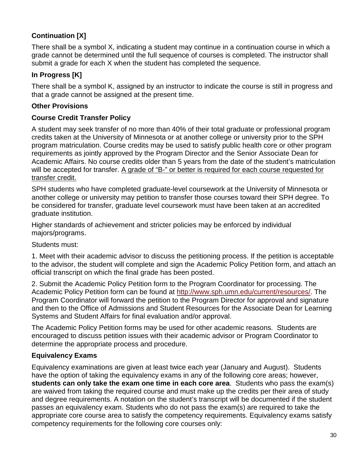### **Continuation [X]**

There shall be a symbol X, indicating a student may continue in a continuation course in which a grade cannot be determined until the full sequence of courses is completed. The instructor shall submit a grade for each X when the student has completed the sequence.

### **In Progress [K]**

There shall be a symbol K, assigned by an instructor to indicate the course is still in progress and that a grade cannot be assigned at the present time.

#### <span id="page-29-0"></span>**Other Provisions**

#### **Course Credit Transfer Policy**

A student may seek transfer of no more than 40% of their total graduate or professional program credits taken at the University of Minnesota or at another college or university prior to the SPH program matriculation. Course credits may be used to satisfy public health core or other program requirements as jointly approved by the Program Director and the Senior Associate Dean for Academic Affairs. No course credits older than 5 years from the date of the student's matriculation will be accepted for transfer. A grade of "B-" or better is required for each course requested for transfer credit.

SPH students who have completed graduate-level coursework at the University of Minnesota or another college or university may petition to transfer those courses toward their SPH degree. To be considered for transfer, graduate level coursework must have been taken at an accredited graduate institution.

Higher standards of achievement and stricter policies may be enforced by individual majors/programs.

Students must:

1. Meet with their academic advisor to discuss the petitioning process. If the petition is acceptable to the advisor, the student will complete and sign the Academic Policy Petition form, and attach an official transcript on which the final grade has been posted.

2. Submit the Academic Policy Petition form to the Program Coordinator for processing. The Academic Policy Petition form can be found at [http://www.sph.umn.edu/current/resources/.](http://www.sph.umn.edu/current/resources/) The Program Coordinator will forward the petition to the Program Director for approval and signature and then to the Office of Admissions and Student Resources for the Associate Dean for Learning Systems and Student Affairs for final evaluation and/or approval.

The Academic Policy Petition forms may be used for other academic reasons. Students are encouraged to discuss petition issues with their academic advisor or Program Coordinator to determine the appropriate process and procedure.

### **Equivalency Exams**

Equivalency examinations are given at least twice each year (January and August). Students have the option of taking the equivalency exams in any of the following core areas; however, **students can only take the exam one time in each core area**. Students who pass the exam(s) are waived from taking the required course and must make up the credits per their area of study and degree requirements. A notation on the student's transcript will be documented if the student passes an equivalency exam. Students who do not pass the exam(s) are required to take the appropriate core course area to satisfy the competency requirements. Equivalency exams satisfy competency requirements for the following core courses only: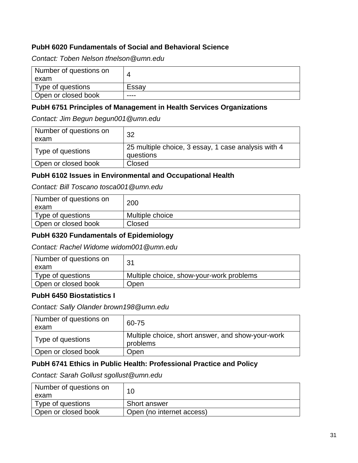#### **PubH 6020 Fundamentals of Social and Behavioral Science**

*Contact: Toben Nelson [tfnelson@umn.edu](mailto:tfnelson@umn.edu)*

| Number of questions on<br>exam |       |
|--------------------------------|-------|
| Type of questions              | Essay |
| Open or closed book            | ----  |

#### **PubH 6751 Principles of Management in Health Services Organizations**

*Contact: Jim Begun [begun001@umn.edu](mailto:begun001@umn.edu)*

| Number of questions on<br>exam | 32                                                               |
|--------------------------------|------------------------------------------------------------------|
| Type of questions              | 25 multiple choice, 3 essay, 1 case analysis with 4<br>questions |
| Open or closed book            | Closed                                                           |

#### **PubH 6102 Issues in Environmental and Occupational Health**

| Contact: Bill Toscano tosca001@umn.edu |  |  |
|----------------------------------------|--|--|
|----------------------------------------|--|--|

| Number of questions on<br>exam | 200             |
|--------------------------------|-----------------|
| Type of questions              | Multiple choice |
| Open or closed book            | Closed          |

#### **PubH 6320 Fundamentals of Epidemiology**

*Contact: Rachel Widome [widom001@umn.edu](mailto:widom001@umn.edu)*

| Number of questions on<br>exam | 31                                       |
|--------------------------------|------------------------------------------|
| Type of questions              | Multiple choice, show-your-work problems |
| Open or closed book            | Open                                     |

#### **PubH 6450 Biostatistics I**

*Contact: Sally Olander [brown198@umn.edu](mailto:brown198@umn.edu)*

| Number of questions on<br>exam | 60-75                                                         |
|--------------------------------|---------------------------------------------------------------|
| Type of questions              | Multiple choice, short answer, and show-your-work<br>problems |
| Open or closed book            | Open                                                          |

#### **PubH 6741 Ethics in Public Health: Professional Practice and Policy**

*Contact: Sarah Gollust [sgollust@umn.edu](mailto:sgollust@umn.edu)*

| Number of questions on<br>exam |                           |
|--------------------------------|---------------------------|
| Type of questions              | Short answer              |
| Open or closed book            | Open (no internet access) |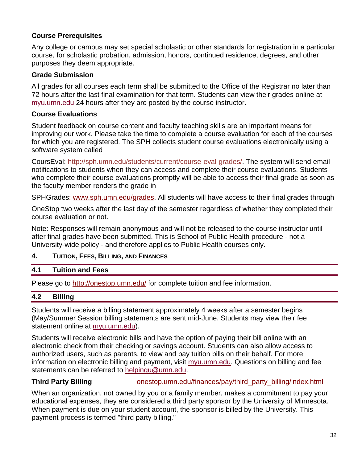#### **Course Prerequisites**

Any college or campus may set special scholastic or other standards for registration in a particular course, for scholastic probation, admission, honors, continued residence, degrees, and other purposes they deem appropriate.

#### **Grade Submission**

All grades for all courses each term shall be submitted to the Office of the Registrar no later than 72 hours after the last final examination for that term. Students can view their grades online at [myu.umn.edu](http://myu.umn.edu/) 24 hours after they are posted by the course instructor.

#### **Course Evaluations**

Student feedback on course content and faculty teaching skills are an important means for improving our work. Please take the time to complete a course evaluation for each of the courses for which you are registered. The SPH collects student course evaluations electronically using a software system called

CoursEval: [http://sph.umn.edu/students/current/course-eval-grades/.](http://sph.umn.edu/students/current/course-eval-grades/) The system will send email notifications to students when they can access and complete their course evaluations. Students who complete their course evaluations promptly will be able to access their final grade as soon as the faculty member renders the grade in

SPHGrades: [www.sph.umn.edu/grades.](http://www.sph.umn.edu/grades) All students will have access to their final grades through

OneStop two weeks after the last day of the semester regardless of whether they completed their course evaluation or not.

Note: Responses will remain anonymous and will not be released to the course instructor until after final grades have been submitted. This is School of Public Health procedure - not a University-wide policy - and therefore applies to Public Health courses only.

#### <span id="page-31-0"></span>**4. TUITION, FEES, BILLING, AND FINANCES**

#### <span id="page-31-1"></span>**4.1 Tuition and Fees**

Please go to<http://onestop.umn.edu/> for complete tuition and fee information.

#### <span id="page-31-2"></span>**4.2 Billing**

Students will receive a billing statement approximately 4 weeks after a semester begins (May/Summer Session billing statements are sent mid-June. Students may view their fee statement online at [myu.umn.edu\)](http://myu.umn.edu/).

Students will receive electronic bills and have the option of paying their bill online with an electronic check from their checking or savings account. Students can also allow access to authorized users, such as parents, to view and pay tuition bills on their behalf. For more information on electronic billing and payment, visit [myu.umn.edu.](http://myu.umn.edu/) Questions on billing and fee statements can be referred to [helpingu@umn.edu.](mailto:helpingu@umn.edu)

**Third Party Billing** [onestop.umn.edu/finances/pay/third\\_party\\_billing/index.html](http://onestop.umn.edu/finances/pay/third_party_billing/index.html)

When an organization, not owned by you or a family member, makes a commitment to pay your educational expenses, they are considered a third party sponsor by the University of Minnesota. When payment is due on your student account, the sponsor is billed by the University. This payment process is termed "third party billing."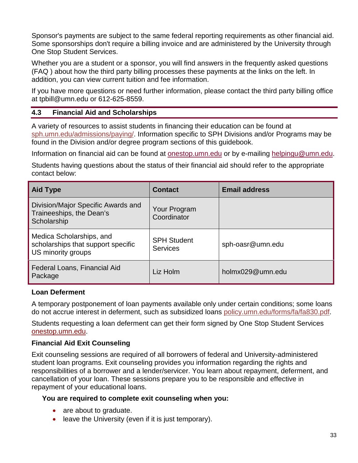Sponsor's payments are subject to the same federal reporting requirements as other financial aid. Some sponsorships don't require a billing invoice and are administered by the University through One Stop Student Services.

Whether you are a student or a sponsor, you will find answers in the frequently asked questions (FAQ ) about how the third party billing processes these payments at the links on the left. In addition, you can view [current tuition and fee information.](http://onestop.umn.edu/finances/costs_and_tuition/index.html)

If you have more questions or need further information, please contact the third party billing office at [tpbill@umn.edu](mailto:tpbill@umn.edu) or 612-625-8559.

#### <span id="page-32-0"></span>**4.3 Financial Aid and Scholarships**

A variety of resources to assist students in financing their education can be found at [sph.umn.edu/admissions/paying/.](http://www.sph.umn.edu/admissions/paying/) Information specific to SPH Divisions and/or Programs may be found in the Division and/or degree program sections of this guidebook.

Information on financial aid can be found at [onestop.umn.edu](http://onestop.umn.edu/) or by e-mailing [helpingu@umn.edu.](mailto:helpingu@umn.edu)

Students having questions about the status of their financial aid should refer to the appropriate contact below:

| <b>Aid Type</b>                                                                      | <b>Contact</b>                        | <b>Email address</b> |
|--------------------------------------------------------------------------------------|---------------------------------------|----------------------|
| Division/Major Specific Awards and<br>Traineeships, the Dean's<br>Scholarship        | Your Program<br>Coordinator           |                      |
| Medica Scholarships, and<br>scholarships that support specific<br>US minority groups | <b>SPH Student</b><br><b>Services</b> | sph-oasr@umn.edu     |
| Federal Loans, Financial Aid<br>Package                                              | Liz Holm                              | holmx029@umn.edu     |

#### **Loan Deferment**

A temporary postponement of loan payments available only under certain conditions; some loans do not accrue interest in deferment, such as subsidized loans [policy.umn.edu/forms/fa/fa830.pdf.](http://policy.umn.edu/forms/fa/fa830.pdf)

Students requesting a loan deferment can get their form signed by One Stop Student Services [onestop.umn.edu.](http://onestop.umn.edu/contact_us/index.html)

#### **Financial Aid Exit Counseling**

Exit counseling sessions are required of all borrowers of federal and University-administered student loan programs. Exit counseling provides you information regarding the rights and responsibilities of a borrower and a lender/servicer. You learn about repayment, deferment, and cancellation of your loan. These sessions prepare you to be responsible and effective in repayment of your educational loans.

#### **You are required to complete exit counseling when you:**

- are about to graduate.
- leave the University (even if it is just temporary).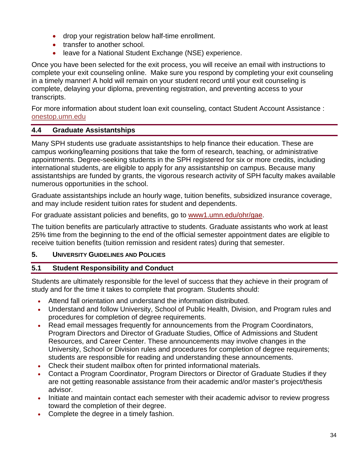- drop your registration below half-time enrollment.
- transfer to another school.
- leave for a National Student Exchange (NSE) experience.

Once you have been selected for the exit process, you will receive an email with instructions to complete your exit counseling online. Make sure you respond by completing your exit counseling in a timely manner! A hold will remain on your student record until your exit counseling is complete, delaying your diploma, preventing registration, and preventing access to your transcripts.

For more information about student loan exit counseling, contact [Student Account Assistance](http://onestop.umn.edu/contact_us/student_account_assistance.html) : [onestop.umn.edu](http://onestop.umn.edu/contact_us/student_account_assistance.html)

### <span id="page-33-0"></span>**4.4 Graduate Assistantships**

Many SPH students use graduate assistantships to help finance their education. These are campus working/learning positions that take the form of research, teaching, or administrative appointments. Degree-seeking students in the SPH registered for six or more credits, including international students, are eligible to apply for any assistantship on campus. Because many assistantships are funded by grants, the vigorous research activity of SPH faculty makes available numerous opportunities in the school.

Graduate assistantships include an hourly wage, tuition benefits, subsidized insurance coverage, and may include resident tuition rates for student and dependents.

For graduate assistant policies and benefits, go to [www1.umn.edu/ohr/gae.](http://www1.umn.edu/ohr/gae/)

The tuition benefits are particularly attractive to students. Graduate assistants who work at least 25% time from the beginning to the end of the official semester appointment dates are eligible to receive tuition benefits (tuition remission and resident rates) during that semester.

#### <span id="page-33-1"></span>**5. UNIVERSITY GUIDELINES AND POLICIES**

### <span id="page-33-2"></span>**5.1 Student Responsibility and Conduct**

Students are ultimately responsible for the level of success that they achieve in their program of study and for the time it takes to complete that program. Students should:

- Attend fall orientation and understand the information distributed.
- Understand and follow University, School of Public Health, Division, and Program rules and procedures for completion of degree requirements.
- Read email messages frequently for announcements from the Program Coordinators, Program Directors and Director of Graduate Studies, Office of Admissions and Student Resources, and Career Center. These announcements may involve changes in the University, School or Division rules and procedures for completion of degree requirements; students are responsible for reading and understanding these announcements.
- Check their student mailbox often for printed informational materials.
- Contact a Program Coordinator, Program Directors or Director of Graduate Studies if they are not getting reasonable assistance from their academic and/or master's project/thesis advisor.
- Initiate and maintain contact each semester with their academic advisor to review progress toward the completion of their degree.
- Complete the degree in a timely fashion.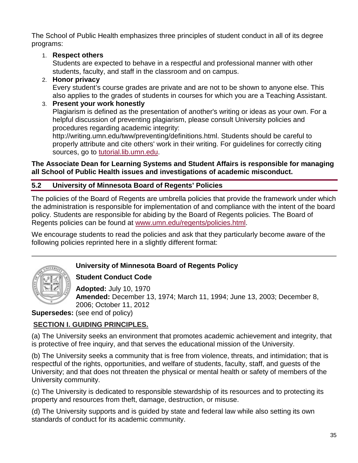The School of Public Health emphasizes three principles of student conduct in all of its degree programs:

### 1. **Respect others**

Students are expected to behave in a respectful and professional manner with other students, faculty, and staff in the classroom and on campus.

### 2. **Honor privacy**

Every student's course grades are private and are not to be shown to anyone else. This also applies to the grades of students in courses for which you are a Teaching Assistant.

#### 3. **Present your work honestly**

Plagiarism is defined as the presentation of another's writing or ideas as your own. For a helpful discussion of preventing plagiarism, please consult University policies and procedures regarding academic integrity:

[http://writing.umn.edu/tww/preventing/definitions.html.](http://writing.umn.edu/tww/preventing/definitions.html) Students should be careful to properly attribute and cite others' work in their writing. For guidelines for correctly citing sources, go to [tutorial.lib.umn.edu.](http://tutorial.lib.umn.edu/)

#### **The Associate Dean for Learning Systems and Student Affairs is responsible for managing all School of Public Health issues and investigations of academic misconduct.**

### <span id="page-34-0"></span>**5.2 University of Minnesota Board of Regents' Policies**

The policies of the Board of Regents are umbrella policies that provide the framework under which the administration is responsible for implementation of and compliance with the intent of the board policy. Students are responsible for abiding by the Board of Regents policies. The Board of Regents policies can be found at [www.umn.edu/regents/policies.html.](http://www.umn.edu/regents/policies.html)

We encourage students to read the policies and ask that they particularly become aware of the following policies reprinted here in a slightly different format:

### <span id="page-34-1"></span>**University of Minnesota Board of Regents Policy**

### <span id="page-34-2"></span>**Student Conduct Code**

**Adopted:** July 10, 1970 **Amended:** December 13, 1974; March 11, 1994; June 13, 2003; December 8, 2006; October 11, 2012

**Supersedes:** (see end of policy)

### **SECTION I. GUIDING PRINCIPLES.**

(a) The University seeks an environment that promotes academic achievement and integrity, that is protective of free inquiry, and that serves the educational mission of the University.

(b) The University seeks a community that is free from violence, threats, and intimidation; that is respectful of the rights, opportunities, and welfare of students, faculty, staff, and guests of the University; and that does not threaten the physical or mental health or safety of members of the University community.

(c) The University is dedicated to responsible stewardship of its resources and to protecting its property and resources from theft, damage, destruction, or misuse.

(d) The University supports and is guided by state and federal law while also setting its own standards of conduct for its academic community.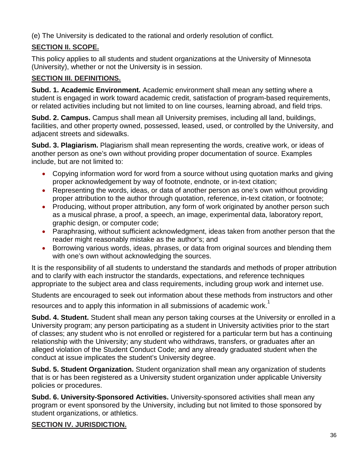(e) The University is dedicated to the rational and orderly resolution of conflict.

### **SECTION II. SCOPE.**

This policy applies to all students and student organizations at the University of Minnesota (University), whether or not the University is in session.

### **SECTION III. DEFINITIONS.**

**Subd. 1. Academic Environment.** Academic environment shall mean any setting where a student is engaged in work toward academic credit, satisfaction of program-based requirements, or related activities including but not limited to on line courses, learning abroad, and field trips.

**Subd. 2. Campus.** Campus shall mean all University premises, including all land, buildings, facilities, and other property owned, possessed, leased, used, or controlled by the University, and adjacent streets and sidewalks.

**Subd. 3. Plagiarism.** Plagiarism shall mean representing the words, creative work, or ideas of another person as one's own without providing proper documentation of source. Examples include, but are not limited to:

- Copying information word for word from a source without using quotation marks and giving proper acknowledgement by way of footnote, endnote, or in-text citation;
- Representing the words, ideas, or data of another person as one's own without providing proper attribution to the author through quotation, reference, in-text citation, or footnote;
- Producing, without proper attribution, any form of work originated by another person such as a musical phrase, a proof, a speech, an image, experimental data, laboratory report, graphic design, or computer code;
- Paraphrasing, without sufficient acknowledgment, ideas taken from another person that the reader might reasonably mistake as the author's; and
- Borrowing various words, ideas, phrases, or data from original sources and blending them with one's own without acknowledging the sources.

It is the responsibility of all students to understand the standards and methods of proper attribution and to clarify with each instructor the standards, expectations, and reference techniques appropriate to the subject area and class requirements, including group work and internet use.

Students are encouraged to seek out information about these methods from instructors and other resources and to apply this information in all submissions of academic work.<sup>1</sup>

**Subd. 4. Student.** Student shall mean any person taking courses at the University or enrolled in a University program; any person participating as a student in University activities prior to the start of classes; any student who is not enrolled or registered for a particular term but has a continuing relationship with the University; any student who withdraws, transfers, or graduates after an alleged violation of the Student Conduct Code; and any already graduated student when the conduct at issue implicates the student's University degree.

**Subd. 5. Student Organization.** Student organization shall mean any organization of students that is or has been registered as a University student organization under applicable University policies or procedures.

**Subd. 6. University-Sponsored Activities.** University-sponsored activities shall mean any program or event sponsored by the University, including but not limited to those sponsored by student organizations, or athletics.

### **SECTION IV. JURISDICTION.**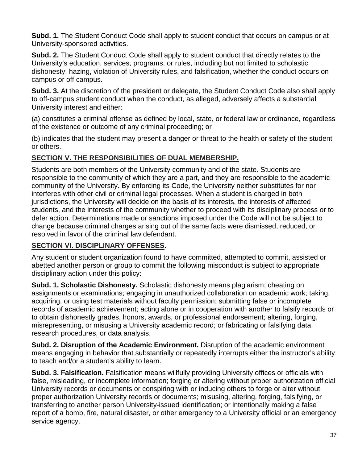**Subd. 1.** The Student Conduct Code shall apply to student conduct that occurs on campus or at University-sponsored activities.

**Subd. 2.** The Student Conduct Code shall apply to student conduct that directly relates to the University's education, services, programs, or rules, including but not limited to scholastic dishonesty, hazing, violation of University rules, and falsification, whether the conduct occurs on campus or off campus.

**Subd. 3.** At the discretion of the president or delegate, the Student Conduct Code also shall apply to off-campus student conduct when the conduct, as alleged, adversely affects a substantial University interest and either:

(a) constitutes a criminal offense as defined by local, state, or federal law or ordinance, regardless of the existence or outcome of any criminal proceeding; or

(b) indicates that the student may present a danger or threat to the health or safety of the student or others.

### **SECTION V. THE RESPONSIBILITIES OF DUAL MEMBERSHIP.**

Students are both members of the University community and of the state. Students are responsible to the community of which they are a part, and they are responsible to the academic community of the University. By enforcing its Code, the University neither substitutes for nor interferes with other civil or criminal legal processes. When a student is charged in both jurisdictions, the University will decide on the basis of its interests, the interests of affected students, and the interests of the community whether to proceed with its disciplinary process or to defer action. Determinations made or sanctions imposed under the Code will not be subject to change because criminal charges arising out of the same facts were dismissed, reduced, or resolved in favor of the criminal law defendant.

### **SECTION VI. DISCIPLINARY OFFENSES**.

Any student or student organization found to have committed, attempted to commit, assisted or abetted another person or group to commit the following misconduct is subject to appropriate disciplinary action under this policy:

**Subd. 1. Scholastic Dishonesty.** Scholastic dishonesty means plagiarism; cheating on assignments or examinations; engaging in unauthorized collaboration on academic work; taking, acquiring, or using test materials without faculty permission; submitting false or incomplete records of academic achievement; acting alone or in cooperation with another to falsify records or to obtain dishonestly grades, honors, awards, or professional endorsement; altering, forging, misrepresenting, or misusing a University academic record; or fabricating or falsifying data, research procedures, or data analysis.

**Subd. 2. Disruption of the Academic Environment.** Disruption of the academic environment means engaging in behavior that substantially or repeatedly interrupts either the instructor's ability to teach and/or a student's ability to learn.

**Subd. 3. Falsification.** Falsification means willfully providing University offices or officials with false, misleading, or incomplete information; forging or altering without proper authorization official University records or documents or conspiring with or inducing others to forge or alter without proper authorization University records or documents; misusing, altering, forging, falsifying, or transferring to another person University-issued identification; or intentionally making a false report of a bomb, fire, natural disaster, or other emergency to a University official or an emergency service agency.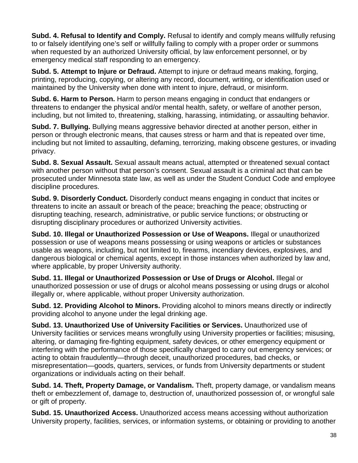**Subd. 4. Refusal to Identify and Comply.** Refusal to identify and comply means willfully refusing to or falsely identifying one's self or willfully failing to comply with a proper order or summons when requested by an authorized University official, by law enforcement personnel, or by emergency medical staff responding to an emergency.

**Subd. 5. Attempt to Injure or Defraud.** Attempt to injure or defraud means making, forging, printing, reproducing, copying, or altering any record, document, writing, or identification used or maintained by the University when done with intent to injure, defraud, or misinform.

**Subd. 6. Harm to Person.** Harm to person means engaging in conduct that endangers or threatens to endanger the physical and/or mental health, safety, or welfare of another person, including, but not limited to, threatening, stalking, harassing, intimidating, or assaulting behavior.

**Subd. 7. Bullying.** Bullying means aggressive behavior directed at another person, either in person or through electronic means, that causes stress or harm and that is repeated over time, including but not limited to assaulting, defaming, terrorizing, making obscene gestures, or invading privacy.

**Subd. 8. Sexual Assault.** Sexual assault means actual, attempted or threatened sexual contact with another person without that person's consent. Sexual assault is a criminal act that can be prosecuted under Minnesota state law, as well as under the Student Conduct Code and employee discipline procedures.

**Subd. 9. Disorderly Conduct.** Disorderly conduct means engaging in conduct that incites or threatens to incite an assault or breach of the peace; breaching the peace; obstructing or disrupting teaching, research, administrative, or public service functions; or obstructing or disrupting disciplinary procedures or authorized University activities.

**Subd. 10. Illegal or Unauthorized Possession or Use of Weapons.** Illegal or unauthorized possession or use of weapons means possessing or using weapons or articles or substances usable as weapons, including, but not limited to, firearms, incendiary devices, explosives, and dangerous biological or chemical agents, except in those instances when authorized by law and, where applicable, by proper University authority.

**Subd. 11. Illegal or Unauthorized Possession or Use of Drugs or Alcohol.** Illegal or unauthorized possession or use of drugs or alcohol means possessing or using drugs or alcohol illegally or, where applicable, without proper University authorization.

**Subd. 12. Providing Alcohol to Minors.** Providing alcohol to minors means directly or indirectly providing alcohol to anyone under the legal drinking age.

**Subd. 13. Unauthorized Use of University Facilities or Services.** Unauthorized use of University facilities or services means wrongfully using University properties or facilities; misusing, altering, or damaging fire-fighting equipment, safety devices, or other emergency equipment or interfering with the performance of those specifically charged to carry out emergency services; or acting to obtain fraudulently—through deceit, unauthorized procedures, bad checks, or misrepresentation—goods, quarters, services, or funds from University departments or student organizations or individuals acting on their behalf.

**Subd. 14. Theft, Property Damage, or Vandalism.** Theft, property damage, or vandalism means theft or embezzlement of, damage to, destruction of, unauthorized possession of, or wrongful sale or gift of property.

**Subd. 15. Unauthorized Access.** Unauthorized access means accessing without authorization University property, facilities, services, or information systems, or obtaining or providing to another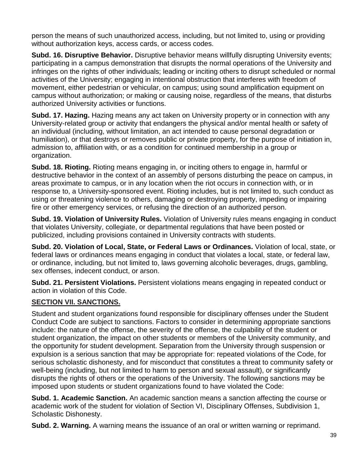person the means of such unauthorized access, including, but not limited to, using or providing without authorization keys, access cards, or access codes.

**Subd. 16. Disruptive Behavior.** Disruptive behavior means willfully disrupting University events; participating in a campus demonstration that disrupts the normal operations of the University and infringes on the rights of other individuals; leading or inciting others to disrupt scheduled or normal activities of the University; engaging in intentional obstruction that interferes with freedom of movement, either pedestrian or vehicular, on campus; using sound amplification equipment on campus without authorization; or making or causing noise, regardless of the means, that disturbs authorized University activities or functions.

**Subd. 17. Hazing.** Hazing means any act taken on University property or in connection with any University-related group or activity that endangers the physical and/or mental health or safety of an individual (including, without limitation, an act intended to cause personal degradation or humiliation), or that destroys or removes public or private property, for the purpose of initiation in, admission to, affiliation with, or as a condition for continued membership in a group or organization.

**Subd. 18. Rioting.** Rioting means engaging in, or inciting others to engage in, harmful or destructive behavior in the context of an assembly of persons disturbing the peace on campus, in areas proximate to campus, or in any location when the riot occurs in connection with, or in response to, a University-sponsored event. Rioting includes, but is not limited to, such conduct as using or threatening violence to others, damaging or destroying property, impeding or impairing fire or other emergency services, or refusing the direction of an authorized person.

**Subd. 19. Violation of University Rules.** Violation of University rules means engaging in conduct that violates University, collegiate, or departmental regulations that have been posted or publicized, including provisions contained in University contracts with students.

**Subd. 20. Violation of Local, State, or Federal Laws or Ordinances.** Violation of local, state, or federal laws or ordinances means engaging in conduct that violates a local, state, or federal law, or ordinance, including, but not limited to, laws governing alcoholic beverages, drugs, gambling, sex offenses, indecent conduct, or arson.

**Subd. 21. Persistent Violations.** Persistent violations means engaging in repeated conduct or action in violation of this Code.

### **SECTION VII. SANCTIONS.**

Student and student organizations found responsible for disciplinary offenses under the Student Conduct Code are subject to sanctions. Factors to consider in determining appropriate sanctions include: the nature of the offense, the severity of the offense, the culpability of the student or student organization, the impact on other students or members of the University community, and the opportunity for student development. Separation from the University through suspension or expulsion is a serious sanction that may be appropriate for: repeated violations of the Code, for serious scholastic dishonesty, and for misconduct that constitutes a threat to community safety or well-being (including, but not limited to harm to person and sexual assault), or significantly disrupts the rights of others or the operations of the University. The following sanctions may be imposed upon students or student organizations found to have violated the Code:

**Subd. 1. Academic Sanction.** An academic sanction means a sanction affecting the course or academic work of the student for violation of Section VI, Disciplinary Offenses, Subdivision 1, Scholastic Dishonesty.

**Subd. 2. Warning.** A warning means the issuance of an oral or written warning or reprimand.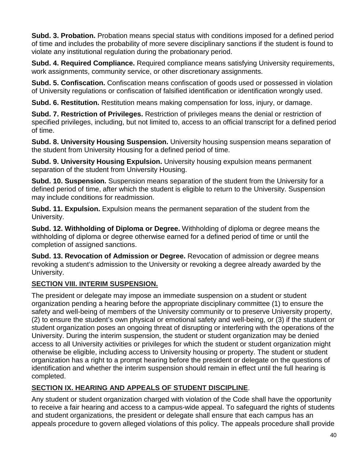**Subd. 3. Probation.** Probation means special status with conditions imposed for a defined period of time and includes the probability of more severe disciplinary sanctions if the student is found to violate any institutional regulation during the probationary period.

**Subd. 4. Required Compliance.** Required compliance means satisfying University requirements, work assignments, community service, or other discretionary assignments.

**Subd. 5. Confiscation.** Confiscation means confiscation of goods used or possessed in violation of University regulations or confiscation of falsified identification or identification wrongly used.

**Subd. 6. Restitution.** Restitution means making compensation for loss, injury, or damage.

**Subd. 7. Restriction of Privileges.** Restriction of privileges means the denial or restriction of specified privileges, including, but not limited to, access to an official transcript for a defined period of time.

**Subd. 8. University Housing Suspension.** University housing suspension means separation of the student from University Housing for a defined period of time.

**Subd. 9. University Housing Expulsion.** University housing expulsion means permanent separation of the student from University Housing.

**Subd. 10. Suspension.** Suspension means separation of the student from the University for a defined period of time, after which the student is eligible to return to the University. Suspension may include conditions for readmission.

**Subd. 11. Expulsion.** Expulsion means the permanent separation of the student from the University.

**Subd. 12. Withholding of Diploma or Degree.** Withholding of diploma or degree means the withholding of diploma or degree otherwise earned for a defined period of time or until the completion of assigned sanctions.

**Subd. 13. Revocation of Admission or Degree.** Revocation of admission or degree means revoking a student's admission to the University or revoking a degree already awarded by the University.

## **SECTION VIII. INTERIM SUSPENSION.**

The president or delegate may impose an immediate suspension on a student or student organization pending a hearing before the appropriate disciplinary committee (1) to ensure the safety and well-being of members of the University community or to preserve University property, (2) to ensure the student's own physical or emotional safety and well-being, or (3) if the student or student organization poses an ongoing threat of disrupting or interfering with the operations of the University. During the interim suspension, the student or student organization may be denied access to all University activities or privileges for which the student or student organization might otherwise be eligible, including access to University housing or property. The student or student organization has a right to a prompt hearing before the president or delegate on the questions of identification and whether the interim suspension should remain in effect until the full hearing is completed.

## **SECTION IX. HEARING AND APPEALS OF STUDENT DISCIPLINE**.

Any student or student organization charged with violation of the Code shall have the opportunity to receive a fair hearing and access to a campus-wide appeal. To safeguard the rights of students and student organizations, the president or delegate shall ensure that each campus has an appeals procedure to govern alleged violations of this policy. The appeals procedure shall provide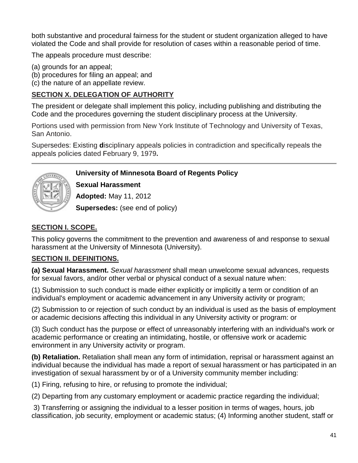both substantive and procedural fairness for the student or student organization alleged to have violated the Code and shall provide for resolution of cases within a reasonable period of time.

The appeals procedure must describe:

- (a) grounds for an appeal;
- (b) procedures for filing an appeal; and
- (c) the nature of an appellate review.

### **SECTION X. DELEGATION OF AUTHORITY**

The president or delegate shall implement this policy, including publishing and distributing the Code and the procedures governing the student disciplinary process at the University.

Portions used with permission from New York Institute of Technology and University of Texas, San Antonio.

Supersedes: Existing **d**isciplinary appeals policies in contradiction and specifically repeals the appeals policies dated February 9, 1979**.** 

### **University of Minnesota Board of Regents Policy**



**Sexual Harassment**

**Adopted:** May 11, 2012

**Supersedes:** (see end of policy)

### **SECTION I. SCOPE.**

This policy governs the commitment to the prevention and awareness of and response to sexual harassment at the University of Minnesota (University).

### **SECTION II. DEFINITIONS.**

**(a) Sexual Harassment.** *Sexual harassment* shall mean unwelcome sexual advances, requests for sexual favors, and/or other verbal or physical conduct of a sexual nature when:

(1) Submission to such conduct is made either explicitly or implicitly a term or condition of an individual's employment or academic advancement in any University activity or program;

(2) Submission to or rejection of such conduct by an individual is used as the basis of employment or academic decisions affecting this individual in any University activity or program: or

(3) Such conduct has the purpose or effect of unreasonably interfering with an individual's work or academic performance or creating an intimidating, hostile, or offensive work or academic environment in any University activity or program.

**(b) Retaliation.** Retaliation shall mean any form of intimidation, reprisal or harassment against an individual because the individual has made a report of sexual harassment or has participated in an investigation of sexual harassment by or of a University community member including:

(1) Firing, refusing to hire, or refusing to promote the individual;

(2) Departing from any customary employment or academic practice regarding the individual;

3) Transferring or assigning the individual to a lesser position in terms of wages, hours, job classification, job security, employment or academic status; (4) Informing another student, staff or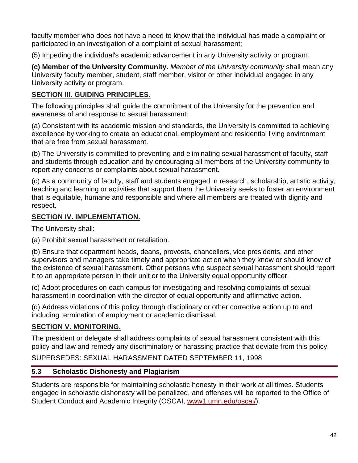faculty member who does not have a need to know that the individual has made a complaint or participated in an investigation of a complaint of sexual harassment;

(5) Impeding the individual's academic advancement in any University activity or program.

**(c) Member of the University Community.** *Member of the University community* shall mean any University faculty member, student, staff member, visitor or other individual engaged in any University activity or program.

## **SECTION III. GUIDING PRINCIPLES.**

The following principles shall guide the commitment of the University for the prevention and awareness of and response to sexual harassment:

(a) Consistent with its academic mission and standards, the University is committed to achieving excellence by working to create an educational, employment and residential living environment that are free from sexual harassment.

(b) The University is committed to preventing and eliminating sexual harassment of faculty, staff and students through education and by encouraging all members of the University community to report any concerns or complaints about sexual harassment.

(c) As a community of faculty, staff and students engaged in research, scholarship, artistic activity, teaching and learning or activities that support them the University seeks to foster an environment that is equitable, humane and responsible and where all members are treated with dignity and respect.

## **SECTION IV. IMPLEMENTATION.**

The University shall:

(a) Prohibit sexual harassment or retaliation.

(b) Ensure that department heads, deans, provosts, chancellors, vice presidents, and other supervisors and managers take timely and appropriate action when they know or should know of the existence of sexual harassment. Other persons who suspect sexual harassment should report it to an appropriate person in their unit or to the University equal opportunity officer.

(c) Adopt procedures on each campus for investigating and resolving complaints of sexual harassment in coordination with the director of equal opportunity and affirmative action.

(d) Address violations of this policy through disciplinary or other corrective action up to and including termination of employment or academic dismissal.

## **SECTION V. MONITORING.**

The president or delegate shall address complaints of sexual harassment consistent with this policy and law and remedy any discriminatory or harassing practice that deviate from this policy.

## SUPERSEDES: SEXUAL HARASSMENT DATED SEPTEMBER 11, 1998

## **5.3 Scholastic Dishonesty and Plagiarism**

Students are responsible for maintaining scholastic honesty in their work at all times. Students engaged in scholastic dishonesty will be penalized, and offenses will be reported to the Office of Student Conduct and Academic Integrity (OSCAI, [www1.umn.edu/oscai/\)](http://www1.umn.edu/oscai/).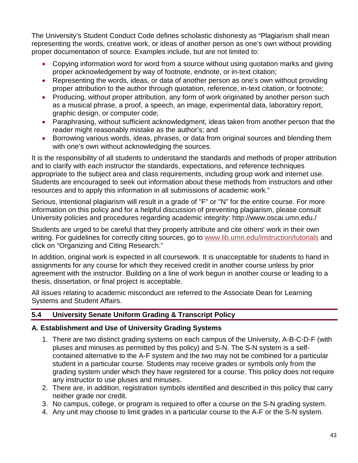The University's Student Conduct Code defines scholastic dishonesty as "Plagiarism shall mean representing the words, creative work, or ideas of another person as one's own without providing proper documentation of source. Examples include, but are not limited to:

- Copying information word for word from a source without using quotation marks and giving proper acknowledgement by way of footnote, endnote, or in-text citation;
- Representing the words, ideas, or data of another person as one's own without providing proper attribution to the author through quotation, reference, in-text citation, or footnote;
- Producing, without proper attribution, any form of work originated by another person such as a musical phrase, a proof, a speech, an image, experimental data, laboratory report, graphic design, or computer code;
- Paraphrasing, without sufficient acknowledgment, ideas taken from another person that the reader might reasonably mistake as the author's; and
- Borrowing various words, ideas, phrases, or data from original sources and blending them with one's own without acknowledging the sources.

It is the responsibility of all students to understand the standards and methods of proper attribution and to clarify with each instructor the standards, expectations, and reference techniques appropriate to the subject area and class requirements, including group work and internet use. Students are encouraged to seek out information about these methods from instructors and other resources and to apply this information in all submissions of academic work."

Serious, intentional plagiarism will result in a grade of "F" or "N" for the entire course. For more information on this policy and for a helpful discussion of preventing plagiarism, please consult University policies and procedures regarding academic integrity:<http://www.oscai.umn.edu./>

Students are urged to be careful that they properly attribute and cite others' work in their own writing. For guidelines for correctly citing sources, go to [www.lib.umn.edu/instruction/tutorials](https://www.lib.umn.edu/instruction/tutorials) and click on ["Organizing and Citing Research.](https://www.lib.umn.edu/instruction/tutorials%23citing)"

In addition, original work is expected in all coursework. It is unacceptable for students to hand in assignments for any course for which they received credit in another course unless by prior agreement with the instructor. Building on a line of work begun in another course or leading to a thesis, dissertation, or final project is acceptable.

All issues relating to academic misconduct are referred to the Associate Dean for Learning Systems and Student Affairs.

## **5.4 University Senate Uniform Grading & Transcript Policy**

## **A. Establishment and Use of University Grading Systems**

- 1. There are two distinct grading systems on each campus of the University, A-B-C-D-F (with pluses and minuses as permitted by this policy) and S-N. The S-N system is a selfcontained alternative to the A-F system and the two may not be combined for a particular student in a particular course. Students may receive grades or symbols only from the grading system under which they have registered for a course. This policy does not require any instructor to use pluses and minuses.
- 2. There are, in addition, registration symbols identified and described in this policy that carry neither grade nor credit.
- 3. No campus, college, or program is required to offer a course on the S-N grading system.
- 4. Any unit may choose to limit grades in a particular course to the A-F or the S-N system.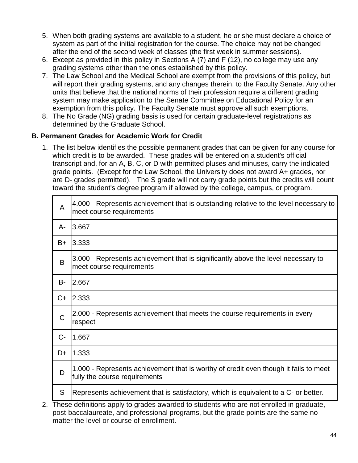- 5. When both grading systems are available to a student, he or she must declare a choice of system as part of the initial registration for the course. The choice may not be changed after the end of the second week of classes (the first week in summer sessions).
- 6. Except as provided in this policy in Sections A (7) and F (12), no college may use any grading systems other than the ones established by this policy.
- 7. The Law School and the Medical School are exempt from the provisions of this policy, but will report their grading systems, and any changes therein, to the Faculty Senate. Any other units that believe that the national norms of their profession require a different grading system may make application to the Senate Committee on Educational Policy for an exemption from this policy. The Faculty Senate must approve all such exemptions.
- 8. The No Grade (NG) grading basis is used for certain graduate-level registrations as determined by the Graduate School.

### **B. Permanent Grades for Academic Work for Credit**

1. The list below identifies the possible permanent grades that can be given for any course for which credit is to be awarded. These grades will be entered on a student's official transcript and, for an A, B, C, or D with permitted pluses and minuses, carry the indicated grade points. (Except for the Law School, the University does not award A+ grades, nor are D- grades permitted). The S grade will not carry grade points but the credits will count toward the student's degree program if allowed by the college, campus, or program.

| A    | 4.000 - Represents achievement that is outstanding relative to the level necessary to<br>meet course requirements     |
|------|-----------------------------------------------------------------------------------------------------------------------|
| A-   | 3.667                                                                                                                 |
| B+   | 3.333                                                                                                                 |
| B    | 3.000 - Represents achievement that is significantly above the level necessary to<br>meet course requirements         |
| B-   | 2.667                                                                                                                 |
| C+   | 2.333                                                                                                                 |
| C    | 2.000 - Represents achievement that meets the course requirements in every<br>respect                                 |
| $C-$ | 1.667                                                                                                                 |
| D+   | 1.333                                                                                                                 |
| D    | 1.000 - Represents achievement that is worthy of credit even though it fails to meet<br>fully the course requirements |
| S    | Represents achievement that is satisfactory, which is equivalent to a C- or better.                                   |

2. These definitions apply to grades awarded to students who are not enrolled in graduate, post-baccalaureate, and professional programs, but the grade points are the same no matter the level or course of enrollment.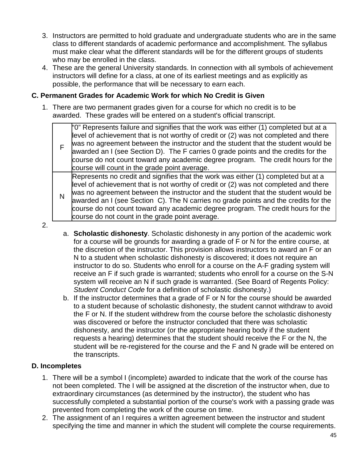- 3. Instructors are permitted to hold graduate and undergraduate students who are in the same class to different standards of academic performance and accomplishment. The syllabus must make clear what the different standards will be for the different groups of students who may be enrolled in the class.
- 4. These are the general University standards. In connection with all symbols of achievement instructors will define for a class, at one of its earliest meetings and as explicitly as possible, the performance that will be necessary to earn each.

### **C. Permanent Grades for Academic Work for which No Credit is Given**

1. There are two permanent grades given for a course for which no credit is to be awarded. These grades will be entered on a student's official transcript.

|   | "0" Represents failure and signifies that the work was either (1) completed but at a<br>level of achievement that is not worthy of credit or (2) was not completed and there<br>was no agreement between the instructor and the student that the student would be<br>awarded an I (see Section D). The F carries 0 grade points and the credits for the<br>course do not count toward any academic degree program. The credit hours for the<br>course will count in the grade point average.  |
|---|-----------------------------------------------------------------------------------------------------------------------------------------------------------------------------------------------------------------------------------------------------------------------------------------------------------------------------------------------------------------------------------------------------------------------------------------------------------------------------------------------|
| N | Represents no credit and signifies that the work was either (1) completed but at a<br>level of achievement that is not worthy of credit or (2) was not completed and there<br>was no agreement between the instructor and the student that the student would be<br>awarded an I (see Section C). The N carries no grade points and the credits for the<br>course do not count toward any academic degree program. The credit hours for the<br>course do not count in the grade point average. |

2.

- a. **Scholastic dishonesty**. Scholastic dishonesty in any portion of the academic work for a course will be grounds for awarding a grade of F or N for the entire course, at the discretion of the instructor. This provision allows instructors to award an F or an N to a student when scholastic dishonesty is discovered; it does not require an instructor to do so. Students who enroll for a course on the A-F grading system will receive an F if such grade is warranted; students who enroll for a course on the S-N system will receive an N if such grade is warranted. (See Board of Regents Policy: *[Student Conduct Code](http://regents.umn.edu/sites/default/files/policies/Student_Conduct_Code.pdf)* for a definition of scholastic dishonesty.)
- b. If the instructor determines that a grade of F or N for the course should be awarded to a student because of scholastic dishonesty, the student cannot withdraw to avoid the F or N. If the student withdrew from the course before the scholastic dishonesty was discovered or before the instructor concluded that there was scholastic dishonesty, and the instructor (or the appropriate hearing body if the student requests a hearing) determines that the student should receive the F or the N, the student will be re-registered for the course and the F and N grade will be entered on the transcripts.

### **D. Incompletes**

- 1. There will be a symbol I (incomplete) awarded to indicate that the work of the course has not been completed. The I will be assigned at the discretion of the instructor when, due to extraordinary circumstances (as determined by the instructor), the student who has successfully completed a substantial portion of the course's work with a passing grade was prevented from completing the work of the course on time.
- 2. The assignment of an I requires a written agreement between the instructor and student specifying the time and manner in which the student will complete the course requirements.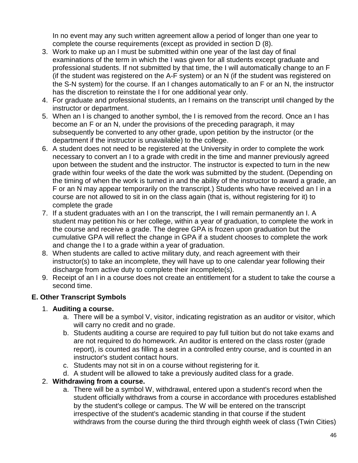In no event may any such written agreement allow a period of longer than one year to complete the course requirements (except as provided in section D (8).

- 3. Work to make up an I must be submitted within one year of the last day of final examinations of the term in which the I was given for all students except graduate and professional students. If not submitted by that time, the I will automatically change to an F (if the student was registered on the A-F system) or an N (if the student was registered on the S-N system) for the course. If an I changes automatically to an F or an N, the instructor has the discretion to reinstate the I for one additional year only.
- 4. For graduate and professional students, an I remains on the transcript until changed by the instructor or department.
- 5. When an I is changed to another symbol, the I is removed from the record. Once an I has become an F or an N, under the provisions of the preceding paragraph, it may subsequently be converted to any other grade, upon petition by the instructor (or the department if the instructor is unavailable) to the college.
- 6. A student does not need to be registered at the University in order to complete the work necessary to convert an I to a grade with credit in the time and manner previously agreed upon between the student and the instructor. The instructor is expected to turn in the new grade within four weeks of the date the work was submitted by the student. (Depending on the timing of when the work is turned in and the ability of the instructor to award a grade, an F or an N may appear temporarily on the transcript.) Students who have received an I in a course are not allowed to sit in on the class again (that is, without registering for it) to complete the grade
- 7. If a student graduates with an I on the transcript, the I will remain permanently an I. A student may petition his or her college, within a year of graduation, to complete the work in the course and receive a grade. The degree GPA is frozen upon graduation but the cumulative GPA will reflect the change in GPA if a student chooses to complete the work and change the I to a grade within a year of graduation.
- 8. When students are called to active military duty, and reach agreement with their instructor(s) to take an incomplete, they will have up to one calendar year following their discharge from active duty to complete their incomplete(s).
- 9. Receipt of an I in a course does not create an entitlement for a student to take the course a second time.

## **E. Other Transcript Symbols**

### 1. **Auditing a course.**

- a. There will be a symbol V, visitor, indicating registration as an auditor or visitor, which will carry no credit and no grade.
- b. Students auditing a course are required to pay full tuition but do not take exams and are not required to do homework. An auditor is entered on the class roster (grade report), is counted as filling a seat in a controlled entry course, and is counted in an instructor's student contact hours.
- c. Students may not sit in on a course without registering for it.
- d. A student will be allowed to take a previously audited class for a grade.

### 2. **Withdrawing from a course.**

a. There will be a symbol W, withdrawal, entered upon a student's record when the student officially withdraws from a course in accordance with procedures established by the student's college or campus. The W will be entered on the transcript irrespective of the student's academic standing in that course if the student withdraws from the course during the third through eighth week of class (Twin Cities)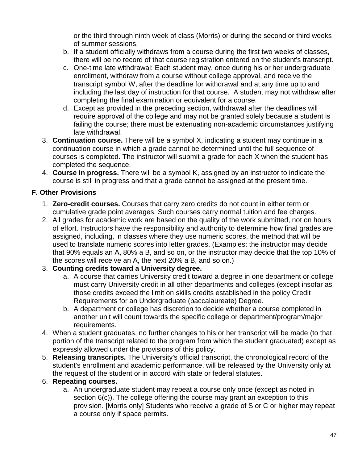or the third through ninth week of class (Morris) or during the second or third weeks of summer sessions.

- b. If a student officially withdraws from a course during the first two weeks of classes, there will be no record of that course registration entered on the student's transcript.
- c. One-time late withdrawal: Each student may, once during his or her undergraduate enrollment, withdraw from a course without college approval, and receive the transcript symbol W, after the deadline for withdrawal and at any time up to and including the last day of instruction for that course. A student may not withdraw after completing the final examination or equivalent for a course.
- d. Except as provided in the preceding section, withdrawal after the deadlines will require approval of the college and may not be granted solely because a student is failing the course; there must be extenuating non-academic circumstances justifying late withdrawal.
- 3. **Continuation course.** There will be a symbol X, indicating a student may continue in a continuation course in which a grade cannot be determined until the full sequence of courses is completed. The instructor will submit a grade for each X when the student has completed the sequence.
- 4. **Course in progress.** There will be a symbol K, assigned by an instructor to indicate the course is still in progress and that a grade cannot be assigned at the present time.

## **F. Other Provisions**

- 1. **Zero-credit courses.** Courses that carry zero credits do not count in either term or cumulative grade point averages. Such courses carry normal tuition and fee charges.
- 2. All grades for academic work are based on the quality of the work submitted, not on hours of effort. Instructors have the responsibility and authority to determine how final grades are assigned, including, in classes where they use numeric scores, the method that will be used to translate numeric scores into letter grades. (Examples: the instructor may decide that 90% equals an A, 80% a B, and so on, or the instructor may decide that the top 10% of the scores will receive an A, the next 20% a B, and so on.)

### 3. **Counting credits toward a University degree.**

- a. A course that carries University credit toward a degree in one department or college must carry University credit in all other departments and colleges (except insofar as those credits exceed the limit on skills credits established in the policy Credit Requirements for an Undergraduate (baccalaureate) Degree.
- b. A department or college has discretion to decide whether a course completed in another unit will count towards the specific college or department/program/major requirements.
- 4. When a student graduates, no further changes to his or her transcript will be made (to that portion of the transcript related to the program from which the student graduated) except as expressly allowed under the provisions of this policy.
- 5. **Releasing transcripts.** The University's official transcript, the chronological record of the student's enrollment and academic performance, will be released by the University only at the request of the student or in accord with state or federal statutes.

## 6. **Repeating courses.**

a. An undergraduate student may repeat a course only once (except as noted in section 6(c)). The college offering the course may grant an exception to this provision. [Morris only] Students who receive a grade of S or C or higher may repeat a course only if space permits.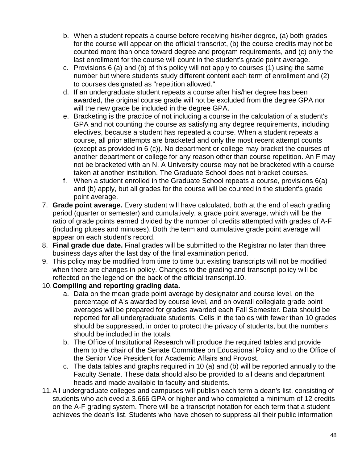- b. When a student repeats a course before receiving his/her degree, (a) both grades for the course will appear on the official transcript, (b) the course credits may not be counted more than once toward degree and program requirements, and (c) only the last enrollment for the course will count in the student's grade point average.
- c. Provisions 6 (a) and (b) of this policy will not apply to courses (1) using the same number but where students study different content each term of enrollment and (2) to courses designated as "repetition allowed."
- d. If an undergraduate student repeats a course after his/her degree has been awarded, the original course grade will not be excluded from the degree GPA nor will the new grade be included in the degree GPA.
- e. Bracketing is the practice of not including a course in the calculation of a student's GPA and not counting the course as satisfying any degree requirements, including electives, because a student has repeated a course. When a student repeats a course, all prior attempts are bracketed and only the most recent attempt counts (except as provided in 6 (c)). No department or college may bracket the courses of another department or college for any reason other than course repetition. An F may not be bracketed with an N. A University course may not be bracketed with a course taken at another institution. The Graduate School does not bracket courses.
- f. When a student enrolled in the Graduate School repeats a course, provisions 6(a) and (b) apply, but all grades for the course will be counted in the student's grade point average.
- 7. **Grade point average.** Every student will have calculated, both at the end of each grading period (quarter or semester) and cumulatively, a grade point average, which will be the ratio of grade points earned divided by the number of credits attempted with grades of A-F (including pluses and minuses). Both the term and cumulative grade point average will appear on each student's record.
- 8. **Final grade due date.** Final grades will be submitted to the Registrar no later than three business days after the last day of the final examination period.
- 9. This policy may be modified from time to time but existing transcripts will not be modified when there are changes in policy. Changes to the grading and transcript policy will be reflected on the legend on the back of the official transcript.10.
- 10.**Compiling and reporting grading data.**
	- a. Data on the mean grade point average by designator and course level, on the percentage of A's awarded by course level, and on overall collegiate grade point averages will be prepared for grades awarded each Fall Semester. Data should be reported for all undergraduate students. Cells in the tables with fewer than 10 grades should be suppressed, in order to protect the privacy of students, but the numbers should be included in the totals.
	- b. The Office of Institutional Research will produce the required tables and provide them to the chair of the Senate Committee on Educational Policy and to the Office of the Senior Vice President for Academic Affairs and Provost.
	- c. The data tables and graphs required in 10 (a) and (b) will be reported annually to the Faculty Senate. These data should also be provided to all deans and department heads and made available to faculty and students.
- 11.All undergraduate colleges and campuses will publish each term a dean's list, consisting of students who achieved a 3.666 GPA or higher and who completed a minimum of 12 credits on the A-F grading system. There will be a transcript notation for each term that a student achieves the dean's list. Students who have chosen to suppress all their public information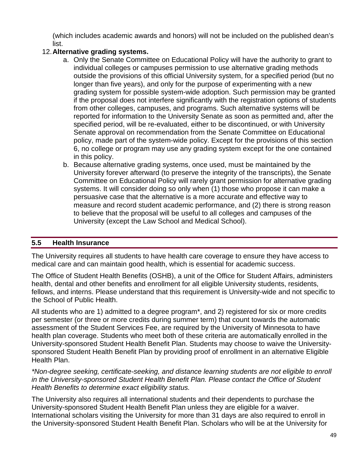(which includes academic awards and honors) will not be included on the published dean's list.

## 12.**Alternative grading systems.**

- a. Only the Senate Committee on Educational Policy will have the authority to grant to individual colleges or campuses permission to use alternative grading methods outside the provisions of this official University system, for a specified period (but no longer than five years), and only for the purpose of experimenting with a new grading system for possible system-wide adoption. Such permission may be granted if the proposal does not interfere significantly with the registration options of students from other colleges, campuses, and programs. Such alternative systems will be reported for information to the University Senate as soon as permitted and, after the specified period, will be re-evaluated, either to be discontinued, or with University Senate approval on recommendation from the Senate Committee on Educational policy, made part of the system-wide policy. Except for the provisions of this section 6, no college or program may use any grading system except for the one contained in this policy.
- b. Because alternative grading systems, once used, must be maintained by the University forever afterward (to preserve the integrity of the transcripts), the Senate Committee on Educational Policy will rarely grant permission for alternative grading systems. It will consider doing so only when (1) those who propose it can make a persuasive case that the alternative is a more accurate and effective way to measure and record student academic performance, and (2) there is strong reason to believe that the proposal will be useful to all colleges and campuses of the University (except the Law School and Medical School).

## **5.5 Health Insurance**

The University requires all students to have health care coverage to ensure they have access to medical care and can maintain good health, which is essential for academic success.

The Office of Student Health Benefits (OSHB), a unit of the [Office for Student Affairs,](http://www.osa.umn.edu/) administers health, dental and other benefits and enrollment for all eligible University students, residents, fellows, and interns. Please understand that this requirement is University-wide and not specific to the School of Public Health.

All students who are 1) admitted to a degree program\*, and 2) registered for six or more credits per semester (or three or more credits during summer term) that count towards the automatic assessment of the Student Services Fee, are required by the University of Minnesota to have health plan coverage. Students who meet both of these criteria are automatically enrolled in the [University-sponsored Student Health Benefit Plan.](http://www.shb.umn.edu/) Students may choose to [waive](http://www.shb.umn.edu/waiver/index.htm) the Universitysponsored Student Health Benefit Plan by providing proof of enrollment in an alternative Eligible Health Plan.

*\*Non-degree seeking, certificate-seeking, and distance learning students are not eligible to enroll in the University-sponsored Student Health Benefit Plan. Please contact the Office of Student Health Benefits to determine exact eligibility status.*

The University also requires all international students and their dependents to purchase the University-sponsored Student Health Benefit Plan unless they are eligible for a waiver. International scholars visiting the University for more than 31 days are also required to enroll in the University-sponsored Student Health Benefit Plan. Scholars who will be at the University for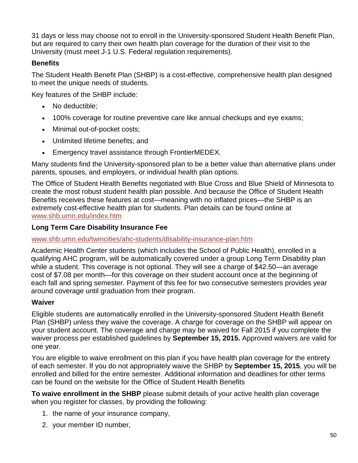31 days or less may choose not to enroll in the University-sponsored Student Health Benefit Plan, but are required to carry their own health plan coverage for the duration of their visit to the University (must meet J-1 U.S. Federal regulation requirements).

## **Benefits**

The Student Health Benefit Plan (SHBP) is a cost-effective, comprehensive health plan designed to meet the unique needs of students.

Key features of the SHBP include:

- No deductible;
- 100% coverage for routine preventive care like annual checkups and eye exams;
- Minimal out-of-pocket costs;
- Unlimited lifetime benefits; and
- Emergency travel assistance through FrontierMEDEX.

Many students find the University-sponsored plan to be a better value than alternative plans under parents, spouses, and employers, or individual health plan options.

The Office of Student Health Benefits negotiated with Blue Cross and Blue Shield of Minnesota to create the most robust student health plan possible. And because the Office of Student Health Benefits receives these features at cost—meaning with no inflated prices—the SHBP is an extremely cost-effective health plan for students. Plan details can be found online at [www.shb.umn.edu/index.htm](http://www.shb.umn.edu/index.htm)

### **Long Term Care Disability Insurance Fee**

### [www.shb.umn.edu/twincities/ahc-students/disability-insurance-plan.htm](http://www.shb.umn.edu/twincities/ahc-students/disability-insurance-plan.htm)

Academic Health Center students (which includes the School of Public Health), enrolled in a qualifying AHC program, will be automatically covered under a group Long Term Disability plan while a student. This coverage is not optional. They will see a charge of \$42.50—an average cost of \$7.08 per month—for this coverage on their student account once at the beginning of each fall and spring semester. Payment of this fee for two consecutive semesters provides year around coverage until graduation from their program.

### **Waiver**

Eligible students are automatically enrolled in the University-sponsored Student Health Benefit Plan (SHBP) unless they waive the coverage. A charge for coverage on the SHBP will appear on your student account. The coverage and charge may be waived for Fall 2015 if you complete the waiver process per established guidelines by **September 15, 2015.** Approved waivers are valid for one year.

You are eligible to waive enrollment on this plan if you have health plan coverage for the entirety of each semester. If you do not appropriately waive the SHBP by **September 15, 2015**, you will be enrolled and billed for the entire semester. Additional information and deadlines for other terms can be found on the website for the Office of Student Health Benefits

**To waive enrollment in the SHBP** please submit details of your active health plan coverage when you register for classes, by providing the following:

- 1. the name of your insurance company,
- 2. your member ID number,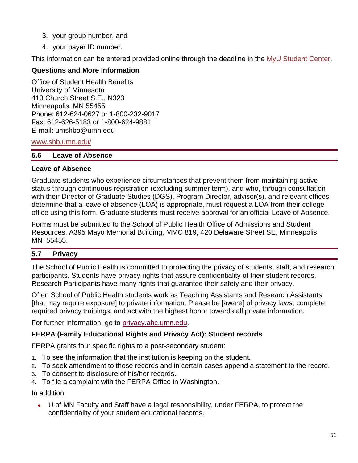- 3. your group number, and
- 4. your payer ID number.

This information can be entered provided online through the deadline in the [MyU Student Center.](http://myu.umn.edu/)

## **Questions and More Information**

Office of Student Health Benefits University of Minnesota 410 Church Street S.E., N323 Minneapolis, MN 55455 Phone: 612-624-0627 or 1-800-232-9017 Fax: 612-626-5183 or 1-800-624-9881 E-mail: [umshbo@umn.edu](mailto:umshbo@umn.edu)

### [www.shb.umn.edu/](http://www.shb.umn.edu/index.htm)

### **5.6 Leave of Absence**

### **Leave of Absence**

Graduate students who experience circumstances that prevent them from maintaining active status through continuous registration (excluding summer term), and who, through consultation with their Director of Graduate Studies (DGS), Program Director, advisor(s), and relevant offices determine that a leave of absence (LOA) is appropriate, must request a LOA from their college office using this form. Graduate students must receive approval for an official Leave of Absence.

Forms must be submitted to the School of Public Health Office of Admissions and Student Resources, A395 Mayo Memorial Building, MMC 819, 420 Delaware Street SE, Minneapolis, MN 55455.

## **5.7 Privacy**

The School of Public Health is committed to protecting the privacy of students, staff, and research participants. Students have privacy rights that assure confidentiality of their student records. Research Participants have many rights that guarantee their safety and their privacy.

Often School of Public Health students work as Teaching Assistants and Research Assistants [that may require exposure] to private information. Please be [aware] of privacy laws, complete required privacy trainings, and act with the highest honor towards all private information.

For further information, go to [privacy.ahc.umn.edu.](http://privacy.ahc.umn.edu/)

## **FERPA (Family Educational Rights and Privacy Act): Student records**

FERPA grants four specific rights to a post-secondary student:

- 1. To see the information that the institution is keeping on the student.
- 2. To seek amendment to those records and in certain cases append a statement to the record.
- 3. To consent to disclosure of his/her records.
- 4. To file a complaint with the FERPA Office in Washington.

In addition:

• U of MN Faculty and Staff have a legal responsibility, under FERPA, to protect the confidentiality of your student educational records.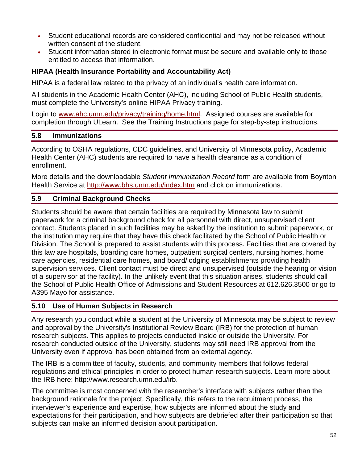- Student educational records are considered confidential and may not be released without written consent of the student.
- Student information stored in electronic format must be secure and available only to those entitled to access that information.

### **HIPAA (Health Insurance Portability and Accountability Act)**

HIPAA is a federal law related to the privacy of an individual's health care information.

All students in the Academic Health Center (AHC), including School of Public Health students, must complete the University's online HIPAA Privacy training.

Login to [www.ahc.umn.edu/privacy/training/home.html.](http://www.ahc.umn.edu/privacy/training/home.html) Assigned courses are available for completion through [ULearn.](http://www1.umn.edu/ohr/training/lms/index.html) See the [Training Instructions](http://www.privacysecurity.umn.edu/training/instructions/home.html) page for step-by-step instructions.

### **5.8 Immunizations**

According to OSHA regulations, CDC guidelines, and University of Minnesota policy, Academic Health Center (AHC) students are required to have a health clearance as a condition of enrollment.

More details and the downloadable *Student Immunization Record* form are available from Boynton Health Service at<http://www.bhs.umn.edu/index.htm> and click on immunizations.

### **5.9 Criminal Background Checks**

Students should be aware that certain facilities are required by Minnesota law to submit paperwork for a criminal background check for all personnel with direct, unsupervised client contact. Students placed in such facilities may be asked by the institution to submit paperwork, or the institution may require that they have this check facilitated by the School of Public Health or Division. The School is prepared to assist students with this process. Facilities that are covered by this law are hospitals, boarding care homes, outpatient surgical centers, nursing homes, home care agencies, residential care homes, and board/lodging establishments providing health supervision services. Client contact must be direct and unsupervised (outside the hearing or vision of a supervisor at the facility). In the unlikely event that this situation arises, students should call the School of Public Health Office of Admissions and Student Resources at 612.626.3500 or go to A395 Mayo for assistance.

### **5.10 Use of Human Subjects in Research**

Any research you conduct while a student at the University of Minnesota may be subject to review and approval by the University's Institutional Review Board (IRB) for the protection of human research subjects. This applies to projects conducted inside or outside the University. For research conducted outside of the University, students may still need IRB approval from the University even if approval has been obtained from an external agency.

The IRB is a committee of faculty, students, and community members that follows federal regulations and ethical principles in order to protect human research subjects. Learn more about the IRB here: [http://www.research.umn.edu/irb.](http://www.research.umn.edu/irb/)

The committee is most concerned with the researcher's interface with subjects rather than the background rationale for the project. Specifically, this refers to the recruitment process, the interviewer's experience and expertise, how subjects are informed about the study and expectations for their participation, and how subjects are debriefed after their participation so that subjects can make an informed decision about participation.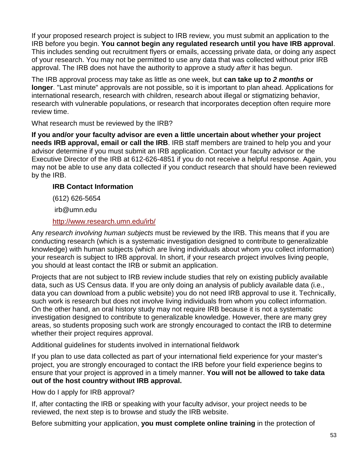If your proposed research project is subject to IRB review, you must submit an application to the IRB before you begin. **You cannot begin any regulated research until you have IRB approval**. This includes sending out recruitment flyers or emails, accessing private data, or doing any aspect of your research. You may not be permitted to use any data that was collected without prior IRB approval. The IRB does not have the authority to approve a study *after* it has begun.

The IRB approval process may take as little as one week, but **can take up to** *2 months* **or longer**. "Last minute" approvals are not possible, so it is important to plan ahead. Applications for international research, research with children, research about illegal or stigmatizing behavior, research with vulnerable populations, or research that incorporates deception often require more review time.

What research must be reviewed by the IRB?

**If you and/or your faculty advisor are even a little uncertain about whether your project needs IRB approval, email or call the IRB**. IRB staff members are trained to help you and your advisor determine if you must submit an IRB application. Contact your faculty advisor or the Executive Director of the IRB at 612-626-4851 if you do not receive a helpful response. Again, you may not be able to use any data collected if you conduct research that should have been reviewed by the IRB.

### **IRB Contact Information**

(612) 626-5654

[irb@umn.edu](mailto:irb@umn.edu)

### <http://www.research.umn.edu/irb/>

Any *research involving human subjects* must be reviewed by the IRB. This means that if you are conducting research (which is a systematic investigation designed to contribute to generalizable knowledge) with human subjects (which are living individuals about whom you collect information) your research is subject to IRB approval. In short, if your research project involves living people, you should at least contact the IRB or submit an application.

Projects that are not subject to IRB review include studies that rely on existing publicly available data, such as US Census data. If you are only doing an analysis of publicly available data (i.e., data you can download from a public website) you do not need IRB approval to use it. Technically, such work is research but does not involve living individuals from whom you collect information. On the other hand, an oral history study may not require IRB because it is not a systematic investigation designed to contribute to generalizable knowledge. However, there are many grey areas, so students proposing such work are strongly encouraged to contact the IRB to determine whether their project requires approval.

Additional guidelines for students involved in international fieldwork

If you plan to use data collected as part of your international field experience for your master's project, you are strongly encouraged to contact the IRB before your field experience begins to ensure that your project is approved in a timely manner. **You will not be allowed to take data out of the host country without IRB approval.**

How do I apply for IRB approval?

If, after contacting the IRB or speaking with your faculty advisor, your project needs to be reviewed, the next step is to browse and study the IRB website.

Before submitting your application, **you must complete online training** in the protection of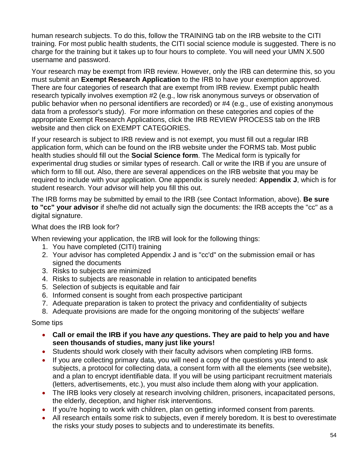human research subjects. To do this, follow the TRAINING tab on the IRB website to the CITI training. For most public health students, the CITI social science module is suggested. There is no charge for the training but it takes up to four hours to complete. You will need your UMN X.500 username and password.

Your research may be exempt from IRB review. However, only the IRB can determine this, so you must submit an **Exempt Research Application** to the IRB to have your exemption approved. There are four categories of research that are exempt from IRB review. Exempt public health research typically involves exemption #2 (e.g., low risk anonymous surveys or observation of public behavior when no personal identifiers are recorded) or #4 (e.g., use of existing anonymous data from a professor's study). For more information on these categories and copies of the appropriate Exempt Research Applications, click the IRB REVIEW PROCESS tab on the IRB website and then click on EXEMPT CATEGORIES.

If your research is subject to IRB review and is not exempt, you must fill out a regular IRB application form, which can be found on the IRB website under the FORMS tab. Most public health studies should fill out the **Social Science form**. The Medical form is typically for experimental drug studies or similar types of research. Call or write the IRB if you are unsure of which form to fill out. Also, there are several appendices on the IRB website that you may be required to include with your application. One appendix is surely needed: **Appendix J**, which is for student research. Your advisor will help you fill this out.

The IRB forms may be submitted by email to the IRB (see Contact Information, above). **Be sure to "cc" your advisor** if she/he did not actually sign the documents: the IRB accepts the "cc" as a digital signature.

### What does the IRB look for?

When reviewing your application, the IRB will look for the following things:

- 1. You have completed (CITI) training
- 2. Your advisor has completed Appendix J and is "cc'd" on the submission email or has signed the documents
- 3. Risks to subjects are minimized
- 4. Risks to subjects are reasonable in relation to anticipated benefits
- 5. Selection of subjects is equitable and fair
- 6. Informed consent is sought from each prospective participant
- 7. Adequate preparation is taken to protect the privacy and confidentiality of subjects
- 8. Adequate provisions are made for the ongoing monitoring of the subjects' welfare

### Some tips

- **Call or email the IRB if you have** *any* **questions. They are paid to help you and have seen thousands of studies, many just like yours!**
- Students should work closely with their faculty advisors when completing IRB forms.
- If you are collecting primary data, you will need a copy of the questions you intend to ask subjects, a protocol for collecting data, a consent form with all the elements (see website), and a plan to encrypt identifiable data. If you will be using participant recruitment materials (letters, advertisements, etc.), you must also include them along with your application.
- The IRB looks very closely at research involving children, prisoners, incapacitated persons, the elderly, deception, and higher risk interventions.
- If you're hoping to work with children, plan on getting informed consent from parents.
- All research entails some risk to subjects, even if merely boredom. It is best to overestimate the risks your study poses to subjects and to underestimate its benefits.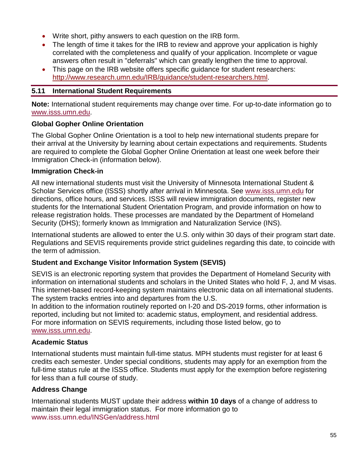- Write short, pithy answers to each question on the IRB form.
- The length of time it takes for the IRB to review and approve your application is highly correlated with the completeness and qualify of your application. Incomplete or vague answers often result in "deferrals" which can greatly lengthen the time to approval.
- This page on the IRB website offers specific guidance for student researchers: [http://www.research.umn.edu/IRB/guidance/student-researchers.html.](http://www.research.umn.edu/IRB/guidance/student-researchers.html)

### **5.11 International Student Requirements**

**Note:** International student requirements may change over time. For up-to-date information go to [www.isss.umn.edu.](http://www.isss.umn.edu/)

### **Global Gopher Online Orientation**

The Global Gopher Online Orientation is a tool to help new international students prepare for their arrival at the University by learning about certain expectations and requirements. Students are required to complete the Global Gopher Online Orientation at least one week before their Immigration Check-in (information below).

### **Immigration Check-in**

All new international students must visit the University of Minnesota International Student & Scholar Services office (ISSS) shortly after arrival in Minnesota. See [www.isss.umn.edu](http://www.isss.umn.edu/) for directions, office hours, and services. ISSS will review immigration documents, register new students for the International Student Orientation Program, and provide information on how to release registration holds. These processes are mandated by the Department of Homeland Security (DHS); formerly known as Immigration and Naturalization Service (INS).

International students are allowed to enter the U.S. only within 30 days of their program start date. Regulations and SEVIS requirements provide strict guidelines regarding this date, to coincide with the term of admission.

### **Student and Exchange Visitor Information System (SEVIS)**

SEVIS is an electronic reporting system that provides the Department of Homeland Security with information on international students and scholars in the United States who hold F, J, and M visas. This internet-based record-keeping system maintains electronic data on all international students. The system tracks entries into and departures from the U.S.

In addition to the information routinely reported on I-20 and DS-2019 forms, other information is reported, including but not limited to: academic status, employment, and residential address. For more information on SEVIS requirements, including those listed below, go to [www.isss.umn.edu.](http://www.isss.umn.edu/)

### **Academic Status**

International students must maintain full-time status. MPH students must register for at least 6 credits each semester. Under special conditions, students may apply for an exemption from the full-time status rule at the ISSS office. Students must apply for the exemption before registering for less than a full course of study.

### **Address Change**

International students MUST update their address **within 10 days** of a change of address to maintain their legal immigration status. For more information go to [www.isss.umn.edu/INSGen/address.html](http://www.isss.umn.edu/INSGen/address.html)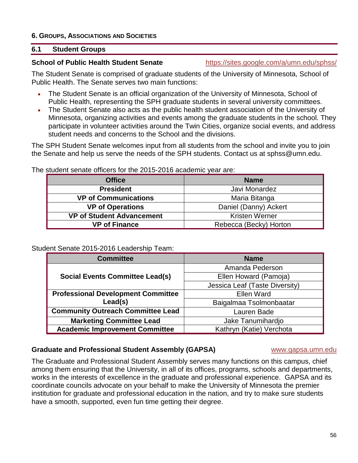### **6.1 Student Groups**

### **School of Public Health Student Senate** <https://sites.google.com/a/umn.edu/sphss/>

The Student Senate is comprised of graduate students of the University of Minnesota, School of Public Health. The Senate serves two main functions:

- The Student Senate is an official organization of the University of Minnesota, School of Public Health, representing the SPH graduate students in several university committees.
- The Student Senate also acts as the public health student association of the University of Minnesota, organizing activities and events among the graduate students in the school. They participate in volunteer activities around the Twin Cities, organize social events, and address student needs and concerns to the School and the divisions.

The SPH Student Senate welcomes input from all students from the school and invite you to join the Senate and help us serve the needs of the SPH students. Contact us at [sphss@umn.edu.](mailto:sphss@umn.edu)

The student senate officers for the 2015-2016 academic year are:

| <b>Office</b>                    | <b>Name</b>            |  |  |
|----------------------------------|------------------------|--|--|
| <b>President</b>                 | Javi Monardez          |  |  |
| <b>VP of Communications</b>      | Maria Bitanga          |  |  |
| <b>VP of Operations</b>          | Daniel (Danny) Ackert  |  |  |
| <b>VP of Student Advancement</b> | <b>Kristen Werner</b>  |  |  |
| <b>VP of Finance</b>             | Rebecca (Becky) Horton |  |  |

### Student Senate 2015-2016 Leadership Team:

| <b>Committee</b>                          | <b>Name</b>                    |  |  |
|-------------------------------------------|--------------------------------|--|--|
|                                           | Amanda Pederson                |  |  |
| <b>Social Events Committee Lead(s)</b>    | Ellen Howard (Pamoja)          |  |  |
|                                           | Jessica Leaf (Taste Diversity) |  |  |
| <b>Professional Development Committee</b> | <b>Ellen Ward</b>              |  |  |
| Lead(s)                                   | Baigalmaa Tsolmonbaatar        |  |  |
| <b>Community Outreach Committee Lead</b>  | Lauren Bade                    |  |  |
| <b>Marketing Committee Lead</b>           | Jake Tanumihardjo              |  |  |
| <b>Academic Improvement Committee</b>     | Kathryn (Katie) Verchota       |  |  |

### **Graduate and Professional Student Assembly (GAPSA)** [www.gapsa.umn.edu](http://www.gapsa.umn.edu/)

The Graduate and Professional Student Assembly serves many functions on this campus, chief among them ensuring that the University, in all of its offices, programs, schools and departments, works in the interests of excellence in the graduate and professional experience. GAPSA and its coordinate councils advocate on your behalf to make the University of Minnesota the premier institution for graduate and professional education in the nation, and try to make sure students have a smooth, supported, even fun time getting their degree.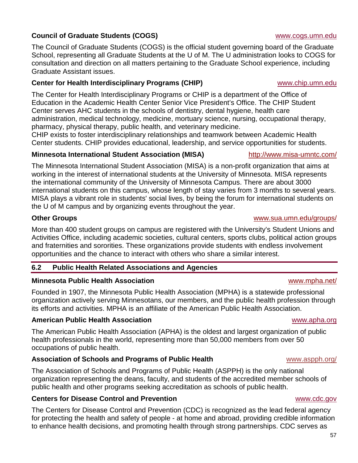# **Council of Graduate Students (COGS)** [www.cogs.umn.edu](http://www.cogs.umn.edu/)

The Council of Graduate Students (COGS) is the official student governing board of the Graduate School, representing all Graduate Students at the U of M. The U administration looks to COGS for consultation and direction on all matters pertaining to the Graduate School experience, including Graduate Assistant issues.

## **Center for Health Interdisciplinary Programs (CHIP)** [www.chip.umn.edu](http://www.chip.umn.edu/)

The Center for Health Interdisciplinary Programs or CHIP is a department of the Office of Education in the [Academic Health Center](http://www.ahc.umn.edu/) Senior Vice President's Office. The CHIP Student Center serves AHC students in the schools of dentistry, dental hygiene, health care administration, medical technology, medicine, mortuary science, nursing, occupational therapy, pharmacy, physical therapy, public health, and veterinary medicine.

CHIP exists to foster interdisciplinary relationships and teamwork between Academic Health Center students. CHIP provides educational, leadership, and service opportunities for students.

## **Minnesota International Student Association (MISA) <http://www.misa-umntc.com/>**

The Minnesota International Student Association (MISA) is a non-profit organization that aims at working in the interest of international students at the University of Minnesota. MISA represents the international community of the University of Minnesota Campus. There are about 3000 international students on this campus, whose length of stay varies from 3 months to several years. MISA plays a vibrant role in students' social lives, by being the forum for international students on the U of M campus and by organizing events throughout the year.

### **Other Groups** [www.sua.umn.edu/groups/](http://www.sua.umn.edu/groups/)

More than 400 student groups on campus are registered with the University's Student Unions and Activities Office, including academic societies, cultural centers, sports clubs, political action groups and fraternities and sororities. These organizations provide students with endless involvement opportunities and the chance to interact with others who share a similar interest.

## **6.2 Public Health Related Associations and Agencies**

### **Minnesota Public Health Association** [www.mpha.net/](http://www.mpha.net/)

Founded in 1907, the Minnesota Public Health Association (MPHA) is a statewide professional organization actively serving Minnesotans, our members, and the public health profession through its efforts and activities. MPHA is an affiliate of the American Public Health Association.

## **American Public Health Association** [www.apha.org](http://www.apha.org/)

The American Public Health Association (APHA) is the oldest and largest organization of public health professionals in the world, representing more than 50,000 members from over 50 occupations of public health.

## **Association of Schools and Programs of Public Health WEIGHT WASHT WWW.aspph.org/**

The Association of Schools and Programs of Public Health (ASPPH) is the only national organization representing the deans, faculty, and students of the accredited member schools of public health and other programs seeking accreditation as schools of public health.

## **Centers for Disease Control and Prevention** and the second [www.cdc.gov](http://www.cdc.gov/)

The Centers for Disease Control and Prevention (CDC) is recognized as the lead federal agency for protecting the health and safety of people - at home and abroad, providing credible information to enhance health decisions, and promoting health through strong partnerships. CDC serves as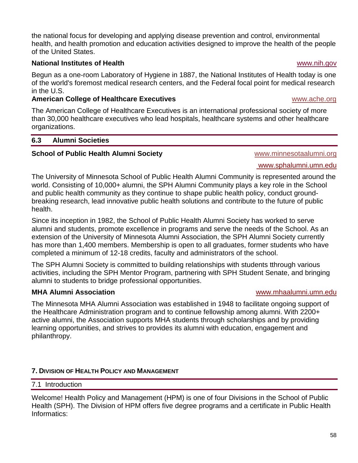the national focus for developing and applying disease prevention and control, environmental health, and health promotion and education activities designed to improve the health of the people of the United States.

### **National Institutes of Health** [www.nih.gov](http://www.nih.gov/)

Begun as a one-room Laboratory of Hygiene in 1887, the National Institutes of Health today is one of the world's foremost medical research centers, and the Federal focal point for medical research in the U.S.

### American College of Healthcare Executives **WAMER American College of Healthcare Executives**

The American College of Healthcare Executives is an international professional society of more than 30,000 healthcare executives who lead hospitals, healthcare systems and other healthcare organizations.

### **6.3 Alumni Societies**

## **School of Public Health Alumni Society www.minnesotaalumni.org**

The University of Minnesota School of Public Health Alumni Community is represented around the world. Consisting of 10,000+ alumni, the SPH Alumni Community plays a key role in the School and public health community as they continue to shape public health policy, conduct groundbreaking research, lead innovative public health solutions and contribute to the future of public health.

Since its inception in 1982, the School of Public Health Alumni Society has worked to serve alumni and students, promote excellence in programs and serve the needs of the School. As an extension of the University of Minnesota Alumni Association, the SPH Alumni Society currently has more than 1,400 members. Membership is open to all graduates, former students who have completed a minimum of 12-18 credits, faculty and administrators of the school.

The SPH Alumni Society is committed to building relationships with students tthrough various activities, including the SPH Mentor Program, partnering with SPH Student Senate, and bringing alumni to students to bridge professional opportunities.

## **MHA Alumni Association** [www.mhaalumni.umn.edu](http://www.mhaalumni.umn.edu/)

The Minnesota MHA Alumni Association was established in 1948 to facilitate ongoing support of the Healthcare Administration program and to continue fellowship among alumni. With 2200+ active alumni, the Association supports MHA students through scholarships and by providing learning opportunities, and strives to provides its alumni with education, engagement and philanthropy.

## **7. DIVISION OF HEALTH POLICY AND MANAGEMENT**

### 7.1 Introduction

Welcome! Health Policy and Management (HPM) is one of four Divisions in the School of Public Health (SPH). The Division of HPM offers five degree programs and a certificate in Public Health Informatics:

[www.sphalumni.umn.edu](http://www.sphalumni.umn.edu/)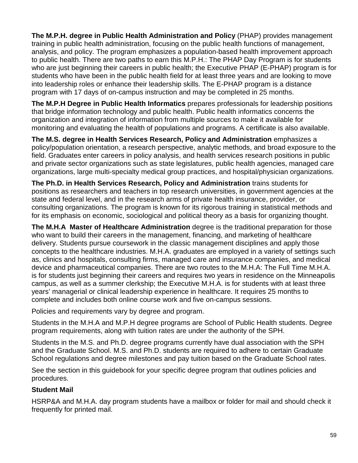**The M.P.H. degree in Public Health Administration and Policy** (PHAP) provides management training in public health administration, focusing on the public health functions of management, analysis, and policy. The program emphasizes a population-based health improvement approach to public health. There are two paths to earn this M.P.H.: The PHAP Day Program is for students who are just beginning their careers in public health; the Executive PHAP (E-PHAP) program is for students who have been in the public health field for at least three years and are looking to move into leadership roles or enhance their leadership skills. The E-PHAP program is a distance program with 17 days of on-campus instruction and may be completed in 25 months.

**The M.P.H Degree in Public Health Informatics** prepares professionals for leadership positions that bridge information technology and public health. Public health informatics concerns the organization and integration of information from multiple sources to make it available for monitoring and evaluating the health of populations and programs. A certificate is also available.

**The M.S. degree in Health Services Research, Policy and Administration** emphasizes a policy/population orientation, a research perspective, analytic methods, and broad exposure to the field. Graduates enter careers in policy analysis, and health services research positions in public and private sector organizations such as state legislatures, public health agencies, managed care organizations, large multi-specialty medical group practices, and hospital/physician organizations.

**The Ph.D. in Health Services Research, Policy and Administration** trains students for positions as researchers and teachers in top research universities, in government agencies at the state and federal level, and in the research arms of private health insurance, provider, or consulting organizations. The program is known for its rigorous training in statistical methods and for its emphasis on economic, sociological and political theory as a basis for organizing thought.

**The M.H.A Master of Healthcare Administration** degree is the traditional preparation for those who want to build their careers in the management, financing, and marketing of healthcare delivery. Students pursue coursework in the classic management disciplines and apply those concepts to the healthcare industries. M.H.A. graduates are employed in a variety of settings such as, clinics and hospitals, consulting firms, managed care and insurance companies, and medical device and pharmaceutical companies. There are two routes to the M.H.A: The Full Time M.H.A. is for students just beginning their careers and requires two years in residence on the Minneapolis campus, as well as a summer clerkship; the Executive M.H.A. is for students with at least three years' managerial or clinical leadership experience in healthcare. It requires 25 months to complete and includes both online course work and five on-campus sessions.

Policies and requirements vary by degree and program.

Students in the M.H.A and M.P.H degree programs are School of Public Health students. Degree program requirements, along with tuition rates are under the authority of the SPH.

Students in the M.S. and Ph.D. degree programs currently have dual association with the SPH and the Graduate School. M.S. and Ph.D. students are required to adhere to certain Graduate School regulations and degree milestones and pay tuition based on the Graduate School rates.

See the section in this guidebook for your specific degree program that outlines policies and procedures.

## **Student Mail**

HSRP&A and M.H.A. day program students have a mailbox or folder for mail and should check it frequently for printed mail.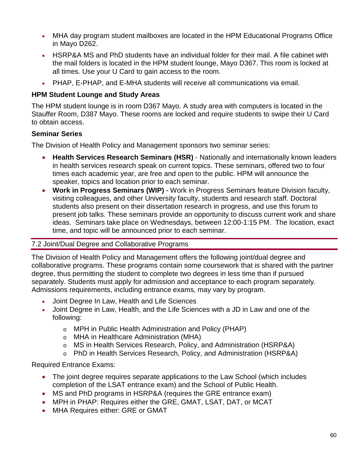- MHA day program student mailboxes are located in the HPM Educational Programs Office in Mayo D262.
- HSRP&A MS and PhD students have an individual folder for their mail. A file cabinet with the mail folders is located in the HPM student lounge, Mayo D367. This room is locked at all times. Use your U Card to gain access to the room.
- PHAP, E-PHAP, and E-MHA students will receive all communications via email.

### **HPM Student Lounge and Study Areas**

The HPM student lounge is in room D367 Mayo. A study area with computers is located in the Stauffer Room, D387 Mayo. These rooms are locked and require students to swipe their U Card to obtain access.

### **Seminar Series**

The Division of Health Policy and Management sponsors two seminar series:

- **Health Services Research Seminars (HSR)** Nationally and internationally known leaders in health services research speak on current topics. These seminars, offered two to four times each academic year, are free and open to the public. HPM will announce the speaker, topics and location prior to each seminar.
- **Work in Progress Seminars (WIP)** Work in Progress Seminars feature Division faculty, visiting colleagues, and other University faculty, students and research staff. Doctoral students also present on their dissertation research in progress, and use this forum to present job talks. These seminars provide an opportunity to discuss current work and share ideas. Seminars take place on Wednesdays, between 12:00-1:15 PM. The location, exact time, and topic will be announced prior to each seminar.

### 7.2 Joint/Dual Degree and Collaborative Programs

The Division of Health Policy and Management offers the following joint/dual degree and collaborative programs. These programs contain some coursework that is shared with the partner degree, thus permitting the student to complete two degrees in less time than if pursued separately. Students must apply for admission and acceptance to each program separately. Admissions requirements, including entrance exams, may vary by program.

- Joint Degree In Law, Health and Life Sciences
- Joint Degree in Law, Health, and the Life Sciences with a JD in Law and one of the following:
	- o MPH in Public Health Administration and Policy (PHAP)
	- o MHA in Healthcare Administration (MHA)
	- o MS in Health Services Research, Policy, and Administration (HSRP&A)
	- o PhD in Health Services Research, Policy, and Administration (HSRP&A)

### Required Entrance Exams:

- The joint degree requires separate applications to the Law School (which includes completion of the LSAT entrance exam) and the School of Public Health.
- MS and PhD programs in HSRP&A (requires the GRE entrance exam)
- MPH in PHAP: Requires either the GRE, GMAT, LSAT, DAT, or MCAT
- MHA Requires either: GRE or GMAT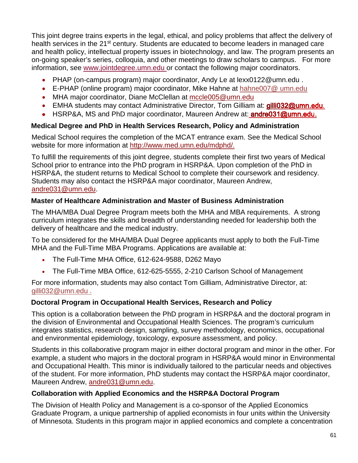This joint degree trains experts in the legal, ethical, and policy problems that affect the delivery of health services in the 21<sup>st</sup> century. Students are educated to become leaders in managed care and health policy, intellectual property issues in biotechnology, and law. The program presents an on-going speaker's series, colloquia, and other meetings to draw scholars to campus. For more information, see [www.jointdegree.umn.edu](http://www.jointdegree.umn.edu/) or contact the following major coordinators.

- PHAP (on-campus program) major coordinator, Andy Le at [lexx0122@umn.edu](mailto:lexx0122@umn.edu) .
- E-PHAP (online program) major coordinator, Mike Hahne at hahne007@ umn.edu
- MHA major coordinator, Diane McClellan at [mccle005@umn.edu](mailto:mccle005@umn.edu)
- EMHA students may contact Administrative Director, Tom Gillia[m at:](mailto:andre031@umn.edu)  $q$ illio 32@umn.edu.
- HSRP&A, MS and PhD major coordinator, Maureen Andrew at: andre031@umn.edu.

### **Medical Degree and PhD in Health Services Research, Policy and Administration**

Medical School requires the completion of the MCAT entrance exam. See the Medical School website for more information at [http://www.med.umn.edu/mdphd/.](http://www.med.umn.edu/mdphd/)

To fulfill the requirements of this joint degree, students complete their first two years of Medical School prior to entrance into the PhD program in HSRP&A. Upon completion of the PhD in HSRP&A, the student returns to Medical School to complete their coursework and residency. Students may also contact the HSRP&A major coordinator, Maureen Andrew, [andre031@umn.edu.](mailto:andre031@umn.edu)

### **Master of Healthcare Administration and Master of Business Administration**

The MHA/MBA Dual Degree Program meets both the MHA and MBA requirements. A strong curriculum integrates the skills and breadth of understanding needed for leadership both the delivery of healthcare and the medical industry.

To be considered for the MHA/MBA Dual Degree applicants must apply to both the Full-Time MHA and the Full-Time MBA Programs. Applications are available at:

- The Full-Time MHA Office, 612-624-9588, D262 Mayo
- The Full-Time MBA Office, 612-625-5555, 2-210 Carlson School of Management

For more information, students may also contact Tom Gilliam, Administrative Director, at: gilli03[2@umn.edu](mailto:reddx010@umn.edu) .

### **Doctoral Program in Occupational Health Services, Research and Policy**

This option is a collaboration between the PhD program in HSRP&A and the doctoral program in the division of Environmental and Occupational Health Sciences. The program's curriculum integrates statistics, research design, sampling, survey methodology, economics, occupational and environmental epidemiology, toxicology, exposure assessment, and policy.

Students in this collaborative program major in either doctoral program and minor in the other. For example, a student who majors in the doctoral program in HSRP&A would minor in Environmental and Occupational Health. This minor is individually tailored to the particular needs and objectives of the student. For more information, PhD students may contact the HSRP&A major coordinator, Maureen Andrew, [andre031@umn.edu.](mailto:andre031@umn.edu)

### **Collaboration with Applied Economics and the HSRP&A Doctoral Program**

The Division of Health Policy and Management is a co-sponsor of the Applied Economics Graduate Program, a unique partnership of applied economists in four units within the University of Minnesota. Students in this program major in applied economics and complete a concentration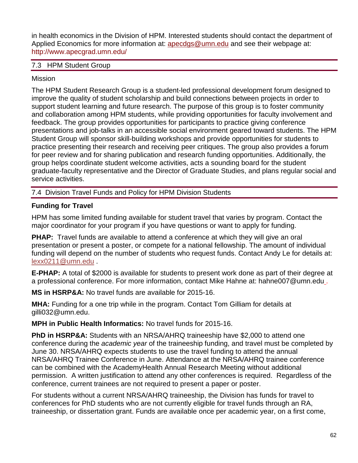in health economics in the Division of HPM. Interested students should contact the department of Applied Economics for more information at: **apecdgs@umn.edu** and see their webpage at: <http://www.apecgrad.umn.edu/>

### 7.3 HPM Student Group

### Mission

The HPM Student Research Group is a student-led professional development forum designed to improve the quality of student scholarship and build connections between projects in order to support student learning and future research. The purpose of this group is to foster community and collaboration among HPM students, while providing opportunities for faculty involvement and feedback. The group provides opportunities for participants to practice giving conference presentations and job-talks in an accessible social environment geared toward students. The HPM Student Group will sponsor skill-building workshops and provide opportunities for students to practice presenting their research and receiving peer critiques. The group also provides a forum for peer review and for sharing publication and research funding opportunities. Additionally, the group helps coordinate student welcome activities, acts a sounding board for the student graduate-faculty representative and the Director of Graduate Studies, and plans regular social and service activities.

7.4 Division Travel Funds and Policy for HPM Division Students

### **Funding for Travel**

HPM has some limited funding available for student travel that varies by program. Contact the major coordinator for your program if you have questions or want to apply for funding.

**PHAP:** Travel funds are available to attend a conference at which they will give an oral presentation or present a poster, or compete for a national fellowship. The amount of individual funding will depend on the number of students who request funds. Contact Andy Le for details at: [lexx0211@umn.edu](mailto:lexx0211@umn.edu) .

**E-PHAP:** A total of \$2000 is available for students to present work done as part of their degree at a professional conference. For more information, contact Mike Hahne at: [hahne007@umn.edu](mailto:hahne007@umn.edu) .

**MS in HSRP&A:** No travel funds are available for 2015-16.

**MHA:** Funding for a one trip while in the program. Contact Tom Gilliam for details at [gilli032@umn.edu.](mailto:gilli032@umn.edu)

**MPH in Public Health Informatics:** No travel funds for 2015-16.

**PhD in HSRP&A:** Students with an NRSA/AHRQ traineeship have \$2,000 to attend one conference during the *academic year* of the traineeship funding, and travel must be completed by June 30. NRSA/AHRQ expects students to use the travel funding to attend the annual NRSA/AHRQ Trainee Conference in June. Attendance at the NRSA/AHRQ trainee conference can be combined with the AcademyHealth Annual Research Meeting without additional permission. A written justification to attend any other conferences is required. Regardless of the conference, current trainees are not required to present a paper or poster.

For students without a current NRSA/AHRQ traineeship, the Division has funds for travel to conferences for PhD students who are not currently eligible for travel funds through an RA, traineeship, or dissertation grant. Funds are available once per academic year, on a first come,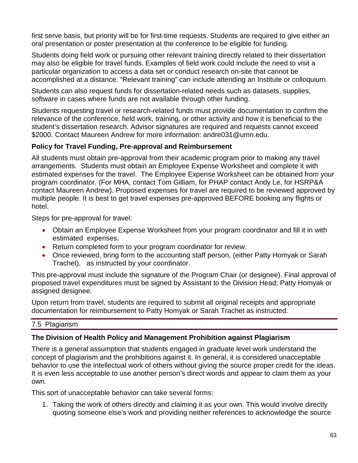first serve basis, but priority will be for first-time requests. Students are required to give either an oral presentation or poster presentation at the conference to be eligible for funding.

Students doing field work or pursuing other relevant training directly related to their dissertation may also be eligible for travel funds. Examples of field work could include the need to visit a particular organization to access a data set or conduct research on-site that cannot be accomplished at a distance. "Relevant training" can include attending an Institute or colloquium.

Students can also request funds for dissertation-related needs such as datasets, supplies, software in cases where funds are not available through other funding.

Students requesting travel or research-related funds must provide documentation to confirm the relevance of the conference, field work, training, or other activity and how it is beneficial to the student's dissertation research. Advisor signatures are required and requests cannot exceed \$2000. Contact Maureen Andrew for more information: [andre031@umn.edu.](mailto:andre031@umn.edu)

### **Policy for Travel Funding, Pre-approval and Reimbursement**

All students must obtain pre-approval from their academic program prior to making any travel arrangements. Students must obtain an Employee Expense Worksheet and complete it with estimated expenses for the travel. The Employee Expense Worksheet can be obtained from your program coordinator. (For MHA, contact Tom Gilliam, for PHAP contact Andy Le, for HSRP&A contact Maureen Andrew). Proposed expenses for travel are required to be reviewed approved by multiple people. It is best to get travel expenses pre-approved BEFORE booking any flights or hotel.

Steps for pre-approval for travel:

- Obtain an Employee Expense Worksheet from your program coordinator and fill it in with estimated expenses.
- Return completed form to your program coordinator for review.
- Once reviewed, bring form to the accounting staff person, (either Patty Homyak or Sarah Trachet), as instructed by your coordinator.

This pre-approval must include the signature of the Program Chair (or designee). Final approval of proposed travel expenditures must be signed by Assistant to the Division Head; Patty Homyak or assigned designee.

Upon return from travel, students are required to submit all original receipts and appropriate documentation for reimbursement to Patty Homyak or Sarah Trachet as instructed.

### 7.5 Plagiarism

### **The Division of Health Policy and Management Prohibition against Plagiarism**

There is a general assumption that students engaged in graduate level work understand the concept of plagiarism and the prohibitions against it. In general, it is considered unacceptable behavior to use the intellectual work of others without giving the source proper credit for the ideas. It is even less acceptable to use another person's direct words and appear to claim them as your own.

This sort of unacceptable behavior can take several forms:

1. Taking the work of others directly and claiming it as your own. This would involve directly quoting someone else's work and providing neither references to acknowledge the source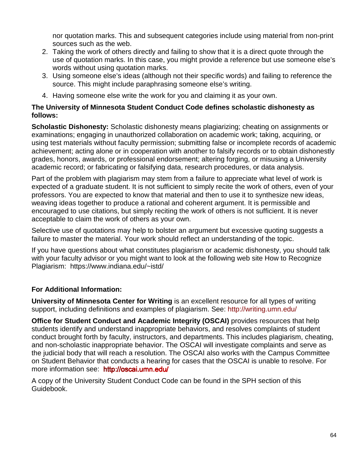nor quotation marks. This and subsequent categories include using material from non-print sources such as the web.

- 2. Taking the work of others directly and failing to show that it is a direct quote through the use of quotation marks. In this case, you might provide a reference but use someone else's words without using quotation marks.
- 3. Using someone else's ideas (although not their specific words) and failing to reference the source. This might include paraphrasing someone else's writing.
- 4. Having someone else write the work for you and claiming it as your own.

### **The University of Minnesota Student Conduct Code defines scholastic dishonesty as follows:**

**Scholastic Dishonesty:** Scholastic dishonesty means plagiarizing; cheating on assignments or examinations; engaging in unauthorized collaboration on academic work; taking, acquiring, or using test materials without faculty permission; submitting false or incomplete records of academic achievement; acting alone or in cooperation with another to falsify records or to obtain dishonestly grades, honors, awards, or professional endorsement; altering forging, or misusing a University academic record; or fabricating or falsifying data, research procedures, or data analysis.

Part of the problem with plagiarism may stem from a failure to appreciate what level of work is expected of a graduate student. It is not sufficient to simply recite the work of others, even of your professors. You are expected to know that material and then to use it to synthesize new ideas, weaving ideas together to produce a rational and coherent argument. It is permissible and encouraged to use citations, but simply reciting the work of others is not sufficient. It is never acceptable to claim the work of others as your own.

Selective use of quotations may help to bolster an argument but excessive quoting suggests a failure to master the material. Your work should reflect an understanding of the topic.

If you have questions about what constitutes plagiarism or academic dishonesty, you should talk with your faculty advisor or you might want to look at the following web site How to Recognize Plagiarism: [https://www.indiana.edu/~istd/](https://www.indiana.edu/%7Eistd/) 

## **For Additional Information:**

**University of Minnesota Center for Writing** is an excellent resource for all types of writing support, including definitions and examples of plagiarism. See: <http://writing.umn.edu/>

**Office for Student Conduct and Academic Integrity (OSCAI)** provides resources that help students identify and understand inappropriate behaviors, and resolves complaints of student conduct brought forth by faculty, instructors, and departments. This includes plagiarism, cheating, and non-scholastic inappropriate behavior. The OSCAI will investigate complaints and serve as the judicial body that will reach a resolution. The OSCAI also works with the Campus Committee on Student Behavior that conducts a hearing for cases that the OSCAI is unable to resolve. For more information see: http://oscai.umn.edu/

A copy of the University Student Conduct Code can be found in the SPH section of this Guidebook.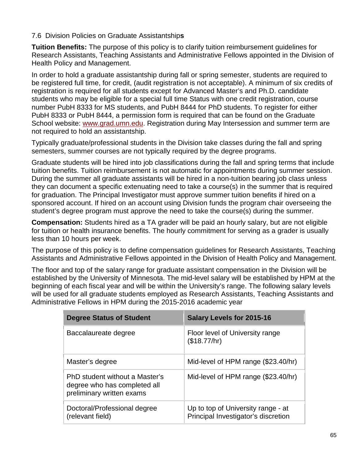### 7.6 Division Policies on Graduate Assistantship**s**

**Tuition Benefits:** The purpose of this policy is to clarify tuition reimbursement guidelines for Research Assistants, Teaching Assistants and Administrative Fellows appointed in the Division of Health Policy and Management.

In order to hold a graduate assistantship during fall or spring semester, students are required to be registered full time, for credit, (audit registration is not acceptable). A minimum of six credits of registration is required for all students except for Advanced Master's and Ph.D. candidate students who may be eligible for a special full time Status with one credit registration, course number PubH 8333 for MS students, and PubH 8444 for PhD students. To register for either PubH 8333 or PubH 8444, a permission form is required that can be found on the Graduate School website: [www.grad.umn.edu.](http://www.grad.umn.edu/) Registration during May Intersession and summer term are not required to hold an assistantship.

Typically graduate/professional students in the Division take classes during the fall and spring semesters, summer courses are not typically required by the degree programs.

Graduate students will be hired into job classifications during the fall and spring terms that include tuition benefits. Tuition reimbursement is not automatic for appointments during summer session. During the summer all graduate assistants will be hired in a non-tuition bearing job class unless they can document a specific extenuating need to take a course(s) in the summer that is required for graduation. The Principal Investigator must approve summer tuition benefits if hired on a sponsored account. If hired on an account using Division funds the program chair overseeing the student's degree program must approve the need to take the course(s) during the summer.

**Compensation:** Students hired as a TA grader will be paid an hourly salary, but are not eligible for tuition or health insurance benefits. The hourly commitment for serving as a grader is usually less than 10 hours per week.

The purpose of this policy is to define compensation guidelines for Research Assistants, Teaching Assistants and Administrative Fellows appointed in the Division of Health Policy and Management.

The floor and top of the salary range for graduate assistant compensation in the Division will be established by the University of Minnesota. The mid-level salary will be established by HPM at the beginning of each fiscal year and will be within the University's range. The following salary levels will be used for all graduate students employed as Research Assistants, Teaching Assistants and Administrative Fellows in HPM during the 2015-2016 academic year

| <b>Degree Status of Student</b>                                                             | <b>Salary Levels for 2015-16</b>                                          |
|---------------------------------------------------------------------------------------------|---------------------------------------------------------------------------|
| Baccalaureate degree                                                                        | Floor level of University range<br>(\$18.77/hr)                           |
| Master's degree                                                                             | Mid-level of HPM range (\$23.40/hr)                                       |
| PhD student without a Master's<br>degree who has completed all<br>preliminary written exams | Mid-level of HPM range (\$23.40/hr)                                       |
| Doctoral/Professional degree<br>(relevant field)                                            | Up to top of University range - at<br>Principal Investigator's discretion |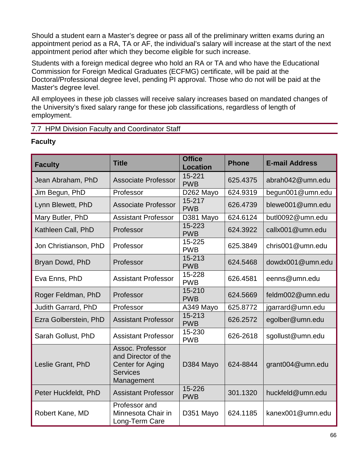Should a student earn a Master's degree or pass all of the preliminary written exams during an appointment period as a RA, TA or AF, the individual's salary will increase at the start of the next appointment period after which they become eligible for such increase.

Students with a foreign medical degree who hold an RA or TA and who have the Educational Commission for Foreign Medical Graduates (ECFMG) certificate, will be paid at the Doctoral/Professional degree level, pending PI approval. Those who do not will be paid at the Master's degree level.

All employees in these job classes will receive salary increases based on mandated changes of the University's fixed salary range for these job classifications, regardless of length of employment.

### 7.7 HPM Division Faculty and Coordinator Staff

| <b>Faculty</b>        | <b>Title</b>                                                                                 | <b>Office</b><br><b>Location</b> | <b>Phone</b> | <b>E-mail Address</b> |
|-----------------------|----------------------------------------------------------------------------------------------|----------------------------------|--------------|-----------------------|
| Jean Abraham, PhD     | <b>Associate Professor</b>                                                                   | 15-221<br><b>PWB</b>             | 625.4375     | abrah042@umn.edu      |
| Jim Begun, PhD        | Professor                                                                                    | D262 Mayo                        | 624.9319     | begun001@umn.edu      |
| Lynn Blewett, PhD     | <b>Associate Professor</b>                                                                   | 15-217<br><b>PWB</b>             | 626.4739     | blewe001@umn.edu      |
| Mary Butler, PhD      | <b>Assistant Professor</b>                                                                   | D381 Mayo                        | 624.6124     | butl0092@umn.edu      |
| Kathleen Call, PhD    | Professor                                                                                    | 15-223<br><b>PWB</b>             | 624.3922     | callx001@umn.edu      |
| Jon Christianson, PhD | Professor                                                                                    | 15-225<br><b>PWB</b>             | 625.3849     | chris001@umn.edu      |
| Bryan Dowd, PhD       | Professor                                                                                    | 15-213<br><b>PWB</b>             | 624.5468     | dowdx001@umn.edu      |
| Eva Enns, PhD         | <b>Assistant Professor</b>                                                                   | 15-228<br><b>PWB</b>             | 626.4581     | eenns@umn.edu         |
| Roger Feldman, PhD    | Professor                                                                                    | 15-210<br><b>PWB</b>             | 624.5669     | feldm002@umn.edu      |
| Judith Garrard, PhD   | Professor                                                                                    | A349 Mayo                        | 625.8772     | jgarrard@umn.edu      |
| Ezra Golberstein, PhD | <b>Assistant Professor</b>                                                                   | 15-213<br><b>PWB</b>             | 626.2572     | egolber@umn.edu       |
| Sarah Gollust, PhD    | <b>Assistant Professor</b>                                                                   | 15-230<br><b>PWB</b>             | 626-2618     | sgollust@umn.edu      |
| Leslie Grant, PhD     | Assoc. Professor<br>and Director of the<br>Center for Aging<br><b>Services</b><br>Management | D384 Mayo                        | 624-8844     | grant004@umn.edu      |
| Peter Huckfeldt, PhD  | <b>Assistant Professor</b>                                                                   | 15-226<br><b>PWB</b>             | 301.1320     | huckfeld@umn.edu      |
| Robert Kane, MD       | Professor and<br>Minnesota Chair in<br>Long-Term Care                                        | D351 Mayo                        | 624.1185     | kanex001@umn.edu      |

### **Faculty**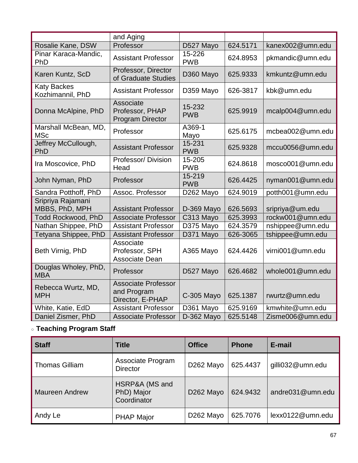|                                        | and Aging                                                     |                      |          |                  |
|----------------------------------------|---------------------------------------------------------------|----------------------|----------|------------------|
| Rosalie Kane, DSW                      | Professor                                                     | D527 Mayo            | 624.5171 | kanex002@umn.edu |
| Pinar Karaca-Mandic,<br>PhD            | <b>Assistant Professor</b>                                    | 15-226<br><b>PWB</b> | 624.8953 | pkmandic@umn.edu |
| Karen Kuntz, ScD                       | Professor, Director<br>of Graduate Studies                    | D360 Mayo            | 625.9333 | kmkuntz@umn.edu  |
| <b>Katy Backes</b><br>Kozhimannil, PhD | <b>Assistant Professor</b>                                    | D359 Mayo            | 626-3817 | kbk@umn.edu      |
| Donna McAlpine, PhD                    | Associate<br>Professor, PHAP<br><b>Program Director</b>       | 15-232<br><b>PWB</b> | 625.9919 | mcalp004@umn.edu |
| Marshall McBean, MD,<br><b>MSc</b>     | Professor                                                     | A369-1<br>Mayo       | 625.6175 | mcbea002@umn.edu |
| Jeffrey McCullough,<br>PhD             | <b>Assistant Professor</b>                                    | 15-231<br><b>PWB</b> | 625.9328 | mccu0056@umn.edu |
| Ira Moscovice, PhD                     | Professor/ Division<br>Head                                   | 15-205<br><b>PWB</b> | 624.8618 | mosco001@umn.edu |
| John Nyman, PhD                        | Professor                                                     | 15-219<br><b>PWB</b> | 626.4425 | nyman001@umn.edu |
| Sandra Potthoff, PhD                   | Assoc. Professor                                              | D262 Mayo            | 624.9019 | potth001@umn.edu |
| Sripriya Rajamani<br>MBBS, PhD, MPH    | <b>Assistant Professor</b>                                    | D-369 Mayo           | 626.5693 | sripriya@um.edu  |
| <b>Todd Rockwood, PhD</b>              | <b>Associate Professor</b>                                    | C313 Mayo            | 625.3993 | rockw001@umn.edu |
| Nathan Shippee, PhD                    | <b>Assistant Professor</b>                                    | D375 Mayo            | 624.3579 | nshippee@umn.edu |
| Tetyana Shippee, PhD                   | <b>Assistant Professor</b>                                    | D371 Mayo            | 626-3065 | tshippee@umn.edu |
| Beth Virnig, PhD                       | Associate<br>Professor, SPH<br>Associate Dean                 | A365 Mayo            | 624.4426 | virni001@umn.edu |
| Douglas Wholey, PhD,<br><b>MBA</b>     | Professor                                                     | D527 Mayo            | 626.4682 | whole001@umn.edu |
| Rebecca Wurtz, MD,<br><b>MPH</b>       | <b>Associate Professor</b><br>and Program<br>Director, E-PHAP | C-305 Mayo           | 625.1387 | rwurtz@umn.edu   |
| White, Katie, EdD                      | <b>Assistant Professor</b>                                    | D361 Mayo            | 625.9169 | kmwhite@umn.edu  |
| Daniel Zismer, PhD                     | <b>Associate Professor</b>                                    | D-362 Mayo           | 625.5148 | Zisme006@umn.edu |

# ○ **Teaching Program Staff**

| <b>Staff</b>          | Title                                       | <b>Office</b>         | <b>Phone</b> | E-mail           |
|-----------------------|---------------------------------------------|-----------------------|--------------|------------------|
| <b>Thomas Gilliam</b> | Associate Program<br><b>Director</b>        | D262 Mayo             | 625.4437     | gilli032@umn.edu |
| <b>Maureen Andrew</b> | HSRP&A (MS and<br>PhD) Major<br>Coordinator | D262 Mayo             | 624.9432     | andre031@umn.edu |
| Andy Le               | <b>PHAP Major</b>                           | D <sub>262</sub> Mayo | 625.7076     | lexx0122@umn.edu |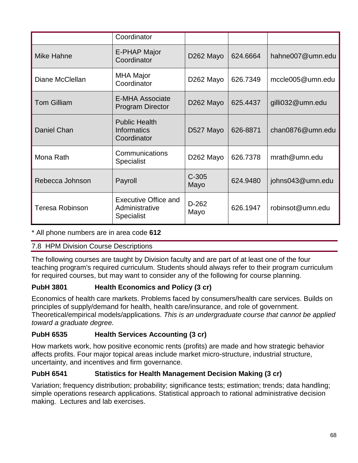|                        | Coordinator                                                        |                       |          |                  |
|------------------------|--------------------------------------------------------------------|-----------------------|----------|------------------|
| Mike Hahne             | E-PHAP Major<br>Coordinator                                        | D262 Mayo             | 624.6664 | hahne007@umn.edu |
| Diane McClellan        | <b>MHA Major</b><br>Coordinator                                    | D <sub>262</sub> Mayo | 626.7349 | mccle005@umn.edu |
| <b>Tom Gilliam</b>     | <b>E-MHA Associate</b><br><b>Program Director</b>                  | D <sub>262</sub> Mayo | 625.4437 | gilli032@umn.edu |
| Daniel Chan            | <b>Public Health</b><br><b>Informatics</b><br>Coordinator          | D527 Mayo             | 626-8871 | chan0876@umn.edu |
| Mona Rath              | Communications<br><b>Specialist</b>                                | D <sub>262</sub> Mayo | 626.7378 | $m$ rath@umn.edu |
| Rebecca Johnson        | Payroll                                                            | $C-305$<br>Mayo       | 624.9480 | johns043@umn.edu |
| <b>Teresa Robinson</b> | <b>Executive Office and</b><br>Administrative<br><b>Specialist</b> | D-262<br>Mayo         | 626.1947 | robinsot@umn.edu |

### \* All phone numbers are in area code **612**

### 7.8 HPM Division Course Descriptions

The following courses are taught by Division faculty and are part of at least one of the four teaching program's required curriculum. Students should always refer to their program curriculum for required courses, but may want to consider any of the following for course planning.

## **PubH 3801 Health Economics and Policy (3 cr)**

Economics of health care markets. Problems faced by consumers/health care services. Builds on principles of supply/demand for health, health care/insurance, and role of government. Theoretical/empirical models/applications. *This is an undergraduate course that cannot be applied toward a graduate degree.*

## **PubH 6535 Health Services Accounting (3 cr)**

How markets work, how positive economic rents (profits) are made and how strategic behavior affects profits. Four major topical areas include market micro-structure, industrial structure, uncertainty, and incentives and firm governance.

### **PubH 6541 Statistics for Health Management Decision Making (3 cr)**

Variation; frequency distribution; probability; significance tests; estimation; trends; data handling; simple operations research applications. Statistical approach to rational administrative decision making. Lectures and lab exercises.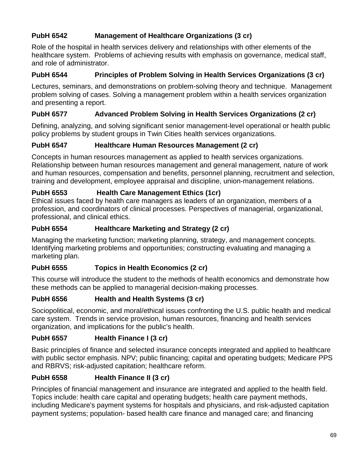## **PubH 6542 Management of Healthcare Organizations (3 cr)**

Role of the hospital in health services delivery and relationships with other elements of the healthcare system. Problems of achieving results with emphasis on governance, medical staff, and role of administrator.

## **PubH 6544 Principles of Problem Solving in Health Services Organizations (3 cr)**

Lectures, seminars, and demonstrations on problem-solving theory and technique. Management problem solving of cases. Solving a management problem within a health services organization and presenting a report.

## **PubH 6577 Advanced Problem Solving in Health Services Organizations (2 cr)**

Defining, analyzing, and solving significant senior management-level operational or health public policy problems by student groups in Twin Cities health services organizations.

## **PubH 6547 Healthcare Human Resources Management (2 cr)**

Concepts in human resources management as applied to health services organizations. Relationship between human resources management and general management, nature of work and human resources, compensation and benefits, personnel planning, recruitment and selection, training and development, employee appraisal and discipline, union-management relations.

## **PubH 6553 Health Care Management Ethics (1cr)**

Ethical issues faced by health care managers as leaders of an organization, members of a profession, and coordinators of clinical processes. Perspectives of managerial, organizational, professional, and clinical ethics.

## **PubH 6554 Healthcare Marketing and Strategy (2 cr)**

Managing the marketing function; marketing planning, strategy, and management concepts. Identifying marketing problems and opportunities; constructing evaluating and managing a marketing plan.

## **PubH 6555 Topics in Health Economics (2 cr)**

This course will introduce the student to the methods of health economics and demonstrate how these methods can be applied to managerial decision-making processes.

## **PubH 6556 Health and Health Systems (3 cr)**

Sociopolitical, economic, and moral/ethical issues confronting the U.S. public health and medical care system. Trends in service provision, human resources, financing and health services organization, and implications for the public's health.

## **PubH 6557 Health Finance I (3 cr)**

Basic principles of finance and selected insurance concepts integrated and applied to healthcare with public sector emphasis. NPV; public financing; capital and operating budgets; Medicare PPS and RBRVS; risk-adjusted capitation; healthcare reform.

## **PubH 6558 Health Finance II (3 cr)**

Principles of financial management and insurance are integrated and applied to the health field. Topics include: health care capital and operating budgets; health care payment methods, including Medicare's payment systems for hospitals and physicians, and risk-adjusted capitation payment systems; population- based health care finance and managed care; and financing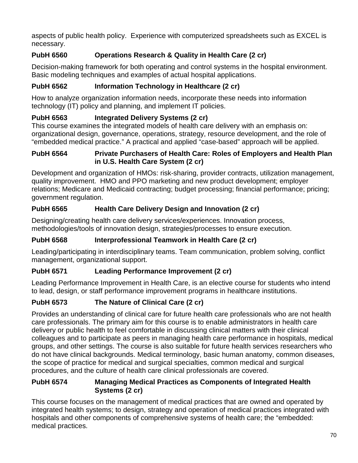aspects of public health policy. Experience with computerized spreadsheets such as EXCEL is necessary.

# **PubH 6560 Operations Research & Quality in Health Care (2 cr)**

Decision-making framework for both operating and control systems in the hospital environment. Basic modeling techniques and examples of actual hospital applications.

## **PubH 6562 Information Technology in Healthcare (2 cr)**

How to analyze organization information needs, incorporate these needs into information technology (IT) policy and planning, and implement IT policies.

## **PubH 6563 Integrated Delivery Systems (2 cr)**

This course examines the integrated models of health care delivery with an emphasis on: organizational design, governance, operations, strategy, resource development, and the role of "embedded medical practice." A practical and applied "case-based" approach will be applied.

### **PubH 6564 Private Purchasers of Health Care: Roles of Employers and Health Plan in U.S. Health Care System (2 cr)**

Development and organization of HMOs: risk-sharing, provider contracts, utilization management, quality improvement. HMO and PPO marketing and new product development; employer relations; Medicare and Medicaid contracting; budget processing; financial performance; pricing; government regulation.

## **PubH 6565 Health Care Delivery Design and Innovation (2 cr)**

Designing/creating health care delivery services/experiences. Innovation process, methodologies/tools of innovation design, strategies/processes to ensure execution.

## **PubH 6568 Interprofessional Teamwork in Health Care (2 cr)**

Leading/participating in interdisciplinary teams. Team communication, problem solving, conflict management, organizational support.

## **PubH 6571 Leading Performance Improvement (2 cr)**

Leading Performance Improvement in Health Care, is an elective course for students who intend to lead, design, or staff performance improvement programs in healthcare institutions.

## **PubH 6573 The Nature of Clinical Care (2 cr)**

Provides an understanding of clinical care for future health care professionals who are not health care professionals. The primary aim for this course is to enable administrators in health care delivery or public health to feel comfortable in discussing clinical matters with their clinical colleagues and to participate as peers in managing health care performance in hospitals, medical groups, and other settings. The course is also suitable for future health services researchers who do not have clinical backgrounds. Medical terminology, basic human anatomy, common diseases, the scope of practice for medical and surgical specialties, common medical and surgical procedures, and the culture of health care clinical professionals are covered.

### **PubH 6574 Managing Medical Practices as Components of Integrated Health Systems (2 cr)**

This course focuses on the management of medical practices that are owned and operated by integrated health systems; to design, strategy and operation of medical practices integrated with hospitals and other components of comprehensive systems of health care; the "embedded: medical practices.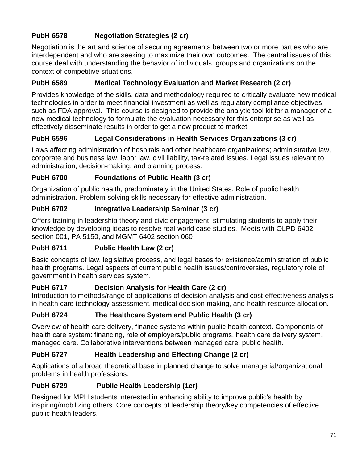# **PubH 6578 Negotiation Strategies (2 cr)**

Negotiation is the art and science of securing agreements between two or more parties who are interdependent and who are seeking to maximize their own outcomes. The central issues of this course deal with understanding the behavior of individuals, groups and organizations on the context of competitive situations.

## **PubH 6589 Medical Technology Evaluation and Market Research (2 cr)**

Provides knowledge of the skills, data and methodology required to critically evaluate new medical technologies in order to meet financial investment as well as regulatory compliance objectives, such as FDA approval. This course is designed to provide the analytic tool kit for a manager of a new medical technology to formulate the evaluation necessary for this enterprise as well as effectively disseminate results in order to get a new product to market.

## **PubH 6596 Legal Considerations in Health Services Organizations (3 cr)**

Laws affecting administration of hospitals and other healthcare organizations; administrative law, corporate and business law, labor law, civil liability, tax-related issues. Legal issues relevant to administration, decision-making, and planning process.

## **PubH 6700 Foundations of Public Health (3 cr)**

Organization of public health, predominately in the United States. Role of public health administration. Problem-solving skills necessary for effective administration.

### **PubH 6702 Integrative Leadership Seminar (3 cr)**

Offers training in leadership theory and civic engagement, stimulating students to apply their knowledge by developing ideas to resolve real-world case studies. Meets with OLPD 6402 section 001, PA 5150, and MGMT 6402 section 060

## PubH 6711 Public Health Law (2 cr)

Basic concepts of law, legislative process, and legal bases for existence/administration of public health programs. Legal aspects of current public health issues/controversies, regulatory role of government in health services system.

## **PubH 6717 Decision Analysis for Health Care (2 cr)**

Introduction to methods/range of applications of decision analysis and cost-effectiveness analysis in health care technology assessment, medical decision making, and health resource allocation.

### **PubH 6724 The Healthcare System and Public Health (3 cr)**

Overview of health care delivery, finance systems within public health context. Components of health care system: financing, role of employers/public programs, health care delivery system, managed care. Collaborative interventions between managed care, public health.

### **PubH 6727 Health Leadership and Effecting Change (2 cr)**

Applications of a broad theoretical base in planned change to solve managerial/organizational problems in health professions.

## **PubH 6729 Public Health Leadership (1cr)**

Designed for MPH students interested in enhancing ability to improve public's health by inspiring/mobilizing others. Core concepts of leadership theory/key competencies of effective public health leaders.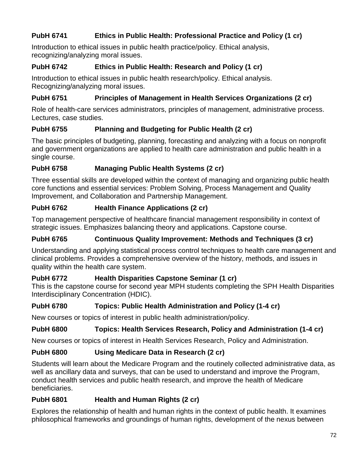## **PubH 6741 Ethics in Public Health: Professional Practice and Policy (1 cr)**

Introduction to ethical issues in public health practice/policy. Ethical analysis, recognizing/analyzing moral issues.

## **PubH 6742 Ethics in Public Health: Research and Policy (1 cr)**

Introduction to ethical issues in public health research/policy. Ethical analysis. Recognizing/analyzing moral issues.

## **PubH 6751 Principles of Management in Health Services Organizations (2 cr)**

Role of health-care services administrators, principles of management, administrative process. Lectures, case studies.

### **PubH 6755 Planning and Budgeting for Public Health (2 cr)**

The basic principles of budgeting, planning, forecasting and analyzing with a focus on nonprofit and government organizations are applied to health care administration and public health in a single course.

### **PubH 6758 Managing Public Health Systems (2 cr)**

Three essential skills are developed within the context of managing and organizing public health core functions and essential services: Problem Solving, Process Management and Quality Improvement, and Collaboration and Partnership Management.

### **PubH 6762 Health Finance Applications (2 cr)**

Top management perspective of healthcare financial management responsibility in context of strategic issues. Emphasizes balancing theory and applications. Capstone course.

### **PubH 6765 Continuous Quality Improvement: Methods and Techniques (3 cr)**

Understanding and applying statistical process control techniques to health care management and clinical problems. Provides a comprehensive overview of the history, methods, and issues in quality within the health care system.

## **PubH 6772 Health Disparities Capstone Seminar (1 cr)**

This is the capstone course for second year MPH students completing the SPH Health Disparities Interdisciplinary Concentration (HDIC).

## **PubH 6780 Topics: Public Health Administration and Policy (1-4 cr)**

New courses or topics of interest in public health administration/policy.

### **PubH 6800 Topics: Health Services Research, Policy and Administration (1-4 cr)**

New courses or topics of interest in Health Services Research, Policy and Administration.

### **PubH 6800 Using Medicare Data in Research (2 cr)**

Students will learn about the Medicare Program and the routinely collected administrative data, as well as ancillary data and surveys, that can be used to understand and improve the Program, conduct health services and public health research, and improve the health of Medicare beneficiaries.

### **PubH 6801 Health and Human Rights (2 cr)**

Explores the relationship of health and human rights in the context of public health. It examines philosophical frameworks and groundings of human rights, development of the nexus between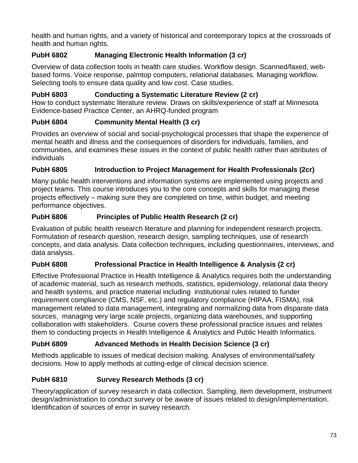health and human rights, and a variety of historical and contemporary topics at the crossroads of health and human rights.

# **PubH 6802 Managing Electronic Health Information (3 cr)**

Overview of data collection tools in health care studies. Workflow design. Scanned/faxed, webbased forms. Voice response, palmtop computers, relational databases. Managing workflow. Selecting tools to ensure data quality and low cost. Case studies.

### **PubH 6803 Conducting a Systematic Literature Review (2 cr)**

How to conduct systematic literature review. Draws on skills/experience of staff at Minnesota Evidence-based Practice Center, an AHRQ-funded program

## **PubH 6804 Community Mental Health (3 cr)**

Provides an overview of social and social-psychological processes that shape the experience of mental health and illness and the consequences of disorders for individuals, families, and communities, and examines these issues in the context of public health rather than attributes of individuals

### **PubH 6805 Introduction to Project Management for Health Professionals (2cr)**

Many public health interventions and information systems are implemented using projects and project teams. This course introduces you to the core concepts and skills for managing these projects effectively – making sure they are completed on time, within budget, and meeting performance objectives.

### **PubH 6806 Principles of Public Health Research (2 cr)**

Evaluation of public health research literature and planning for independent research projects. Formulation of research question, research design, sampling techniques, use of research concepts, and data analysis. Data collection techniques, including questionnaires, interviews, and data analysis.

### **PubH 6808 Professional Practice in Health Intelligence & Analysis (2 cr)**

Effective Professional Practice in Health Intelligence & Analytics requires both the understanding of academic material, such as research methods, statistics, epidemiology, relational data theory and health systems, and practice material including institutional rules related to funder requirement compliance (CMS, NSF, etc.) and regulatory compliance (HIPAA, FISMA), risk management related to data management, integrating and normalizing data from disparate data sources, managing very large scale projects, organizing data warehouses, and supporting collaboration with stakeholders. Course covers these professional practice issues and relates them to conducting projects in Health Intelligence & Analytics and Public Health Informatics.

### **PubH 6809 Advanced Methods in Health Decision Science (3 cr)**

Methods applicable to issues of medical decision making. Analyses of environmental/safety decisions. How to apply methods at cutting-edge of clinical decision science.

### **PubH 6810 Survey Research Methods (3 cr)**

Theory/application of survey research in data collection. Sampling, item development, instrument design/administration to conduct survey or be aware of issues related to design/implementation. Identification of sources of error in survey research.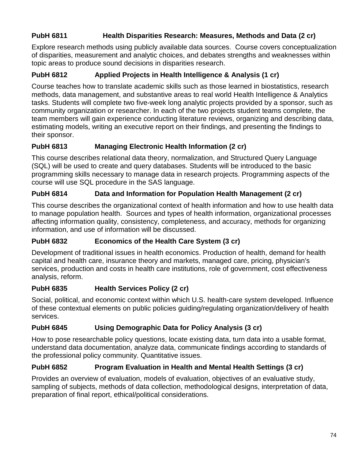## **PubH 6811 Health Disparities Research: Measures, Methods and Data (2 cr)**

Explore research methods using publicly available data sources. Course covers conceptualization of disparities, measurement and analytic choices, and debates strengths and weaknesses within topic areas to produce sound decisions in disparities research.

## **PubH 6812 Applied Projects in Health Intelligence & Analysis (1 cr)**

Course teaches how to translate academic skills such as those learned in biostatistics, research methods, data management, and substantive areas to real world Health Intelligence & Analytics tasks. Students will complete two five-week long analytic projects provided by a sponsor, such as community organization or researcher. In each of the two projects student teams complete, the team members will gain experience conducting literature reviews, organizing and describing data, estimating models, writing an executive report on their findings, and presenting the findings to their sponsor.

### **PubH 6813 Managing Electronic Health Information (2 cr)**

This course describes relational data theory, normalization, and Structured Query Language (SQL) will be used to create and query databases. Students will be introduced to the basic programming skills necessary to manage data in research projects. Programming aspects of the course will use SQL procedure in the SAS language.

### **PubH 6814 Data and Information for Population Health Management (2 cr)**

This course describes the organizational context of health information and how to use health data to manage population health. Sources and types of health information, organizational processes affecting information quality, consistency, completeness, and accuracy, methods for organizing information, and use of information will be discussed.

### **PubH 6832 Economics of the Health Care System (3 cr)**

Development of traditional issues in health economics. Production of health, demand for health capital and health care, insurance theory and markets, managed care, pricing, physician's services, production and costs in health care institutions, role of government, cost effectiveness analysis, reform.

### **PubH 6835 Health Services Policy (2 cr)**

Social, political, and economic context within which U.S. health-care system developed. Influence of these contextual elements on public policies guiding/regulating organization/delivery of health services.

### **PubH 6845 Using Demographic Data for Policy Analysis (3 cr)**

How to pose researchable policy questions, locate existing data, turn data into a usable format, understand data documentation, analyze data, communicate findings according to standards of the professional policy community. Quantitative issues.

### **PubH 6852 Program Evaluation in Health and Mental Health Settings (3 cr)**

Provides an overview of evaluation, models of evaluation, objectives of an evaluative study, sampling of subjects, methods of data collection, methodological designs, interpretation of data, preparation of final report, ethical/political considerations.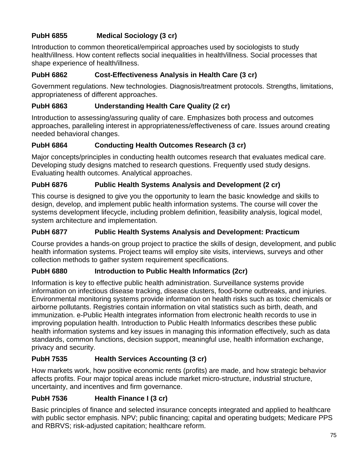# **PubH 6855 Medical Sociology (3 cr)**

Introduction to common theoretical/empirical approaches used by sociologists to study health/illness. How content reflects social inequalities in health/illness. Social processes that shape experience of health/illness.

### **PubH 6862 Cost-Effectiveness Analysis in Health Care (3 cr)**

Government regulations. New technologies. Diagnosis/treatment protocols. Strengths, limitations, appropriateness of different approaches.

### **PubH 6863 Understanding Health Care Quality (2 cr)**

Introduction to assessing/assuring quality of care. Emphasizes both process and outcomes approaches, paralleling interest in appropriateness/effectiveness of care. Issues around creating needed behavioral changes.

### **PubH 6864 Conducting Health Outcomes Research (3 cr)**

Major concepts/principles in conducting health outcomes research that evaluates medical care. Developing study designs matched to research questions. Frequently used study designs. Evaluating health outcomes. Analytical approaches.

### **PubH 6876 Public Health Systems Analysis and Development (2 cr)**

This course is designed to give you the opportunity to learn the basic knowledge and skills to design, develop, and implement public health information systems. The course will cover the systems development lifecycle, including problem definition, feasibility analysis, logical model, system architecture and implementation.

#### **PubH 6877 Public Health Systems Analysis and Development: Practicum**

Course provides a hands-on group project to practice the skills of design, development, and public health information systems. Project teams will employ site visits, interviews, surveys and other collection methods to gather system requirement specifications.

#### **PubH 6880 Introduction to Public Health Informatics (2cr)**

Information is key to effective public health administration. Surveillance systems provide information on infectious disease tracking, disease clusters, food-borne outbreaks, and injuries. Environmental monitoring systems provide information on health risks such as toxic chemicals or airborne pollutants. Registries contain information on vital statistics such as birth, death, and immunization. e-Public Health integrates information from electronic health records to use in improving population health. Introduction to Public Health Informatics describes these public health information systems and key issues in managing this information effectively, such as data standards, common functions, decision support, meaningful use, health information exchange, privacy and security.

### **PubH 7535 Health Services Accounting (3 cr)**

How markets work, how positive economic rents (profits) are made, and how strategic behavior affects profits. Four major topical areas include market micro-structure, industrial structure, uncertainty, and incentives and firm governance.

### **PubH 7536 Health Finance I (3 cr)**

Basic principles of finance and selected insurance concepts integrated and applied to healthcare with public sector emphasis. NPV; public financing; capital and operating budgets; Medicare PPS and RBRVS; risk-adjusted capitation; healthcare reform.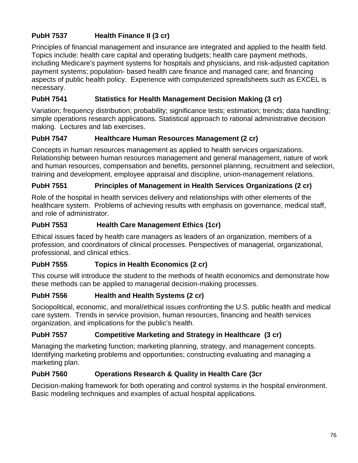# **PubH 7537 Health Finance II (3 cr)**

Principles of financial management and insurance are integrated and applied to the health field. Topics include: health care capital and operating budgets; health care payment methods, including Medicare's payment systems for hospitals and physicians, and risk-adjusted capitation payment systems; population- based health care finance and managed care; and financing aspects of public health policy. Experience with computerized spreadsheets such as EXCEL is necessary.

## **PubH 7541 Statistics for Health Management Decision Making (3 cr)**

Variation; frequency distribution; probability; significance tests; estimation; trends; data handling; simple operations research applications. Statistical approach to rational administrative decision making. Lectures and lab exercises.

## **PubH 7547 Healthcare Human Resources Management (2 cr)**

Concepts in human resources management as applied to health services organizations. Relationship between human resources management and general management, nature of work and human resources, compensation and benefits, personnel planning, recruitment and selection, training and development, employee appraisal and discipline, union-management relations.

### **PubH 7551 Principles of Management in Health Services Organizations (2 cr)**

Role of the hospital in health services delivery and relationships with other elements of the healthcare system. Problems of achieving results with emphasis on governance, medical staff, and role of administrator.

### **PubH 7553 Health Care Management Ethics (1cr)**

Ethical issues faced by health care managers as leaders of an organization, members of a profession, and coordinators of clinical processes. Perspectives of managerial, organizational, professional, and clinical ethics.

### **PubH 7555 Topics in Health Economics (2 cr)**

This course will introduce the student to the methods of health economics and demonstrate how these methods can be applied to managerial decision-making processes.

### **PubH 7556 Health and Health Systems (2 cr)**

Sociopolitical, economic, and moral/ethical issues confronting the U.S. public health and medical care system. Trends in service provision, human resources, financing and health services organization, and implications for the public's health.

### **PubH 7557 Competitive Marketing and Strategy in Healthcare (3 cr)**

Managing the marketing function; marketing planning, strategy, and management concepts. Identifying marketing problems and opportunities; constructing evaluating and managing a marketing plan.

### **PubH 7560 Operations Research & Quality in Health Care (3cr**

Decision-making framework for both operating and control systems in the hospital environment. Basic modeling techniques and examples of actual hospital applications.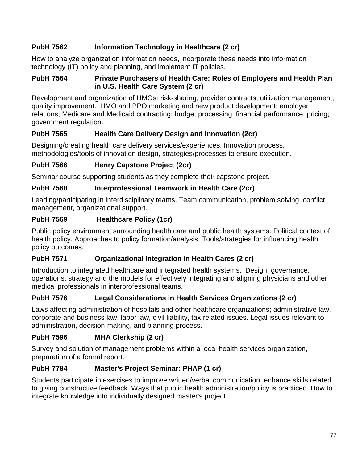## **PubH 7562 Information Technology in Healthcare (2 cr)**

How to analyze organization information needs, incorporate these needs into information technology (IT) policy and planning, and implement IT policies.

#### **PubH 7564 Private Purchasers of Health Care: Roles of Employers and Health Plan in U.S. Health Care System (2 cr)**

Development and organization of HMOs: risk-sharing, provider contracts, utilization management, quality improvement. HMO and PPO marketing and new product development; employer relations; Medicare and Medicaid contracting; budget processing; financial performance; pricing; government regulation.

### **PubH 7565 Health Care Delivery Design and Innovation (2cr)**

Designing/creating health care delivery services/experiences. Innovation process, methodologies/tools of innovation design, strategies/processes to ensure execution.

### **PubH 7566 Henry Capstone Project (2cr)**

Seminar course supporting students as they complete their capstone project.

### **PubH 7568 Interprofessional Teamwork in Health Care (2cr)**

Leading/participating in interdisciplinary teams. Team communication, problem solving, conflict management, organizational support.

### **PubH 7569 Healthcare Policy (1cr)**

Public policy environment surrounding health care and public health systems. Political context of health policy. Approaches to policy formation/analysis. Tools/strategies for influencing health policy outcomes.

### **PubH 7571 Organizational Integration in Health Cares (2 cr)**

Introduction to integrated healthcare and integrated health systems. Design, governance, operations, strategy and the models for effectively integrating and aligning physicians and other medical professionals in interprofessional teams.

### **PubH 7576 Legal Considerations in Health Services Organizations (2 cr)**

Laws affecting administration of hospitals and other healthcare organizations; administrative law, corporate and business law, labor law, civil liability, tax-related issues. Legal issues relevant to administration, decision-making, and planning process.

### **PubH 7596 MHA Clerkship (2 cr)**

Survey and solution of management problems within a local health services organization, preparation of a formal report.

### **PubH 7784 Master's Project Seminar: PHAP (1 cr)**

Students participate in exercises to improve written/verbal communication, enhance skills related to giving constructive feedback. Ways that public health administration/policy is practiced. How to integrate knowledge into individually designed master's project.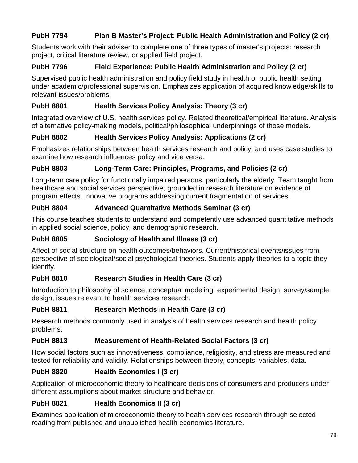## **PubH 7794 Plan B Master's Project: Public Health Administration and Policy (2 cr)**

Students work with their adviser to complete one of three types of master's projects: research project, critical literature review, or applied field project.

### **PubH 7796 Field Experience: Public Health Administration and Policy (2 cr)**

Supervised public health administration and policy field study in health or public health setting under academic/professional supervision. Emphasizes application of acquired knowledge/skills to relevant issues/problems.

#### **PubH 8801 Health Services Policy Analysis: Theory (3 cr)**

Integrated overview of U.S. health services policy. Related theoretical/empirical literature. Analysis of alternative policy-making models, political/philosophical underpinnings of those models.

### **PubH 8802 Health Services Policy Analysis: Applications (2 cr)**

Emphasizes relationships between health services research and policy, and uses case studies to examine how research influences policy and vice versa.

### **PubH 8803 Long-Term Care: Principles, Programs, and Policies (2 cr)**

Long-term care policy for functionally impaired persons, particularly the elderly. Team taught from healthcare and social services perspective; grounded in research literature on evidence of program effects. Innovative programs addressing current fragmentation of services.

#### **PubH 8804 Advanced Quantitative Methods Seminar (3 cr)**

This course teaches students to understand and competently use advanced quantitative methods in applied social science, policy, and demographic research.

#### **PubH 8805 Sociology of Health and Illness (3 cr)**

Affect of social structure on health outcomes/behaviors. Current/historical events/issues from perspective of sociological/social psychological theories. Students apply theories to a topic they identify.

#### **PubH 8810 Research Studies in Health Care (3 cr)**

Introduction to philosophy of science, conceptual modeling, experimental design, survey/sample design, issues relevant to health services research.

#### **PubH 8811 Research Methods in Health Care (3 cr)**

Research methods commonly used in analysis of health services research and health policy problems.

#### **PubH 8813 Measurement of Health-Related Social Factors (3 cr)**

How social factors such as innovativeness, compliance, religiosity, and stress are measured and tested for reliability and validity. Relationships between theory, concepts, variables, data.

#### **PubH 8820 Health Economics I (3 cr)**

Application of microeconomic theory to healthcare decisions of consumers and producers under different assumptions about market structure and behavior.

#### **PubH 8821 Health Economics II (3 cr)**

Examines application of microeconomic theory to health services research through selected reading from published and unpublished health economics literature.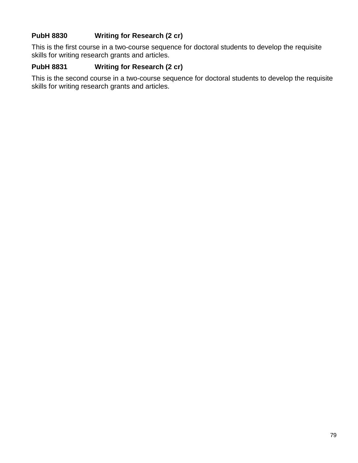## **PubH 8830 Writing for Research (2 cr)**

This is the first course in a two-course sequence for doctoral students to develop the requisite skills for writing research grants and articles.

### **PubH 8831 Writing for Research (2 cr)**

This is the second course in a two-course sequence for doctoral students to develop the requisite skills for writing research grants and articles.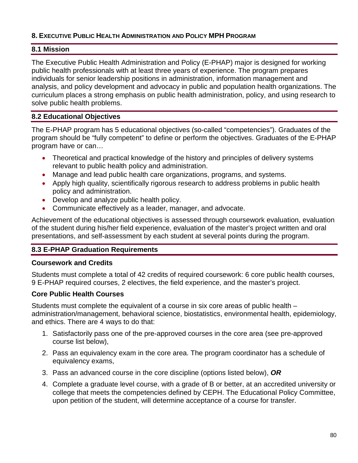#### **8. EXECUTIVE PUBLIC HEALTH ADMINISTRATION AND POLICY MPH PROGRAM**

#### **8.1 Mission**

The Executive Public Health Administration and Policy (E-PHAP) major is designed for working public health professionals with at least three years of experience. The program prepares individuals for senior leadership positions in administration, information management and analysis, and policy development and advocacy in public and population health organizations. The curriculum places a strong emphasis on public health administration, policy, and using research to solve public health problems.

#### **8.2 Educational Objectives**

The E-PHAP program has 5 educational objectives (so-called "competencies"). Graduates of the program should be "fully competent" to define or perform the objectives. Graduates of the E-PHAP program have or can…

- Theoretical and practical knowledge of the history and principles of delivery systems relevant to public health policy and administration.
- Manage and lead public health care organizations, programs, and systems.
- Apply high quality, scientifically rigorous research to address problems in public health policy and administration.
- Develop and analyze public health policy.
- Communicate effectively as a leader, manager, and advocate.

Achievement of the educational objectives is assessed through coursework evaluation, evaluation of the student during his/her field experience, evaluation of the master's project written and oral presentations, and self-assessment by each student at several points during the program.

#### **8.3 E-PHAP Graduation Requirements**

#### **Coursework and Credits**

Students must complete a total of 42 credits of required coursework: 6 core public health courses, 9 E-PHAP required courses, 2 electives, the field experience, and the master's project.

#### **Core Public Health Courses**

Students must complete the equivalent of a course in six core areas of public health – administration/management, behavioral science, biostatistics, environmental health, epidemiology, and ethics. There are 4 ways to do that:

- 1. Satisfactorily pass one of the pre-approved courses in the core area (see pre-approved course list below),
- 2. Pass an equivalency exam in the core area. The program coordinator has a schedule of equivalency exams,
- 3. Pass an advanced course in the core discipline (options listed below), *OR*
- 4. Complete a graduate level course, with a grade of B or better, at an accredited university or college that meets the competencies defined by CEPH. The Educational Policy Committee, upon petition of the student, will determine acceptance of a course for transfer.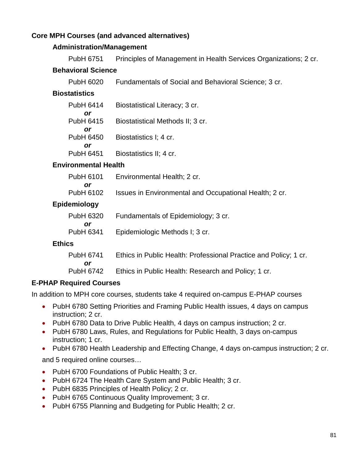### **Core MPH Courses (and advanced alternatives)**

#### **Administration/Management**

PubH 6751 Principles of Management in Health Services Organizations; 2 cr.

#### **Behavioral Science**

PubH 6020 Fundamentals of Social and Behavioral Science; 3 cr.

### **Biostatistics**

| PubH 6414        | Biostatistical Literacy; 3 cr.   |
|------------------|----------------------------------|
| or               |                                  |
| <b>PubH 6415</b> | Biostatistical Methods II; 3 cr. |
| or               |                                  |
| <b>PubH 6450</b> | Biostatistics I; 4 cr.           |
| or               |                                  |
| <b>PubH 6451</b> | Biostatistics II; 4 cr.          |

#### **Environmental Health**

| PubH 6101 | Environmental Health; 2 cr.                            |
|-----------|--------------------------------------------------------|
| or        |                                                        |
| PubH 6102 | Issues in Environmental and Occupational Health; 2 cr. |

#### **Epidemiology**

| PubH 6320 | Fundamentals of Epidemiology; 3 cr. |
|-----------|-------------------------------------|
| or        |                                     |
| PubH 6341 | Epidemiologic Methods I; 3 cr.      |

#### **Ethics**

| PubH 6741 | Ethics in Public Health: Professional Practice and Policy; 1 cr. |
|-----------|------------------------------------------------------------------|
| nr.       |                                                                  |
| PubH 6742 | Ethics in Public Health: Research and Policy; 1 cr.              |

#### **E-PHAP Required Courses**

In addition to MPH core courses, students take 4 required on-campus E-PHAP courses

- PubH 6780 Setting Priorities and Framing Public Health issues, 4 days on campus instruction; 2 cr.
- PubH 6780 Data to Drive Public Health, 4 days on campus instruction; 2 cr.
- PubH 6780 Laws, Rules, and Regulations for Public Health, 3 days on-campus instruction; 1 cr.
- PubH 6780 Health Leadership and Effecting Change, 4 days on-campus instruction; 2 cr.

and 5 required online courses…

- PubH 6700 Foundations of Public Health: 3 cr.
- PubH 6724 The Health Care System and Public Health; 3 cr.
- PubH 6835 Principles of Health Policy; 2 cr.
- PubH 6765 Continuous Quality Improvement; 3 cr.
- PubH 6755 Planning and Budgeting for Public Health; 2 cr.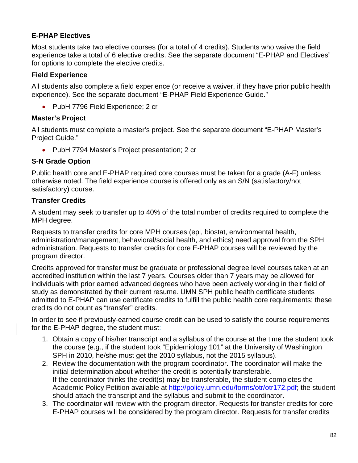### **E-PHAP Electives**

Most students take two elective courses (for a total of 4 credits). Students who waive the field experience take a total of 6 elective credits. See the separate document "E-PHAP and Electives" for options to complete the elective credits.

#### **Field Experience**

All students also complete a field experience (or receive a waiver, if they have prior public health experience). See the separate document "E-PHAP Field Experience Guide."

• PubH 7796 Field Experience; 2 cr

#### **Master's Project**

All students must complete a master's project. See the separate document "E-PHAP Master's Project Guide."

• PubH 7794 Master's Project presentation; 2 cr

### **S-N Grade Option**

Public health core and E-PHAP required core courses must be taken for a grade (A-F) unless otherwise noted. The field experience course is offered only as an S/N (satisfactory/not satisfactory) course.

#### **Transfer Credits**

A student may seek to transfer up to 40% of the total number of credits required to complete the MPH degree.

Requests to transfer credits for core MPH courses (epi, biostat, environmental health, administration/management, behavioral/social health, and ethics) need approval from the SPH administration. Requests to transfer credits for core E-PHAP courses will be reviewed by the program director.

Credits approved for transfer must be graduate or professional degree level courses taken at an accredited institution within the last 7 years. Courses older than 7 years may be allowed for individuals with prior earned advanced degrees who have been actively working in their field of study as demonstrated by their current resume. UMN SPH public health certificate students admitted to E-PHAP can use certificate credits to fulfill the public health core requirements; these credits do not count as "transfer" credits.

In order to see if previously-earned course credit can be used to satisfy the course requirements for the E-PHAP degree, the student must:

- 1. Obtain a copy of his/her transcript and a syllabus of the course at the time the student took the course (e.g., if the student took "Epidemiology 101" at the University of Washington SPH in 2010, he/she must get the 2010 syllabus, not the 2015 syllabus).
- 2. Review the documentation with the program coordinator. The coordinator will make the initial determination about whether the credit is potentially transferable. If the coordinator thinks the credit(s) may be transferable, the student completes the Academic Policy Petition available at [http://policy.umn.edu/forms/otr/otr172.pdf;](http://policy.umn.edu/forms/otr/otr172.pdf) the student should attach the transcript and the syllabus and submit to the coordinator.
- 3. The coordinator will review with the program director. Requests for transfer credits for core E-PHAP courses will be considered by the program director. Requests for transfer credits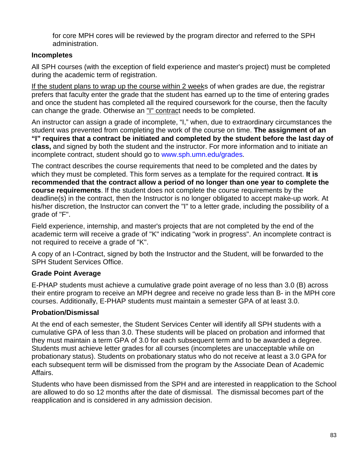for core MPH cores will be reviewed by the program director and referred to the SPH administration.

### **Incompletes**

All SPH courses (with the exception of field experience and master's project) must be completed during the academic term of registration.

If the student plans to wrap up the course within 2 weeks of when grades are due, the registrar prefers that faculty enter the grade that the student has earned up to the time of entering grades and once the student has completed all the required coursework for the course, then the faculty can change the grade. Otherwise an ["I" contract](http://sph.umn.edu/students/current/course-eval-grades/) needs to be completed.

An instructor can assign a grade of incomplete, "I," when, due to extraordinary circumstances the student was prevented from completing the work of the course on time. **The assignment of an "I" requires that a contract be initiated and completed by the student before the last day of class,** and signed by both the student and the instructor. For more information and to initiate an incomplete contract, student should go to [www.sph.umn.edu/grades.](http://www.sph.umn.edu/grades)

The contract describes the course requirements that need to be completed and the dates by which they must be completed. This form serves as a template for the required contract. **It is recommended that the contract allow a period of no longer than one year to complete the course requirements**. If the student does not complete the course requirements by the deadline(s) in the contract, then the Instructor is no longer obligated to accept make-up work. At his/her discretion, the Instructor can convert the "I" to a letter grade, including the possibility of a grade of "F".

Field experience, internship, and master's projects that are not completed by the end of the academic term will receive a grade of "K" indicating "work in progress". An incomplete contract is not required to receive a grade of "K".

A copy of an I-Contract, signed by both the Instructor and the Student, will be forwarded to the SPH Student Services Office.

### **Grade Point Average**

E-PHAP students must achieve a cumulative grade point average of no less than 3.0 (B) across their entire program to receive an MPH degree and receive no grade less than B- in the MPH core courses. Additionally, E-PHAP students must maintain a semester GPA of at least 3.0.

### **Probation/Dismissal**

At the end of each semester, the Student Services Center will identify all SPH students with a cumulative GPA of less than 3.0. These students will be placed on probation and informed that they must maintain a term GPA of 3.0 for each subsequent term and to be awarded a degree. Students must achieve letter grades for all courses (incompletes are unacceptable while on probationary status). Students on probationary status who do not receive at least a 3.0 GPA for each subsequent term will be dismissed from the program by the Associate Dean of Academic Affairs.

Students who have been dismissed from the SPH and are interested in reapplication to the School are allowed to do so 12 months after the date of dismissal. The dismissal becomes part of the reapplication and is considered in any admission decision.